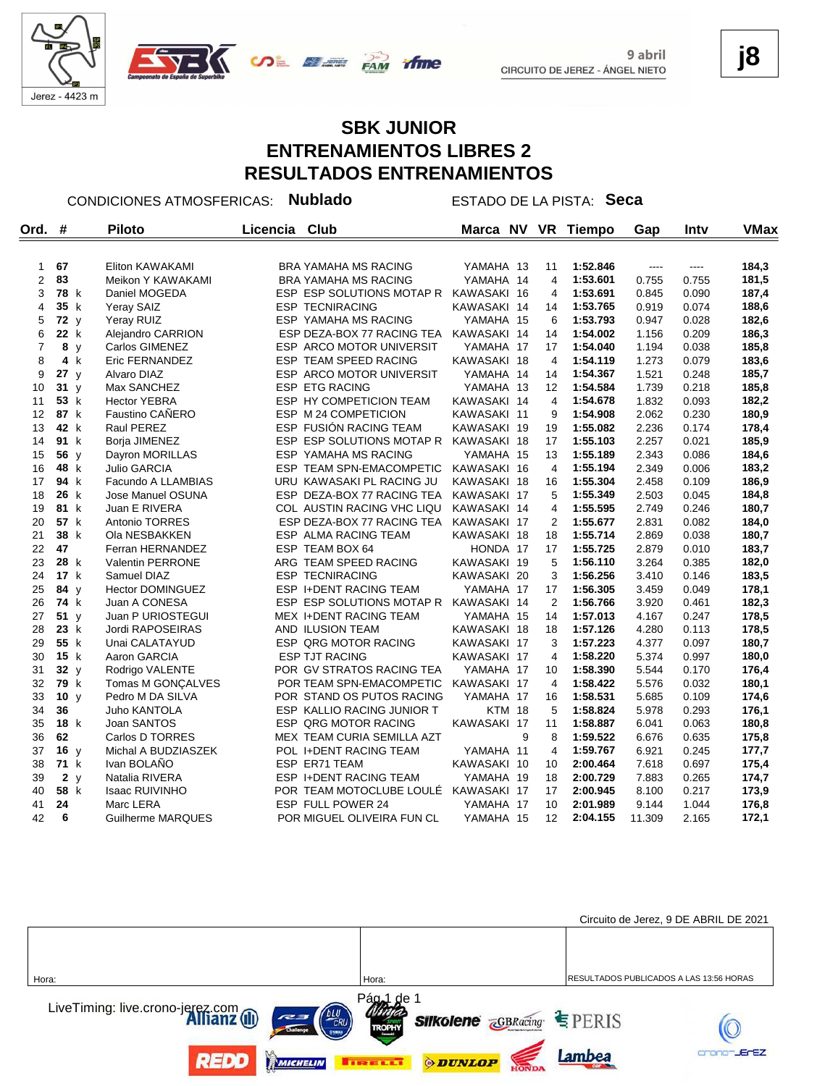



#### **SBK JUNIOR ENTRENAMIENTOS LIBRES 2 RESULTADOS ENTRENAMIENTOS**

*<u>Anne</u>* 

CONDICIONES ATMOSFERICAS: **Nublado** ESTADO DE LA PISTA: **Seca**

| Ord.           | #    | <b>Piloto</b>           | Licencia | Club                          | Marca NV      |   | <b>VR</b>      | Tiempo   | Gap    | Inty  | <b>VMax</b> |
|----------------|------|-------------------------|----------|-------------------------------|---------------|---|----------------|----------|--------|-------|-------------|
|                |      |                         |          |                               |               |   |                |          |        |       |             |
| $\mathbf{1}$   | 67   | Eliton KAWAKAMI         |          | <b>BRA YAMAHA MS RACING</b>   | YAMAHA 13     |   | 11             | 1:52.846 | $---$  | ----  | 184,3       |
| 2              | 83   | Meikon Y KAWAKAMI       |          | <b>BRA YAMAHA MS RACING</b>   | YAMAHA 14     |   | $\overline{4}$ | 1:53.601 | 0.755  | 0.755 | 181,5       |
| 3              | 78 k | Daniel MOGEDA           |          | ESP ESP SOLUTIONS MOTAP R     | KAWASAKI 16   |   | 4              | 1:53.691 | 0.845  | 0.090 | 187,4       |
| 4              | 35 k | Yeray SAIZ              |          | <b>ESP TECNIRACING</b>        | KAWASAKI 14   |   | 14             | 1:53.765 | 0.919  | 0.074 | 188,6       |
| 5              | 72 y | Yeray RUIZ              |          | ESP YAMAHA MS RACING          | YAMAHA 15     |   | 6              | 1:53.793 | 0.947  | 0.028 | 182,6       |
| 6              | 22 k | Alejandro CARRION       |          | ESP DEZA-BOX 77 RACING TEA    | KAWASAKI 14   |   | 14             | 1:54.002 | 1.156  | 0.209 | 186,3       |
| $\overline{7}$ | 8 y  | Carlos GIMENEZ          |          | ESP ARCO MOTOR UNIVERSIT      | YAMAHA 17     |   | 17             | 1:54.040 | 1.194  | 0.038 | 185,8       |
| 8              | 4 k  | Eric FERNANDEZ          |          | ESP TEAM SPEED RACING         | KAWASAKI 18   |   | $\overline{4}$ | 1:54.119 | 1.273  | 0.079 | 183,6       |
| 9              | 27y  | Alvaro DIAZ             |          | ESP ARCO MOTOR UNIVERSIT      | YAMAHA 14     |   | 14             | 1:54.367 | 1.521  | 0.248 | 185,7       |
| 10             | 31y  | Max SANCHEZ             |          | <b>ESP ETG RACING</b>         | YAMAHA 13     |   | 12             | 1:54.584 | 1.739  | 0.218 | 185,8       |
| 11             | 53 k | <b>Hector YEBRA</b>     |          | ESP HY COMPETICION TEAM       | KAWASAKI 14   |   | 4              | 1:54.678 | 1.832  | 0.093 | 182,2       |
| 12             | 87 k | <b>Faustino CAÑERO</b>  |          | ESP M 24 COMPETICION          | KAWASAKI 11   |   | 9              | 1:54.908 | 2.062  | 0.230 | 180,9       |
| 13             | 42 k | Raul PEREZ              |          | ESP FUSIÓN RACING TEAM        | KAWASAKI 19   |   | 19             | 1:55.082 | 2.236  | 0.174 | 178,4       |
| 14             | 91 k | Borja JIMENEZ           |          | ESP ESP SOLUTIONS MOTAP R     | KAWASAKI 18   |   | 17             | 1:55.103 | 2.257  | 0.021 | 185,9       |
| 15             | 56 y | Dayron MORILLAS         |          | ESP YAMAHA MS RACING          | YAMAHA 15     |   | 13             | 1:55.189 | 2.343  | 0.086 | 184,6       |
| 16             | 48 k | <b>Julio GARCIA</b>     |          | ESP TEAM SPN-EMACOMPETIC      | KAWASAKI 16   |   | $\overline{4}$ | 1:55.194 | 2.349  | 0.006 | 183,2       |
| 17             | 94 k | Facundo A LLAMBIAS      |          | URU KAWASAKI PL RACING JU     | KAWASAKI 18   |   | 16             | 1:55.304 | 2.458  | 0.109 | 186,9       |
| 18             | 26 k | Jose Manuel OSUNA       |          | ESP DEZA-BOX 77 RACING TEA    | KAWASAKI 17   |   | 5              | 1:55.349 | 2.503  | 0.045 | 184,8       |
| 19             | 81 k | Juan E RIVERA           |          | COL AUSTIN RACING VHC LIQU    | KAWASAKI 14   |   | 4              | 1:55.595 | 2.749  | 0.246 | 180,7       |
| 20             | 57 k | Antonio TORRES          |          | ESP DEZA-BOX 77 RACING TEA    | KAWASAKI 17   |   | $\overline{2}$ | 1:55.677 | 2.831  | 0.082 | 184,0       |
| 21             | 38 k | Ola NESBAKKEN           |          | ESP ALMA RACING TEAM          | KAWASAKI 18   |   | 18             | 1:55.714 | 2.869  | 0.038 | 180,7       |
| 22             | 47   | Ferran HERNANDEZ        |          | ESP TEAM BOX 64               | HONDA 17      |   | 17             | 1:55.725 | 2.879  | 0.010 | 183,7       |
| 23             | 28 k | <b>Valentin PERRONE</b> |          | ARG TEAM SPEED RACING         | KAWASAKI 19   |   | 5              | 1:56.110 | 3.264  | 0.385 | 182,0       |
| 24             | 17 k | Samuel DIAZ             |          | <b>ESP TECNIRACING</b>        | KAWASAKI 20   |   | 3              | 1:56.256 | 3.410  | 0.146 | 183,5       |
| 25             | 84 y | <b>Hector DOMINGUEZ</b> |          | <b>ESP I+DENT RACING TEAM</b> | YAMAHA 17     |   | 17             | 1:56.305 | 3.459  | 0.049 | 178,1       |
| 26             | 74 k | Juan A CONESA           |          | ESP ESP SOLUTIONS MOTAP R     | KAWASAKI 14   |   | $\overline{2}$ | 1:56.766 | 3.920  | 0.461 | 182,3       |
| 27             | 51y  | Juan P URIOSTEGUI       |          | <b>MEX I+DENT RACING TEAM</b> | YAMAHA 15     |   | 14             | 1:57.013 | 4.167  | 0.247 | 178,5       |
| 28             | 23 k | Jordi RAPOSEIRAS        |          | AND ILUSION TEAM              | KAWASAKI 18   |   | 18             | 1:57.126 | 4.280  | 0.113 | 178,5       |
| 29             | 55 k | Unai CALATAYUD          |          | ESP QRG MOTOR RACING          | KAWASAKI 17   |   | 3              | 1:57.223 | 4.377  | 0.097 | 180,7       |
| 30             | 15 k | Aaron GARCIA            |          | <b>ESP TJT RACING</b>         | KAWASAKI 17   |   | 4              | 1:58.220 | 5.374  | 0.997 | 180,0       |
| 31             | 32y  | Rodrigo VALENTE         |          | POR GV STRATOS RACING TEA     | YAMAHA 17     |   | 10             | 1:58.390 | 5.544  | 0.170 | 176,4       |
| 32             | 79 k | Tomas M GONÇALVES       |          | POR TEAM SPN-EMACOMPETIC      | KAWASAKI 17   |   | $\overline{4}$ | 1:58.422 | 5.576  | 0.032 | 180,1       |
| 33             | 10 y | Pedro M DA SILVA        |          | POR STAND OS PUTOS RACING     | YAMAHA 17     |   | 16             | 1:58.531 | 5.685  | 0.109 | 174,6       |
| 34             | 36   | Juho KANTOLA            |          | ESP KALLIO RACING JUNIOR T    | <b>KTM 18</b> |   | 5              | 1:58.824 | 5.978  | 0.293 | 176,1       |
| 35             | 18 k | Joan SANTOS             |          | ESP QRG MOTOR RACING          | KAWASAKI 17   |   | 11             | 1:58.887 | 6.041  | 0.063 | 180,8       |
| 36             | 62   | Carlos D TORRES         |          | MEX TEAM CURIA SEMILLA AZT    |               | 9 | 8              | 1:59.522 | 6.676  | 0.635 | 175,8       |
| 37             | 16y  | Michal A BUDZIASZEK     |          | POL I+DENT RACING TEAM        | YAMAHA 11     |   | $\overline{4}$ | 1:59.767 | 6.921  | 0.245 | 177,7       |
| 38             | 71 k | Ivan BOLAÑO             |          | ESP ER71 TEAM                 | KAWASAKI 10   |   | 10             | 2:00.464 | 7.618  | 0.697 | 175,4       |
| 39             | 2y   | Natalia RIVERA          |          | <b>ESP I+DENT RACING TEAM</b> | YAMAHA 19     |   | 18             | 2:00.729 | 7.883  | 0.265 | 174,7       |
| 40             | 58 k | <b>Isaac RUIVINHO</b>   |          | POR TEAM MOTOCLUBE LOULÉ      | KAWASAKI 17   |   | 17             | 2:00.945 | 8.100  | 0.217 | 173,9       |
| 41             | 24   | Marc LERA               |          | ESP FULL POWER 24             | YAMAHA 17     |   | 10             | 2:01.989 | 9.144  | 1.044 | 176,8       |
| 42             | 6    | Guilherme MARQUES       |          | POR MIGUEL OLIVEIRA FUN CL    | YAMAHA 15     |   | 12             | 2:04.155 | 11.309 | 2.165 | 172,1       |



**j8**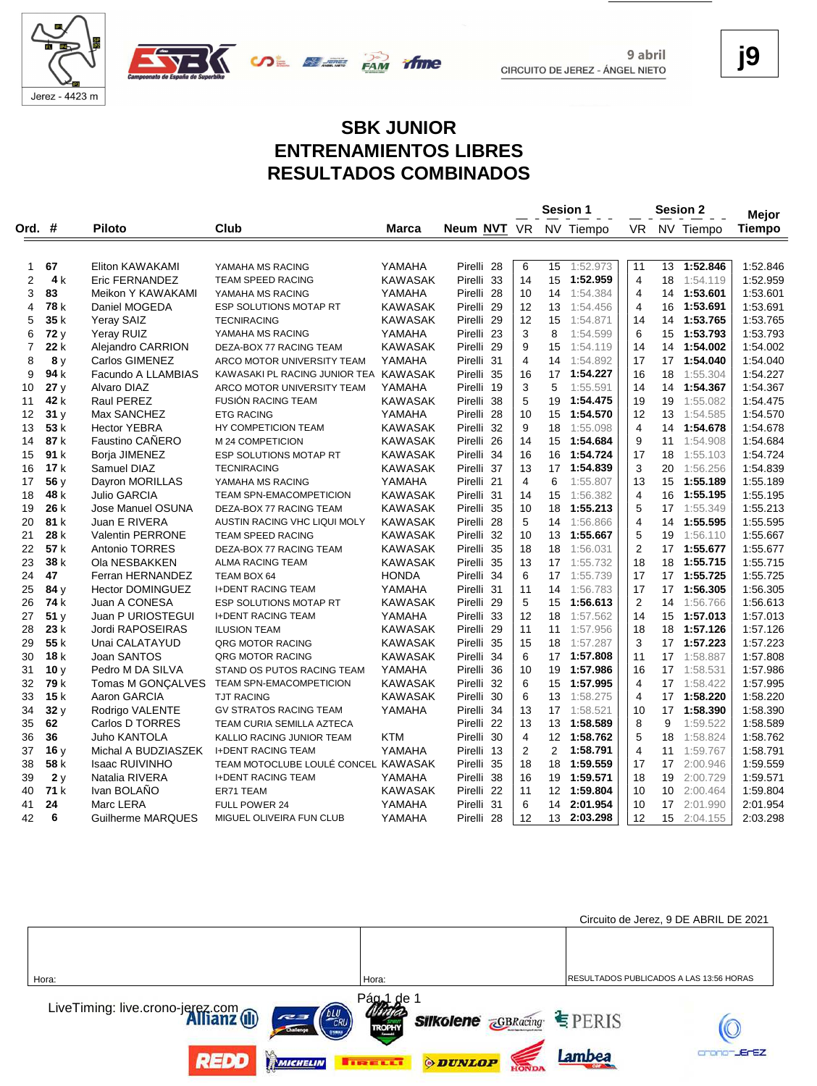



**j9**

#### **SBK JUNIOR ENTRENAMIENTOS LIBRES RESULTADOS COMBINADOS**

**FAM** 

rfme

**UDE ELETT** 

|              |      |                         |                                       |                |                       |                |                | Sesion 1    |                |    | Sesion 2    | <b>Mejor</b> |
|--------------|------|-------------------------|---------------------------------------|----------------|-----------------------|----------------|----------------|-------------|----------------|----|-------------|--------------|
| Ord. #       |      | <b>Piloto</b>           | Club                                  | Marca          | Neum NVT VR           |                |                | NV Tiempo   | VR             |    | NV Tiempo   | Tiempo       |
|              |      |                         |                                       |                |                       |                |                |             |                |    |             |              |
| $\mathbf{1}$ | 67   | Eliton KAWAKAMI         | YAMAHA MS RACING                      | YAMAHA         | Pirelli 28            | 6              | 15             | 1:52.973    | 11             | 13 | 1:52.846    | 1:52.846     |
| 2            | 4 k  | Eric FERNANDEZ          | TEAM SPEED RACING                     | <b>KAWASAK</b> | Pirelli 33            | 14             | 15             | 1:52.959    | $\overline{4}$ | 18 | 1:54.119    | 1:52.959     |
| 3            | 83   | Meikon Y KAWAKAMI       | YAMAHA MS RACING                      | YAMAHA         | Pirelli 28            | 10             | 14             | 1:54.384    | 4              | 14 | 1:53.601    | 1:53.601     |
| 4            | 78 k | Daniel MOGEDA           | ESP SOLUTIONS MOTAP RT                | <b>KAWASAK</b> | Pirelli <sub>29</sub> | 12             | 13             | 1:54.456    | 4              | 16 | 1:53.691    | 1:53.691     |
| 5            | 35 k | <b>Yeray SAIZ</b>       | <b>TECNIRACING</b>                    | KAWASAK        | Pirelli 29            | 12             | 15             | 1:54.871    | 14             | 14 | 1:53.765    | 1:53.765     |
| 6            | 72 y | Yeray RUIZ              | YAMAHA MS RACING                      | YAMAHA         | Pirelli 23            | 3              | 8              | 1:54.599    | 6              | 15 | 1:53.793    | 1:53.793     |
| 7            | 22 k | Alejandro CARRION       | DEZA-BOX 77 RACING TEAM               | <b>KAWASAK</b> | Pirelli 29            | 9              | 15             | 1:54.119    | 14             | 14 | 1:54.002    | 1:54.002     |
| 8            | 8 y  | Carlos GIMENEZ          | ARCO MOTOR UNIVERSITY TEAM            | YAMAHA         | Pirelli 31            | $\overline{4}$ | 14             | 1:54.892    | 17             | 17 | 1:54.040    | 1:54.040     |
| 9            | 94 k | Facundo A LLAMBIAS      | KAWASAKI PL RACING JUNIOR TEA KAWASAK |                | Pirelli 35            | 16             | 17             | 1:54.227    | 16             | 18 | 1:55.304    | 1:54.227     |
| 10           | 27y  | Alvaro DIAZ             | ARCO MOTOR UNIVERSITY TEAM            | YAMAHA         | Pirelli 19            | 3              | 5              | 1:55.591    | 14             | 14 | 1:54.367    | 1:54.367     |
| 11           | 42 k | <b>Raul PEREZ</b>       | <b>FUSIÓN RACING TEAM</b>             | <b>KAWASAK</b> | Pirelli 38            | 5              | 19             | 1:54.475    | 19             | 19 | 1:55.082    | 1:54.475     |
| 12           | 31y  | Max SANCHEZ             | <b>ETG RACING</b>                     | YAMAHA         | Pirelli 28            | 10             | 15             | 1:54.570    | 12             | 13 | 1:54.585    | 1:54.570     |
| 13           | 53 k | <b>Hector YEBRA</b>     | HY COMPETICION TEAM                   | <b>KAWASAK</b> | Pirelli 32            | 9              | 18             | 1:55.098    | $\overline{4}$ | 14 | 1:54.678    | 1:54.678     |
| 14           | 87 k | Faustino CAÑERO         | M 24 COMPETICION                      | <b>KAWASAK</b> | Pirelli <sub>26</sub> | 14             | 15             | 1:54.684    | 9              | 11 | 1:54.908    | 1:54.684     |
| 15           | 91 k | Borja JIMENEZ           | ESP SOLUTIONS MOTAP RT                | KAWASAK        | Pirelli 34            | 16             | 16             | 1:54.724    | 17             | 18 | 1:55.103    | 1:54.724     |
| 16           | 17k  | Samuel DIAZ             | <b>TECNIRACING</b>                    | <b>KAWASAK</b> | Pirelli 37            | 13             | 17             | 1:54.839    | 3              | 20 | 1:56.256    | 1:54.839     |
| 17           | 56 y | Dayron MORILLAS         | YAMAHA MS RACING                      | YAMAHA         | Pirelli 21            | 4              | 6              | 1:55.807    | 13             | 15 | 1:55.189    | 1:55.189     |
| 18           | 48 k | <b>Julio GARCIA</b>     | TEAM SPN-EMACOMPETICION               | <b>KAWASAK</b> | Pirelli 31            | 14             | 15             | 1:56.382    | $\overline{4}$ | 16 | 1:55.195    | 1:55.195     |
| 19           | 26 k | Jose Manuel OSUNA       | DEZA-BOX 77 RACING TEAM               | <b>KAWASAK</b> | Pirelli 35            | 10             | 18             | 1:55.213    | 5              | 17 | 1:55.349    | 1:55.213     |
| 20           | 81 k | Juan E RIVERA           | AUSTIN RACING VHC LIQUI MOLY          | KAWASAK        | Pirelli 28            | 5              | 14             | 1:56.866    | 4              | 14 | 1:55.595    | 1:55.595     |
| 21           | 28 k | <b>Valentin PERRONE</b> | TEAM SPEED RACING                     | <b>KAWASAK</b> | Pirelli 32            | 10             | 13             | 1:55.667    | 5              | 19 | 1:56.110    | 1:55.667     |
| 22           | 57 k | <b>Antonio TORRES</b>   | DEZA-BOX 77 RACING TEAM               | <b>KAWASAK</b> | Pirelli 35            | 18             | 18             | 1:56.031    | $\overline{2}$ |    | 17 1:55.677 | 1:55.677     |
| 23           | 38 k | Ola NESBAKKEN           | <b>ALMA RACING TEAM</b>               | <b>KAWASAK</b> | Pirelli 35            | 13             | 17             | 1:55.732    | 18             | 18 | 1:55.715    | 1:55.715     |
| 24           | 47   | Ferran HERNANDEZ        | TEAM BOX 64                           | <b>HONDA</b>   | Pirelli 34            | 6              | 17             | 1:55.739    | 17             | 17 | 1:55.725    | 1:55.725     |
| 25           | 84 y | <b>Hector DOMINGUEZ</b> | <b>I+DENT RACING TEAM</b>             | YAMAHA         | Pirelli 31            | 11             | 14             | 1:56.783    | 17             | 17 | 1:56.305    | 1:56.305     |
| 26           | 74 k | Juan A CONESA           | ESP SOLUTIONS MOTAP RT                | <b>KAWASAK</b> | Pirelli 29            | 5              | 15             | 1:56.613    | 2              | 14 | 1:56.766    | 1:56.613     |
| 27           | 51y  | Juan P URIOSTEGUI       | <b>I+DENT RACING TEAM</b>             | YAMAHA         | Pirelli 33            | 12             | 18             | 1:57.562    | 14             |    | 15 1:57.013 | 1:57.013     |
| 28           | 23k  | Jordi RAPOSEIRAS        | <b>ILUSION TEAM</b>                   | <b>KAWASAK</b> | Pirelli 29            | 11             | 11             | 1:57.956    | 18             | 18 | 1:57.126    | 1:57.126     |
| 29           | 55 k | Unai CALATAYUD          | QRG MOTOR RACING                      | KAWASAK        | Pirelli 35            | 15             | 18             | 1:57.287    | 3              | 17 | 1:57.223    | 1:57.223     |
| 30           | 18k  | Joan SANTOS             | <b>QRG MOTOR RACING</b>               | <b>KAWASAK</b> | Pirelli 34            | 6              |                | 17 1:57.808 | 11             | 17 | 1:58.887    | 1:57.808     |
| 31           | 10y  | Pedro M DA SILVA        | STAND OS PUTOS RACING TEAM            | YAMAHA         | Pirelli<br>36         | 10             | 19             | 1:57.986    | 16             | 17 | 1:58.531    | 1:57.986     |
| 32           | 79 k | Tomas M GONÇALVES       | TEAM SPN-EMACOMPETICION               | <b>KAWASAK</b> | Pirelli 32            | 6              |                | 15 1:57.995 | $\overline{4}$ | 17 | 1:58.422    | 1:57.995     |
| 33           | 15k  | Aaron GARCIA            | <b>TJT RACING</b>                     | <b>KAWASAK</b> | Pirelli 30            | 6              | 13             | 1:58.275    | 4              | 17 | 1:58.220    | 1:58.220     |
| 34           | 32y  | Rodrigo VALENTE         | <b>GV STRATOS RACING TEAM</b>         | YAMAHA         | Pirelli 34            | 13             | 17             | 1:58.521    | 10             | 17 | 1:58.390    | 1:58.390     |
| 35           | 62   | Carlos D TORRES         | TEAM CURIA SEMILLA AZTECA             |                | Pirelli <sub>22</sub> | 13             | 13             | 1:58.589    | 8              | 9  | 1:59.522    | 1:58.589     |
| 36           | 36   | <b>Juho KANTOLA</b>     | KALLIO RACING JUNIOR TEAM             | <b>KTM</b>     | Pirelli 30            | 4              |                | 12 1:58.762 | 5              | 18 | 1:58.824    | 1:58.762     |
| 37           | 16y  | Michal A BUDZIASZEK     | <b>I+DENT RACING TEAM</b>             | YAMAHA         | Pirelli 13            | $\overline{2}$ | $\overline{2}$ | 1:58.791    | 4              | 11 | 1:59.767    | 1:58.791     |
| 38           | 58 k | <b>Isaac RUIVINHO</b>   | TEAM MOTOCLUBE LOULÉ CONCEL KAWASAK   |                | Pirelli 35            | 18             | 18             | 1:59.559    | 17             | 17 | 2:00.946    | 1:59.559     |
| 39           | 2y   | Natalia RIVERA          | <b>I+DENT RACING TEAM</b>             | YAMAHA         | Pirelli 38            | 16             | 19             | 1:59.571    | 18             | 19 | 2:00.729    | 1:59.571     |
| 40           | 71 k | Ivan BOLANO             | ER71 TEAM                             | <b>KAWASAK</b> | Pirelli 22            | 11             |                | 12 1:59.804 | 10             | 10 | 2:00.464    | 1:59.804     |
| 41           | 24   | Marc LERA               | FULL POWER 24                         | YAMAHA         | Pirelli 31            | 6              | 14             | 2:01.954    | 10             | 17 | 2:01.990    | 2:01.954     |
| 42           | 6    | Guilherme MARQUES       | MIGUEL OLIVEIRA FUN CLUB              | YAMAHA         | Pirelli 28            | 12             |                | 13 2:03.298 | 12             | 15 | 2:04.155    | 2:03.298     |

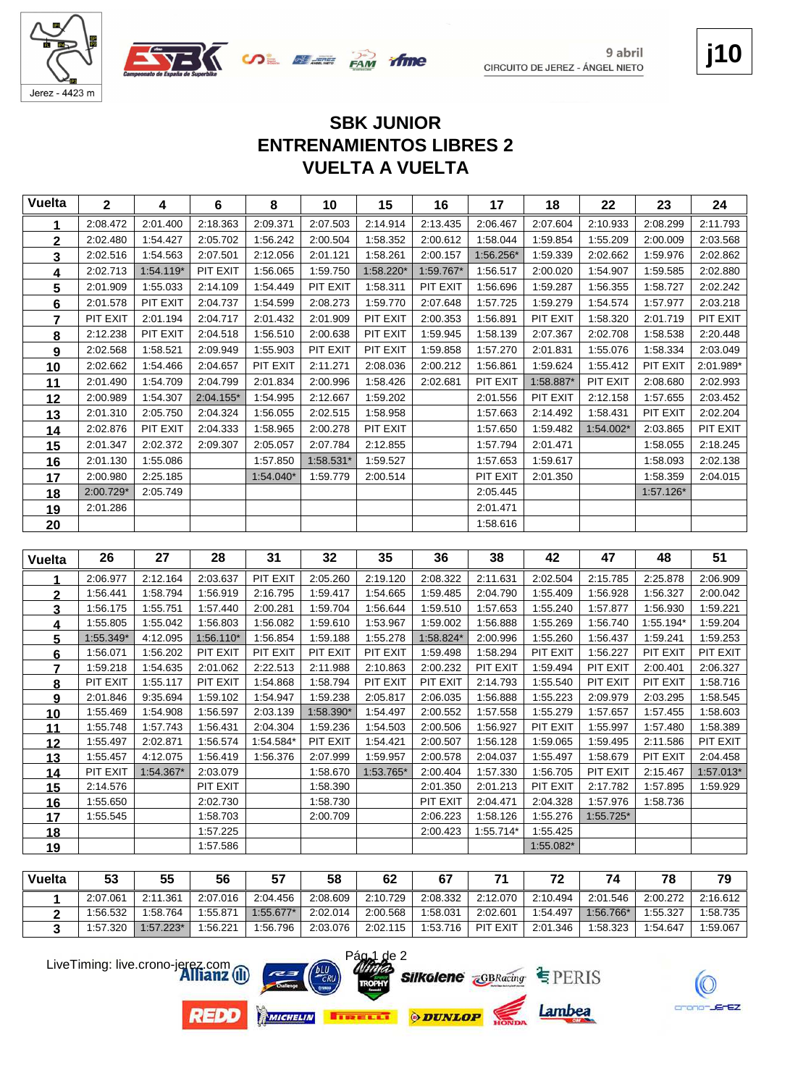



### **j10**

### **VUELTA A VUELTA ENTRENAMIENTOS LIBRES 2 SBK JUNIOR**

| <b>Vuelta</b>           | $\mathbf{2}$         | 4         | $6\phantom{a}$       | 8         | 10                   | 15        | 16                   | 17                   | 18                   | 22                    | 23        | 24        |
|-------------------------|----------------------|-----------|----------------------|-----------|----------------------|-----------|----------------------|----------------------|----------------------|-----------------------|-----------|-----------|
| 1                       | 2:08.472             | 2:01.400  | 2:18.363             | 2:09.371  | 2:07.503             | 2:14.914  | 2:13.435             | 2:06.467             | 2:07.604             | 2:10.933              | 2:08.299  | 2:11.793  |
| $\overline{\mathbf{2}}$ | 2:02.480             | 1:54.427  | 2:05.702             | 1:56.242  | 2:00.504             | 1:58.352  | 2:00.612             | 1:58.044             | 1:59.854             | 1:55.209              | 2:00.009  | 2:03.568  |
| 3                       | 2:02.516             | 1:54.563  | 2:07.501             | 2:12.056  | 2:01.121             | 1:58.261  | 2:00.157             | 1:56.256*            | 1:59.339             | 2:02.662              | 1:59.976  | 2:02.862  |
| 4                       | 2:02.713             | 1:54.119* | PIT EXIT             | 1:56.065  | 1:59.750             | 1:58.220* | 1:59.767*            | 1:56.517             | 2:00.020             | 1:54.907              | 1:59.585  | 2:02.880  |
| 5                       | 2:01.909             | 1:55.033  | 2:14.109             | 1:54.449  | PIT EXIT             | 1:58.311  | PIT EXIT             | 1:56.696             | 1:59.287             | 1:56.355              | 1:58.727  | 2:02.242  |
| 6                       | 2:01.578             | PIT EXIT  | 2:04.737             | 1:54.599  | 2:08.273             | 1:59.770  | 2:07.648             | 1:57.725             | 1:59.279             | 1:54.574              | 1:57.977  | 2:03.218  |
| $\overline{7}$          | PIT EXIT             | 2:01.194  | 2:04.717             | 2:01.432  | 2:01.909             | PIT EXIT  | 2:00.353             | 1:56.891             | PIT EXIT             | 1:58.320              | 2:01.719  | PIT EXIT  |
| 8                       | 2:12.238             | PIT EXIT  | 2:04.518             | 1:56.510  | 2:00.638             | PIT EXIT  | 1:59.945             | 1:58.139             | 2:07.367             | 2:02.708              | 1:58.538  | 2:20.448  |
| 9                       | 2:02.568             | 1:58.521  | 2:09.949             | 1:55.903  | PIT EXIT             | PIT EXIT  | 1:59.858             | 1:57.270             | 2:01.831             | 1:55.076              | 1:58.334  | 2:03.049  |
| 10                      | 2:02.662             | 1:54.466  | 2:04.657             | PIT EXIT  | 2:11.271             | 2:08.036  | 2:00.212             | 1:56.861             | 1:59.624             | 1:55.412              | PIT EXIT  | 2:01.989* |
| 11                      | 2:01.490             | 1:54.709  | 2:04.799             | 2:01.834  | 2:00.996             | 1:58.426  | 2:02.681             | PIT EXIT             | 1:58.887*            | PIT EXIT              | 2:08.680  | 2:02.993  |
| 12                      | 2:00.989             | 1:54.307  | $2:04.155*$          | 1:54.995  | 2:12.667             | 1:59.202  |                      | 2:01.556             | PIT EXIT             | 2:12.158              | 1:57.655  | 2:03.452  |
| 13                      | 2:01.310             | 2:05.750  | 2:04.324             | 1:56.055  | 2:02.515             | 1:58.958  |                      | 1:57.663             | 2:14.492             | 1:58.431              | PIT EXIT  | 2:02.204  |
| 14                      | 2:02.876             | PIT EXIT  | 2:04.333             | 1:58.965  | 2:00.278             | PIT EXIT  |                      | 1:57.650             | 1:59.482             | 1:54.002*             | 2:03.865  | PIT EXIT  |
| 15                      | 2:01.347             | 2:02.372  | 2:09.307             | 2:05.057  | 2:07.784             | 2:12.855  |                      | 1:57.794             | 2:01.471             |                       | 1:58.055  | 2:18.245  |
| 16                      | 2:01.130             | 1:55.086  |                      | 1:57.850  | 1:58.531*            | 1:59.527  |                      | 1:57.653             | 1:59.617             |                       | 1:58.093  | 2:02.138  |
| 17                      | 2:00.980             | 2:25.185  |                      | 1:54.040* | 1:59.779             | 2:00.514  |                      | PIT EXIT             | 2:01.350             |                       | 1:58.359  | 2:04.015  |
| 18                      | 2:00.729*            | 2:05.749  |                      |           |                      |           |                      | 2:05.445             |                      |                       | 1:57.126* |           |
| 19                      | 2:01.286             |           |                      |           |                      |           |                      | 2:01.471             |                      |                       |           |           |
| 20                      |                      |           |                      |           |                      |           |                      | 1:58.616             |                      |                       |           |           |
|                         |                      |           |                      |           |                      |           |                      |                      |                      |                       |           |           |
| <b>Vuelta</b>           | 26                   | 27        | 28                   | 31        | 32                   | 35        | 36                   | 38                   | 42                   | 47                    | 48        | 51        |
| 1                       | 2:06.977             | 2:12.164  | 2:03.637             | PIT EXIT  | 2:05.260             | 2:19.120  | 2:08.322             | 2:11.631             | 2:02.504             | 2:15.785              | 2:25.878  | 2:06.909  |
| $\overline{2}$          | 1:56.441             |           |                      |           |                      |           |                      |                      | 1:55.409             |                       |           |           |
| 3                       |                      | 1:58.794  | 1:56.919             | 2:16.795  | 1:59.417             | 1:54.665  | 1:59.485             | 2:04.790             |                      | 1:56.928              | 1:56.327  | 2:00.042  |
| 4                       | 1:56.175             | 1:55.751  | 1:57.440             | 2:00.281  | 1:59.704             | 1:56.644  | 1:59.510             | 1:57.653             | 1:55.240             | 1:57.877              | 1:56.930  | 1:59.221  |
|                         | 1:55.805             | 1:55.042  | 1:56.803             | 1:56.082  | 1:59.610             | 1:53.967  | 1:59.002             | 1:56.888             | 1:55.269             | 1:56.740              | 1:55.194* | 1:59.204  |
| 5                       | 1:55.349*            | 4:12.095  | $1:56.110*$          | 1:56.854  | 1:59.188             | 1:55.278  | 1:58.824*            | 2:00.996             | 1:55.260             | 1:56.437              | 1:59.241  | 1:59.253  |
| 6                       | 1:56.071             | 1:56.202  | PIT EXIT             | PIT EXIT  | PIT EXIT             | PIT EXIT  | 1:59.498             | 1:58.294             | PIT EXIT             | 1:56.227              | PIT EXIT  | PIT EXIT  |
| $\overline{7}$          | 1:59.218             | 1:54.635  | 2:01.062             | 2:22.513  | 2:11.988             | 2:10.863  | 2:00.232             | PIT EXIT             | 1:59.494             | PIT EXIT              | 2:00.401  | 2:06.327  |
| 8                       | PIT EXIT             | 1:55.117  | PIT EXIT             | 1:54.868  | 1:58.794             | PIT EXIT  | PIT EXIT             | 2:14.793             | 1:55.540             | PIT EXIT              | PIT EXIT  | 1:58.716  |
| 9                       | 2:01.846             | 9:35.694  | 1:59.102             | 1:54.947  | 1:59.238             | 2:05.817  | 2:06.035             | 1:56.888             | 1:55.223             | 2:09.979              | 2:03.295  | 1:58.545  |
| 10                      | 1:55.469             | 1:54.908  | 1:56.597             | 2:03.139  | 1:58.390*            | 1:54.497  | 2:00.552             | 1:57.558             | 1:55.279             | 1:57.657              | 1:57.455  | 1:58.603  |
| 11                      | 1:55.748             | 1:57.743  | 1:56.431             | 2:04.304  | 1:59.236             | 1:54.503  | 2:00.506             | 1:56.927             | PIT EXIT             | 1:55.997              | 1:57.480  | 1:58.389  |
| 12                      | 1:55.497             | 2:02.871  | 1:56.574             | 1:54.584* | PIT EXIT             | 1:54.421  | 2:00.507             | 1:56.128             | 1:59.065             | 1:59.495              | 2:11.586  | PIT EXIT  |
| 13                      | 1:55.457             | 4:12.075  | 1:56.419             | 1:56.376  | 2:07.999             | 1:59.957  | 2:00.578             | 2:04.037             | 1:55.497             | 1:58.679              | PIT EXIT  | 2:04.458  |
| 14                      | PIT EXIT             | 1:54.367* | 2:03.079             |           | 1:58.670             | 1:53.765* | 2:00.404             | 1:57.330             | 1:56.705             | PIT EXIT              | 2:15.467  | 1:57.013* |
| 15                      | 2:14.576             |           | PIT EXIT             |           | 1:58.390             |           | 2:01.350             | 2:01.213             | PIT EXIT             | 2:17.782              | 1:57.895  | 1:59.929  |
| <u>16</u>               | 1:55.650<br>1:55.545 |           | 2:02.730<br>1:58.703 |           | 1:58.730<br>2:00.709 |           | PIT EXIT<br>2:06.223 | 2:04.471<br>1:58.126 | 2:04.328<br>1:55.276 | 1:57.976<br>1:55.725* | 1:58.736  |           |
| 17<br><u>18</u>         |                      |           | 1:57.225             |           |                      |           | 2:00.423             | 1:55.714*            | 1:55.425             |                       |           |           |

| Vuelta | 53       | 55          | 56       |             | 58       | 62       | 67       |          |          |           | 70       |          |
|--------|----------|-------------|----------|-------------|----------|----------|----------|----------|----------|-----------|----------|----------|
|        | 2:07.061 | 2:11.361    | 2:07.016 | 2:04.456    | 2:08.609 | 2:10.729 | 2:08.332 | 2:12.070 | 2:10.494 | 2:01.546  | 2:00.272 | 2:16.612 |
|        | 1:56.532 | 1:58.764    | 1:55.871 | $1:55.677*$ | 2:02.014 | 2:00.568 | 1:58.031 | 2:02.601 | 1:54.497 | 1:56.766* | 1:55.327 | 1:58.735 |
|        | 1:57.320 | $1:57.223*$ | 1:56.221 | 1:56.796    | 2:03.076 | 2:02.115 | 1:53.716 | PIT EXIT | 2:01.346 | 1:58.323  | 1:54.647 | 1:59.067 |



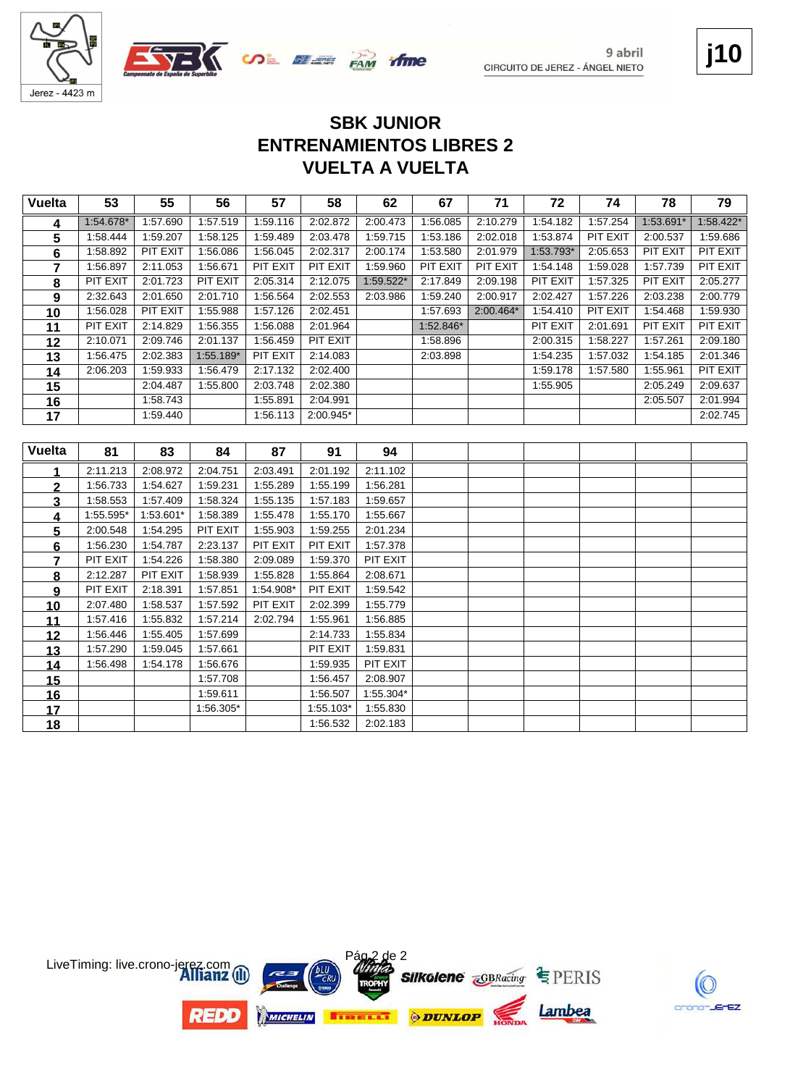



1:59.611

 1:56.305\* 1:55.103\* 1:55.830<br>**18** 1:56.532 2:02.183 1:56.532 2:02.183

9 abril CIRCUITO DE JEREZ - ÁNGEL NIETO **j10**

### **VUELTA A VUELTA ENTRENAMIENTOS LIBRES 2 SBK JUNIOR**

| <b>Vuelta</b>  | 53        | 55        | 56        | 57        | 58        | 62        | 67        | 71          | 72        | 74       | 78        | 79        |
|----------------|-----------|-----------|-----------|-----------|-----------|-----------|-----------|-------------|-----------|----------|-----------|-----------|
| 4              | 1:54.678* | 1:57.690  | 1:57.519  | 1:59.116  | 2:02.872  | 2:00.473  | 1:56.085  | 2:10.279    | 1:54.182  | 1:57.254 | 1:53.691* | 1:58.422* |
| 5              | 1:58.444  | 1:59.207  | 1:58.125  | 1:59.489  | 2:03.478  | 1:59.715  | 1:53.186  | 2:02.018    | 1:53.874  | PIT EXIT | 2:00.537  | 1:59.686  |
| 6              | 1:58.892  | PIT EXIT  | 1:56.086  | 1:56.045  | 2:02.317  | 2:00.174  | 1:53.580  | 2:01.979    | 1:53.793* | 2:05.653 | PIT EXIT  | PIT EXIT  |
| $\overline{7}$ | 1:56.897  | 2:11.053  | 1:56.671  | PIT EXIT  | PIT EXIT  | 1:59.960  | PIT EXIT  | PIT EXIT    | 1:54.148  | 1:59.028 | 1:57.739  | PIT EXIT  |
| 8              | PIT EXIT  | 2:01.723  | PIT EXIT  | 2:05.314  | 2:12.075  | 1:59.522* | 2:17.849  | 2:09.198    | PIT EXIT  | 1:57.325 | PIT EXIT  | 2:05.277  |
| 9              | 2:32.643  | 2:01.650  | 2:01.710  | 1:56.564  | 2:02.553  | 2:03.986  | 1:59.240  | 2:00.917    | 2:02.427  | 1:57.226 | 2:03.238  | 2:00.779  |
| 10             | 1:56.028  | PIT EXIT  | 1:55.988  | 1:57.126  | 2:02.451  |           | 1:57.693  | $2:00.464*$ | 1:54.410  | PIT EXIT | 1:54.468  | 1:59.930  |
| 11             | PIT EXIT  | 2:14.829  | 1:56.355  | 1:56.088  | 2:01.964  |           | 1:52.846* |             | PIT EXIT  | 2:01.691 | PIT EXIT  | PIT EXIT  |
| 12             | 2:10.071  | 2:09.746  | 2:01.137  | 1:56.459  | PIT EXIT  |           | 1:58.896  |             | 2:00.315  | 1:58.227 | 1:57.261  | 2:09.180  |
| 13             | 1:56.475  | 2:02.383  | 1:55.189* | PIT EXIT  | 2:14.083  |           | 2:03.898  |             | 1:54.235  | 1:57.032 | 1:54.185  | 2:01.346  |
| 14             | 2:06.203  | 1:59.933  | 1:56.479  | 2:17.132  | 2:02.400  |           |           |             | 1:59.178  | 1:57.580 | 1:55.961  | PIT EXIT  |
| 15             |           | 2:04.487  | 1:55.800  | 2:03.748  | 2:02.380  |           |           |             | 1:55.905  |          | 2:05.249  | 2:09.637  |
| 16             |           | 1:58.743  |           | 1:55.891  | 2:04.991  |           |           |             |           |          | 2:05.507  | 2:01.994  |
| 17             |           | 1:59.440  |           | 1:56.113  | 2:00.945* |           |           |             |           |          |           | 2:02.745  |
|                |           |           |           |           |           |           |           |             |           |          |           |           |
| <b>Vuelta</b>  | 81        | 83        | 84        | 87        | 91        | 94        |           |             |           |          |           |           |
|                | 2:11.213  | 2:08.972  | 2:04.751  | 2:03.491  | 2:01.192  | 2:11.102  |           |             |           |          |           |           |
| $\overline{2}$ | 1:56.733  | 1:54.627  | 1:59.231  | 1:55.289  | 1:55.199  | 1:56.281  |           |             |           |          |           |           |
| 3              | 1:58.553  | 1:57.409  | 1:58.324  | 1:55.135  | 1:57.183  | 1:59.657  |           |             |           |          |           |           |
| 4              | 1:55.595* | 1:53.601* | 1:58.389  | 1:55.478  | 1:55.170  | 1:55.667  |           |             |           |          |           |           |
| 5              | 2:00.548  | 1:54.295  | PIT EXIT  | 1:55.903  | 1:59.255  | 2:01.234  |           |             |           |          |           |           |
| 6              | 1:56.230  | 1:54.787  | 2:23.137  | PIT EXIT  | PIT EXIT  | 1:57.378  |           |             |           |          |           |           |
| 7              | PIT EXIT  | 1:54.226  | 1:58.380  | 2:09.089  | 1:59.370  | PIT EXIT  |           |             |           |          |           |           |
| 8              | 2:12.287  | PIT EXIT  | 1:58.939  | 1:55.828  | 1:55.864  | 2:08.671  |           |             |           |          |           |           |
| 9              | PIT EXIT  | 2:18.391  | 1:57.851  | 1:54.908* | PIT EXIT  | 1:59.542  |           |             |           |          |           |           |
| 10             | 2:07.480  | 1:58.537  | 1:57.592  | PIT EXIT  | 2:02.399  | 1:55.779  |           |             |           |          |           |           |
| 11             | 1:57.416  | 1:55.832  | 1:57.214  | 2:02.794  | 1:55.961  | 1:56.885  |           |             |           |          |           |           |
| 12             | 1:56.446  | 1:55.405  | 1:57.699  |           | 2:14.733  | 1:55.834  |           |             |           |          |           |           |
| 13             | 1:57.290  | 1:59.045  | 1:57.661  |           | PIT EXIT  | 1:59.831  |           |             |           |          |           |           |
| 14             | 1:56.498  | 1:54.178  | 1:56.676  |           | 1:59.935  | PIT EXIT  |           |             |           |          |           |           |
| 15             |           |           | 1:57.708  |           | 1:56.457  | 2:08.907  |           |             |           |          |           |           |
| 16             |           |           | 1:59.611  |           | 1:56.507  | 1:55.304* |           |             |           |          |           |           |

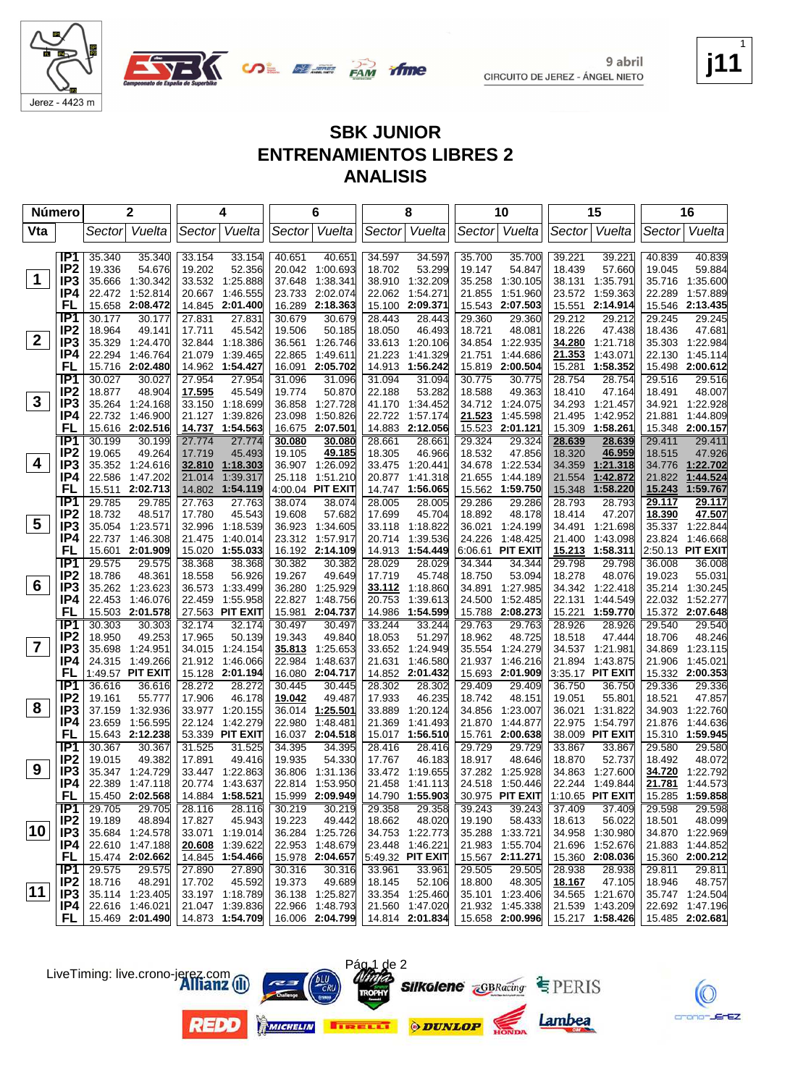



#### **SBK JUNIOR ENTRENAMIENTOS LIBRES 2 ANALISIS**

| Sector Vuelta<br>Sector Vuelta<br>Vuelta<br>Vta<br>Vuelta<br>Sector<br>Sector Vuelta<br>Sector Vuelta<br>Vuelta<br>Sector<br>Sector<br>IP <sub>1</sub><br>35.340<br>35.340<br>33.154<br>33.154<br>40.651<br>40.651<br>34.597<br>34.597<br>35.700<br>35.700<br>39.221<br>39.221<br>40.839<br>40.839<br>IP <sub>2</sub><br>52.356<br>53.299<br>19.336<br>54.676<br>19.202<br>20.042 1:00.693<br>18.702<br>19.147<br>54.847<br>18.439<br>57.660<br>19.045<br>59.884<br>$\mathbf 1$<br>IP3<br>35.258<br>35.666<br>1:30.342<br>33.532<br>1:25.888<br>37.648<br>1.38.341<br>38.910<br>1:32.209<br>1:30.105<br>38.131<br>1:35.791<br>35.716<br>1:35.600<br>IP4<br>22.472 1:52.814<br>20.667 1:46.555<br>2:02.074<br>1:54.271<br>1:51.960<br>1:59.363<br>1:57.889<br>23.733<br>22.062<br>21.855<br>23.572<br>22.289<br>FL<br>2:08.472<br>14.845 2:01.400<br>2:18.363<br>2:09.371<br>15.543<br>2:07.503<br>2:14.914<br>15.546 2:13.435<br>15.658<br>16.289<br>15.100<br>15.551<br>IP <sub>1</sub><br>30.177<br>30.177<br>27.831<br>27.831<br>30.679<br>30.679<br>28.443<br>29.360<br>29.212<br>29.212<br>29.245<br>29.245<br>28.443<br>29.360<br>IP <sub>2</sub><br>47.681<br>18.964<br>49.141<br>17.711<br>45.542<br>19.506<br>50.185<br>46.493<br>18.721<br>48.081<br>18.226<br>47.438<br>18.436<br>18.050<br>$2^{\circ}$<br>IP3<br>35.329<br>1:24.470<br>32.844 1:18.386<br>1:26.746<br>34.854<br>1:22.935<br>34.280<br>1:21.718<br>35.303 1:22.984<br>36.561<br>33.613<br>1:20.106<br>IP4<br>22.294<br>1:46.764<br>21.079<br>1:39.465<br>1.49.611<br>21.223<br>1:41.329<br>21.751<br>1:44.686<br>21.353<br>1:43.071<br>22.130<br>1:45.114<br>22.865<br>FL<br>15.716 2:02.480<br>14.962<br>1:54.427<br>2:05.702<br>14.913<br>1:56.242<br>15.819<br>2:00.504<br>15.281<br>1:58.352<br>15.498<br>2:00.612<br>16.091<br>IP <sub>1</sub><br>30.027<br>30.027<br>27.954<br>27.954<br>31.096<br>31.094<br>31.094<br>30.775<br>28.754<br>28.754<br>29.516<br>29.516<br>31.096<br>30.775<br>IP <sub>2</sub><br>18.877<br>48.904<br>17.595<br>45.549<br>19.774<br>50.870<br>22.188<br>53.282<br>18.588<br>49.363<br>18.410<br>47.164<br>18.491<br>48.007<br>$\mathbf{3}$<br>IP <sub>3</sub><br>33.150<br>35.264 1:24.168<br>1:18.699<br>36.858<br>1:27.728<br>41.170<br>1:34.452<br>34.712 1:24.075<br>34.293<br>1:21.457<br>34.921<br>1:22.928<br>IP4<br>22.732 1:46.900<br>1:39.826<br>22.722<br>1:57.174<br>21.523<br>1:45.598<br>21.495<br>1:42.952<br>1:44.809<br>21.127<br>23.098<br>1:50.826<br>21.881<br>FL<br>15.616<br>2:02.516<br>14.737<br>1:54.563<br>2:07.501<br>14.883<br>2:12.056<br>15.523<br>2:01.121<br>15.309<br>1:58.261<br>15.348 2:00.157<br>16.675<br>IP <sub>1</sub><br>30.199<br>30.199<br>27.774<br>27.774<br>28.661<br>29.324<br>29.411<br>30.080<br>30.080<br>28.661<br>29.324<br>28.639<br>28.639<br>29.411<br>IP <sub>2</sub><br>19.065<br>49.264<br>17.719<br>45.493<br>49.185<br>18.305<br>46.966<br>18.532<br>47.856<br>18.320<br>46.959<br>18.515<br>47.926<br>19.105<br>4<br>IP <sub>3</sub><br>34.776 1:22.702<br>35.352 1:24.616<br>32.810 1:18.303<br>36.907 1:26.092<br>33.475<br>1:20.441<br>34.678<br>1:22.534<br>34.359<br>1:21.318<br>IP4<br>1:39.317<br>22.586<br>1:47.202<br>21.014<br>25.118<br>1:51.210<br>20.877<br>1:41.318<br>21.655<br>1:44.189<br>21.554<br>1:42.872<br>21.822<br>1:44.524<br>15.511 2:02.713<br>4:00.04 PIT EXIT<br>15.243<br>1:59.767<br>FL<br>14.802 1:54.119<br>14.747<br>1:56.065<br>15.562 1:59.750<br>15.348<br>1:58.220<br>IP <sub>1</sub><br>29.785<br>29.785<br>27.763<br>27.763<br>38.074<br>38.074<br>28.005<br>28.005<br>29.286<br>29.286<br>28.793<br>28.793<br>29.117<br>29.117<br>IP <sub>2</sub><br>47.507<br>18.732<br>48.517<br>45.543<br>57.682<br>17.699<br>45.704<br>18.892<br>48.178<br>18.414<br>47.207<br>18.390<br>17.780<br>19.608<br>$\overline{\mathbf{5}}$<br>IP <sub>3</sub><br>35.054<br>1:23.571<br>32.996<br>1:18.539<br>36.923<br>1:34.605<br>33.118<br>1:18.822<br>36.021<br>1:24.199<br>34.491<br>1:21.698<br>35.337<br>1:22.844<br>IP4<br>21.400<br>22.737<br>1:46.308<br>21.475<br>1:40.014<br>23.312 1:57.917<br>20.714<br>1:39.536<br>24.226<br>1:48.425<br>1:43.098<br>23.824<br>1:46.668<br>15.601 2:01.909<br>6:06.61 PIT EXIT<br>2:50.13 PIT EXIT<br>FL<br>15.020 1:55.033<br>16.192 2:14.109<br>14.913<br>1:54.449<br>15.213<br>1:58.311<br>IP <sub>1</sub><br>29.575<br>29.575<br>38.368<br>38.368<br>30.382<br>30.382<br>28.029<br>28.029<br>34.344<br>34.344<br>29.798<br>29.798<br>36.008<br>36.008<br>IP <sub>2</sub><br>18.786<br>48.361<br>18.558<br>56.926<br>19.267<br>49.649<br>17.719<br>45.748<br>18.750<br>53.094<br>18.278<br>48.076<br>19.023<br>55.031<br>6<br>IP <sub>3</sub><br>35.262 1:23.623<br>1:33.499<br>36.280<br>1:25.929<br>34.891<br>34.342 1:22.418<br>35.214 1:30.245<br>36.573<br>33.112<br>1:18.860<br>1:27.985<br>IP4<br>1:55.958<br>1:48.756<br>1:44.549<br>1:52.277<br>22.453<br>1:46.076<br>22.459<br>22.827<br>20.753<br>1:39.613<br>24.500<br>1:52.485<br>22.131<br>22.032<br>FL<br>15.503 2:01.578<br>27.563 PIT EXIT<br>15.981<br>2:04.737<br>15.372 2:07.648<br>14.986<br>1:54.599<br>15.788<br>2:08.273<br>15.221<br>1:59.770<br>IP1<br>30.303<br>30.303<br>32.174<br>32.174<br>30.497<br>30.497<br>33.244<br>33.244<br>29.763<br>29.763<br>28.926<br>28.926<br>29.540<br>29.540<br>IP <sub>2</sub><br>18.950<br>49.253<br>17.965<br>50.139<br>19.343<br>49.840<br>18.053<br>51.297<br>18.962<br>48.725<br>18.518<br>47.444<br>18.706<br>48.246<br>$\overline{\mathbf{7}}$<br>IP <sub>3</sub><br>35.698<br>1:24.951<br>34.015<br>1:24.154<br>1:25.653<br>1:24.949<br>35.554<br>1:24.279<br>34.537<br>1:21.981<br>34.869<br>1:23.115<br>35.813<br>33.652<br>IP4<br>24.315 1:49.266<br>21.912<br>1:46.066<br>1:48.637<br>21.631<br>1:46.580<br>21.937<br>1:46.216<br>21.894<br>1:43.875<br>21.906<br>1:45.021<br>22.984<br>FL<br>1:49.57 PIT EXIT<br>15.128 2:01.194<br>16.080<br>2:04.717<br>14.852 2:01.432<br>15.693 2:01.909<br>3:35.17 PIT EXIT<br>15.332 2:00.353<br>IP1<br>36.616<br>36.616<br>28.272<br>28.272<br>30.445<br>30.445<br>28.302<br>28.302<br>29.409<br>29.409<br>36.750<br>36.750<br>29.336<br>29.336<br>IP <sub>2</sub><br>55.777<br>19.161<br>17.906<br>46.178<br>19.042<br>49.487<br>17.933<br>46.235<br>18.742<br>19.051<br>55.801<br>18.521<br>47.857<br>48.151<br>8<br>IP <sub>3</sub><br>37.159<br>1:32.936<br>33.977 1:20.155<br>36.014<br>1:25.501<br>33.889<br>1:20.124<br>34.856<br>1:23.007<br>36.021<br>1:31.822<br>34.903<br>1:22.760<br>IP4<br>23.659<br>1:56.595<br>22.124<br>1:42.279<br>22.980<br>1:48.481<br>21.369<br>1:41.493<br>21.870<br>1:44.877<br>22.975 1:54.797<br>21.876<br>1:44.636<br>FL<br>15.643 2:12.238<br>53.339 PIT EXIT<br>16.037 2:04.518<br>38.009 PIT EXIT<br>15.017<br>1:56.510<br>15.761<br>2:00.638<br>15.310<br>1:59.945<br>IP <sub>1</sub><br>30.367<br>30.367<br>31.525<br>31.525<br>34.395<br>34.395<br>28.416<br>28.416<br>29.729<br>29.729<br>33.867<br>33.867<br>29.580<br>29.580<br>IP <sub>2</sub><br>17.891<br>54.330<br>18.917<br>19.015<br>49.382<br>49.416<br>19.935<br>17.767<br>46.183<br>48.646<br>18.870<br>52.737<br>18.492<br>48.072<br>9<br>IP3<br>35.347 1:24.729<br>33.447 1:22.863<br>36.806 1:31.136<br>33.472 1:19.655<br>37.282 1:25.928<br>34.863 1:27.600<br>34.720 1:22.792<br>IP4<br>24.518 1:50.446<br>21.781 1:44.573<br>22.389 1:47.118<br>20.774 1:43.637<br>22.814 1:53.950<br>21.458 1:41.113<br>22.244 1:49.844<br>FL.<br>15.450 2:02.568<br>14.884 1:58.521<br>15.999 2:09.949<br>14.790 1:55.903<br>30.975 PIT EXIT<br>1:10.65 PIT EXIT<br>15.285 1:59.858<br>IP <sub>1</sub><br>29.705<br>29.705<br>28.116<br>30.219<br>29.358<br>29.358<br>39.243<br>39.243<br>37.409<br>37.409<br>29.598<br>29.598<br>28.116<br>30.219<br>IP <sub>2</sub><br>19.189<br>48.894<br>17.827<br>45.943<br>19.223<br>49.442<br>48.020<br>19.190<br>58.433<br>18.613<br>56.022<br>18.501<br>48.099<br>18.662<br>10<br>IP <sub>3</sub><br>35.684 1:24.578<br>33.071 1:19.014<br>36.284 1:25.726<br>34.753 1:22.773<br>35.288 1:33.721<br>34.958 1:30.980<br>34.870 1:22.969<br>IP4<br>22.610 1:47.188<br>20.608 1:39.622<br>22.953 1:48.679<br>23.448 1:46.221<br>21.983 1:55.704<br>21.696 1:52.676<br>21.883 1:44.852<br>FL.<br>14.845 1:54.466<br>15.474 2:02.662<br>15.978 2:04.657<br>5:49.32 PIT EXIT<br>15.567 2:11.271<br>15.360 2:08.036<br>15.360 2:00.212<br>IP1<br>29.575<br>29.575<br>27.890<br>33.961<br>29.505<br>29.505<br>28.938<br>28.938<br>29.811<br>27.890<br>30.316<br>30.316<br>33.961<br>29.811<br>IP <sub>2</sub><br>18.716<br>45.592<br>49.689<br>48.757<br>48.291<br>17.702<br>19.373<br>18.145<br>52.106<br>18.800<br>48.305<br>18.167<br>47.105<br>18.946<br>$ 11\rangle$<br>IP3<br>33.197 1:18.789<br>34.565 1:21.670<br>35.747 1:24.504<br>35.114 1:23.405<br>36.138 1:25.827<br>33.354 1:25.460<br>35.101 1:23.406<br>21.047 1:39.836<br>IP4<br>22.616 1:46.021<br>22.966 1:48.793<br>21.560 1:47.020<br>21.932 1:45.338<br>21.539 1:43.209<br>22.692 1:47.196<br>FL I<br>15.469 2:01.490<br>14.873 1:54.709<br>16.006 2:04.799 14.814 2:01.834<br>15.658 2:00.996<br>15.217 1:58.426<br>15.485 2:02.681 | <b>Número</b> | 2 |  | 4 | 6 | 8 | 10 | 15 | 16 |
|-------------------------------------------------------------------------------------------------------------------------------------------------------------------------------------------------------------------------------------------------------------------------------------------------------------------------------------------------------------------------------------------------------------------------------------------------------------------------------------------------------------------------------------------------------------------------------------------------------------------------------------------------------------------------------------------------------------------------------------------------------------------------------------------------------------------------------------------------------------------------------------------------------------------------------------------------------------------------------------------------------------------------------------------------------------------------------------------------------------------------------------------------------------------------------------------------------------------------------------------------------------------------------------------------------------------------------------------------------------------------------------------------------------------------------------------------------------------------------------------------------------------------------------------------------------------------------------------------------------------------------------------------------------------------------------------------------------------------------------------------------------------------------------------------------------------------------------------------------------------------------------------------------------------------------------------------------------------------------------------------------------------------------------------------------------------------------------------------------------------------------------------------------------------------------------------------------------------------------------------------------------------------------------------------------------------------------------------------------------------------------------------------------------------------------------------------------------------------------------------------------------------------------------------------------------------------------------------------------------------------------------------------------------------------------------------------------------------------------------------------------------------------------------------------------------------------------------------------------------------------------------------------------------------------------------------------------------------------------------------------------------------------------------------------------------------------------------------------------------------------------------------------------------------------------------------------------------------------------------------------------------------------------------------------------------------------------------------------------------------------------------------------------------------------------------------------------------------------------------------------------------------------------------------------------------------------------------------------------------------------------------------------------------------------------------------------------------------------------------------------------------------------------------------------------------------------------------------------------------------------------------------------------------------------------------------------------------------------------------------------------------------------------------------------------------------------------------------------------------------------------------------------------------------------------------------------------------------------------------------------------------------------------------------------------------------------------------------------------------------------------------------------------------------------------------------------------------------------------------------------------------------------------------------------------------------------------------------------------------------------------------------------------------------------------------------------------------------------------------------------------------------------------------------------------------------------------------------------------------------------------------------------------------------------------------------------------------------------------------------------------------------------------------------------------------------------------------------------------------------------------------------------------------------------------------------------------------------------------------------------------------------------------------------------------------------------------------------------------------------------------------------------------------------------------------------------------------------------------------------------------------------------------------------------------------------------------------------------------------------------------------------------------------------------------------------------------------------------------------------------------------------------------------------------------------------------------------------------------------------------------------------------------------------------------------------------------------------------------------------------------------------------------------------------------------------------------------------------------------------------------------------------------------------------------------------------------------------------------------------------------------------------------------------------------------------------------------------------------------------------------------------------------------------------------------------------------------------------------------------------------------------------------------------------------------------------------------------------------------------------------------------------------------------------------------------------------------------------------------------------------------------------------------------------------------------------------------------------------------------------------------------------------------------------------------------------------------------------------------------------------------------------------------------------------------------------------------------------------------------------------------------------------------------------------------------------------------------------------------------------------------------------------------------------------------------------------------------------------------------------------------------------------------------------------------------------------------------------------------------------------------------------------------------------------------------------------------------------------------------------------------------------------------------------------------------------------------------------------------------------------------------------------------------------------------------------------------------------------------------------------------------------------------------------------------------------------------------------------------------------------------------------------------------------------------------------------------------------------------------------------------------------------------------------------------------------------------------------------------------------------------------------------------------------------------------------------------------------------------------------------------------------------------------------------------------------------------------------------------------------------------------------------------------------------------------------------------------------------------------------------------------------------------------------------------------------------------------------------------------------------------------------------------------------------------------------------------------------------------------------------------------------------------------------------------------------------------------------------------------------------------------------------------------------------------------------------------------------------------------------------------------------------------------------|---------------|---|--|---|---|---|----|----|----|
|                                                                                                                                                                                                                                                                                                                                                                                                                                                                                                                                                                                                                                                                                                                                                                                                                                                                                                                                                                                                                                                                                                                                                                                                                                                                                                                                                                                                                                                                                                                                                                                                                                                                                                                                                                                                                                                                                                                                                                                                                                                                                                                                                                                                                                                                                                                                                                                                                                                                                                                                                                                                                                                                                                                                                                                                                                                                                                                                                                                                                                                                                                                                                                                                                                                                                                                                                                                                                                                                                                                                                                                                                                                                                                                                                                                                                                                                                                                                                                                                                                                                                                                                                                                                                                                                                                                                                                                                                                                                                                                                                                                                                                                                                                                                                                                                                                                                                                                                                                                                                                                                                                                                                                                                                                                                                                                                                                                                                                                                                                                                                                                                                                                                                                                                                                                                                                                                                                                                                                                                                                                                                                                                                                                                                                                                                                                                                                                                                                                                                                                                                                                                                                                                                                                                                                                                                                                                                                                                                                                                                                                                                                                                                                                                                                                                                                                                                                                                                                                                                                                                                                                                                                                                                                                                                                                                                                                                                                                                                                                                                                                                                                                                                                                                                                                                                                                                                                                                                                                                                                                                                                                                                                                                                                                                                                                                                                                                                                                                                                                                                                                                                                                                                                         |               |   |  |   |   |   |    |    |    |
|                                                                                                                                                                                                                                                                                                                                                                                                                                                                                                                                                                                                                                                                                                                                                                                                                                                                                                                                                                                                                                                                                                                                                                                                                                                                                                                                                                                                                                                                                                                                                                                                                                                                                                                                                                                                                                                                                                                                                                                                                                                                                                                                                                                                                                                                                                                                                                                                                                                                                                                                                                                                                                                                                                                                                                                                                                                                                                                                                                                                                                                                                                                                                                                                                                                                                                                                                                                                                                                                                                                                                                                                                                                                                                                                                                                                                                                                                                                                                                                                                                                                                                                                                                                                                                                                                                                                                                                                                                                                                                                                                                                                                                                                                                                                                                                                                                                                                                                                                                                                                                                                                                                                                                                                                                                                                                                                                                                                                                                                                                                                                                                                                                                                                                                                                                                                                                                                                                                                                                                                                                                                                                                                                                                                                                                                                                                                                                                                                                                                                                                                                                                                                                                                                                                                                                                                                                                                                                                                                                                                                                                                                                                                                                                                                                                                                                                                                                                                                                                                                                                                                                                                                                                                                                                                                                                                                                                                                                                                                                                                                                                                                                                                                                                                                                                                                                                                                                                                                                                                                                                                                                                                                                                                                                                                                                                                                                                                                                                                                                                                                                                                                                                                                                         |               |   |  |   |   |   |    |    |    |
|                                                                                                                                                                                                                                                                                                                                                                                                                                                                                                                                                                                                                                                                                                                                                                                                                                                                                                                                                                                                                                                                                                                                                                                                                                                                                                                                                                                                                                                                                                                                                                                                                                                                                                                                                                                                                                                                                                                                                                                                                                                                                                                                                                                                                                                                                                                                                                                                                                                                                                                                                                                                                                                                                                                                                                                                                                                                                                                                                                                                                                                                                                                                                                                                                                                                                                                                                                                                                                                                                                                                                                                                                                                                                                                                                                                                                                                                                                                                                                                                                                                                                                                                                                                                                                                                                                                                                                                                                                                                                                                                                                                                                                                                                                                                                                                                                                                                                                                                                                                                                                                                                                                                                                                                                                                                                                                                                                                                                                                                                                                                                                                                                                                                                                                                                                                                                                                                                                                                                                                                                                                                                                                                                                                                                                                                                                                                                                                                                                                                                                                                                                                                                                                                                                                                                                                                                                                                                                                                                                                                                                                                                                                                                                                                                                                                                                                                                                                                                                                                                                                                                                                                                                                                                                                                                                                                                                                                                                                                                                                                                                                                                                                                                                                                                                                                                                                                                                                                                                                                                                                                                                                                                                                                                                                                                                                                                                                                                                                                                                                                                                                                                                                                                                         |               |   |  |   |   |   |    |    |    |
|                                                                                                                                                                                                                                                                                                                                                                                                                                                                                                                                                                                                                                                                                                                                                                                                                                                                                                                                                                                                                                                                                                                                                                                                                                                                                                                                                                                                                                                                                                                                                                                                                                                                                                                                                                                                                                                                                                                                                                                                                                                                                                                                                                                                                                                                                                                                                                                                                                                                                                                                                                                                                                                                                                                                                                                                                                                                                                                                                                                                                                                                                                                                                                                                                                                                                                                                                                                                                                                                                                                                                                                                                                                                                                                                                                                                                                                                                                                                                                                                                                                                                                                                                                                                                                                                                                                                                                                                                                                                                                                                                                                                                                                                                                                                                                                                                                                                                                                                                                                                                                                                                                                                                                                                                                                                                                                                                                                                                                                                                                                                                                                                                                                                                                                                                                                                                                                                                                                                                                                                                                                                                                                                                                                                                                                                                                                                                                                                                                                                                                                                                                                                                                                                                                                                                                                                                                                                                                                                                                                                                                                                                                                                                                                                                                                                                                                                                                                                                                                                                                                                                                                                                                                                                                                                                                                                                                                                                                                                                                                                                                                                                                                                                                                                                                                                                                                                                                                                                                                                                                                                                                                                                                                                                                                                                                                                                                                                                                                                                                                                                                                                                                                                                                         |               |   |  |   |   |   |    |    |    |
|                                                                                                                                                                                                                                                                                                                                                                                                                                                                                                                                                                                                                                                                                                                                                                                                                                                                                                                                                                                                                                                                                                                                                                                                                                                                                                                                                                                                                                                                                                                                                                                                                                                                                                                                                                                                                                                                                                                                                                                                                                                                                                                                                                                                                                                                                                                                                                                                                                                                                                                                                                                                                                                                                                                                                                                                                                                                                                                                                                                                                                                                                                                                                                                                                                                                                                                                                                                                                                                                                                                                                                                                                                                                                                                                                                                                                                                                                                                                                                                                                                                                                                                                                                                                                                                                                                                                                                                                                                                                                                                                                                                                                                                                                                                                                                                                                                                                                                                                                                                                                                                                                                                                                                                                                                                                                                                                                                                                                                                                                                                                                                                                                                                                                                                                                                                                                                                                                                                                                                                                                                                                                                                                                                                                                                                                                                                                                                                                                                                                                                                                                                                                                                                                                                                                                                                                                                                                                                                                                                                                                                                                                                                                                                                                                                                                                                                                                                                                                                                                                                                                                                                                                                                                                                                                                                                                                                                                                                                                                                                                                                                                                                                                                                                                                                                                                                                                                                                                                                                                                                                                                                                                                                                                                                                                                                                                                                                                                                                                                                                                                                                                                                                                                                         |               |   |  |   |   |   |    |    |    |
|                                                                                                                                                                                                                                                                                                                                                                                                                                                                                                                                                                                                                                                                                                                                                                                                                                                                                                                                                                                                                                                                                                                                                                                                                                                                                                                                                                                                                                                                                                                                                                                                                                                                                                                                                                                                                                                                                                                                                                                                                                                                                                                                                                                                                                                                                                                                                                                                                                                                                                                                                                                                                                                                                                                                                                                                                                                                                                                                                                                                                                                                                                                                                                                                                                                                                                                                                                                                                                                                                                                                                                                                                                                                                                                                                                                                                                                                                                                                                                                                                                                                                                                                                                                                                                                                                                                                                                                                                                                                                                                                                                                                                                                                                                                                                                                                                                                                                                                                                                                                                                                                                                                                                                                                                                                                                                                                                                                                                                                                                                                                                                                                                                                                                                                                                                                                                                                                                                                                                                                                                                                                                                                                                                                                                                                                                                                                                                                                                                                                                                                                                                                                                                                                                                                                                                                                                                                                                                                                                                                                                                                                                                                                                                                                                                                                                                                                                                                                                                                                                                                                                                                                                                                                                                                                                                                                                                                                                                                                                                                                                                                                                                                                                                                                                                                                                                                                                                                                                                                                                                                                                                                                                                                                                                                                                                                                                                                                                                                                                                                                                                                                                                                                                                         |               |   |  |   |   |   |    |    |    |
|                                                                                                                                                                                                                                                                                                                                                                                                                                                                                                                                                                                                                                                                                                                                                                                                                                                                                                                                                                                                                                                                                                                                                                                                                                                                                                                                                                                                                                                                                                                                                                                                                                                                                                                                                                                                                                                                                                                                                                                                                                                                                                                                                                                                                                                                                                                                                                                                                                                                                                                                                                                                                                                                                                                                                                                                                                                                                                                                                                                                                                                                                                                                                                                                                                                                                                                                                                                                                                                                                                                                                                                                                                                                                                                                                                                                                                                                                                                                                                                                                                                                                                                                                                                                                                                                                                                                                                                                                                                                                                                                                                                                                                                                                                                                                                                                                                                                                                                                                                                                                                                                                                                                                                                                                                                                                                                                                                                                                                                                                                                                                                                                                                                                                                                                                                                                                                                                                                                                                                                                                                                                                                                                                                                                                                                                                                                                                                                                                                                                                                                                                                                                                                                                                                                                                                                                                                                                                                                                                                                                                                                                                                                                                                                                                                                                                                                                                                                                                                                                                                                                                                                                                                                                                                                                                                                                                                                                                                                                                                                                                                                                                                                                                                                                                                                                                                                                                                                                                                                                                                                                                                                                                                                                                                                                                                                                                                                                                                                                                                                                                                                                                                                                                                         |               |   |  |   |   |   |    |    |    |
|                                                                                                                                                                                                                                                                                                                                                                                                                                                                                                                                                                                                                                                                                                                                                                                                                                                                                                                                                                                                                                                                                                                                                                                                                                                                                                                                                                                                                                                                                                                                                                                                                                                                                                                                                                                                                                                                                                                                                                                                                                                                                                                                                                                                                                                                                                                                                                                                                                                                                                                                                                                                                                                                                                                                                                                                                                                                                                                                                                                                                                                                                                                                                                                                                                                                                                                                                                                                                                                                                                                                                                                                                                                                                                                                                                                                                                                                                                                                                                                                                                                                                                                                                                                                                                                                                                                                                                                                                                                                                                                                                                                                                                                                                                                                                                                                                                                                                                                                                                                                                                                                                                                                                                                                                                                                                                                                                                                                                                                                                                                                                                                                                                                                                                                                                                                                                                                                                                                                                                                                                                                                                                                                                                                                                                                                                                                                                                                                                                                                                                                                                                                                                                                                                                                                                                                                                                                                                                                                                                                                                                                                                                                                                                                                                                                                                                                                                                                                                                                                                                                                                                                                                                                                                                                                                                                                                                                                                                                                                                                                                                                                                                                                                                                                                                                                                                                                                                                                                                                                                                                                                                                                                                                                                                                                                                                                                                                                                                                                                                                                                                                                                                                                                                         |               |   |  |   |   |   |    |    |    |
|                                                                                                                                                                                                                                                                                                                                                                                                                                                                                                                                                                                                                                                                                                                                                                                                                                                                                                                                                                                                                                                                                                                                                                                                                                                                                                                                                                                                                                                                                                                                                                                                                                                                                                                                                                                                                                                                                                                                                                                                                                                                                                                                                                                                                                                                                                                                                                                                                                                                                                                                                                                                                                                                                                                                                                                                                                                                                                                                                                                                                                                                                                                                                                                                                                                                                                                                                                                                                                                                                                                                                                                                                                                                                                                                                                                                                                                                                                                                                                                                                                                                                                                                                                                                                                                                                                                                                                                                                                                                                                                                                                                                                                                                                                                                                                                                                                                                                                                                                                                                                                                                                                                                                                                                                                                                                                                                                                                                                                                                                                                                                                                                                                                                                                                                                                                                                                                                                                                                                                                                                                                                                                                                                                                                                                                                                                                                                                                                                                                                                                                                                                                                                                                                                                                                                                                                                                                                                                                                                                                                                                                                                                                                                                                                                                                                                                                                                                                                                                                                                                                                                                                                                                                                                                                                                                                                                                                                                                                                                                                                                                                                                                                                                                                                                                                                                                                                                                                                                                                                                                                                                                                                                                                                                                                                                                                                                                                                                                                                                                                                                                                                                                                                                                         |               |   |  |   |   |   |    |    |    |
|                                                                                                                                                                                                                                                                                                                                                                                                                                                                                                                                                                                                                                                                                                                                                                                                                                                                                                                                                                                                                                                                                                                                                                                                                                                                                                                                                                                                                                                                                                                                                                                                                                                                                                                                                                                                                                                                                                                                                                                                                                                                                                                                                                                                                                                                                                                                                                                                                                                                                                                                                                                                                                                                                                                                                                                                                                                                                                                                                                                                                                                                                                                                                                                                                                                                                                                                                                                                                                                                                                                                                                                                                                                                                                                                                                                                                                                                                                                                                                                                                                                                                                                                                                                                                                                                                                                                                                                                                                                                                                                                                                                                                                                                                                                                                                                                                                                                                                                                                                                                                                                                                                                                                                                                                                                                                                                                                                                                                                                                                                                                                                                                                                                                                                                                                                                                                                                                                                                                                                                                                                                                                                                                                                                                                                                                                                                                                                                                                                                                                                                                                                                                                                                                                                                                                                                                                                                                                                                                                                                                                                                                                                                                                                                                                                                                                                                                                                                                                                                                                                                                                                                                                                                                                                                                                                                                                                                                                                                                                                                                                                                                                                                                                                                                                                                                                                                                                                                                                                                                                                                                                                                                                                                                                                                                                                                                                                                                                                                                                                                                                                                                                                                                                                         |               |   |  |   |   |   |    |    |    |
|                                                                                                                                                                                                                                                                                                                                                                                                                                                                                                                                                                                                                                                                                                                                                                                                                                                                                                                                                                                                                                                                                                                                                                                                                                                                                                                                                                                                                                                                                                                                                                                                                                                                                                                                                                                                                                                                                                                                                                                                                                                                                                                                                                                                                                                                                                                                                                                                                                                                                                                                                                                                                                                                                                                                                                                                                                                                                                                                                                                                                                                                                                                                                                                                                                                                                                                                                                                                                                                                                                                                                                                                                                                                                                                                                                                                                                                                                                                                                                                                                                                                                                                                                                                                                                                                                                                                                                                                                                                                                                                                                                                                                                                                                                                                                                                                                                                                                                                                                                                                                                                                                                                                                                                                                                                                                                                                                                                                                                                                                                                                                                                                                                                                                                                                                                                                                                                                                                                                                                                                                                                                                                                                                                                                                                                                                                                                                                                                                                                                                                                                                                                                                                                                                                                                                                                                                                                                                                                                                                                                                                                                                                                                                                                                                                                                                                                                                                                                                                                                                                                                                                                                                                                                                                                                                                                                                                                                                                                                                                                                                                                                                                                                                                                                                                                                                                                                                                                                                                                                                                                                                                                                                                                                                                                                                                                                                                                                                                                                                                                                                                                                                                                                                                         |               |   |  |   |   |   |    |    |    |
|                                                                                                                                                                                                                                                                                                                                                                                                                                                                                                                                                                                                                                                                                                                                                                                                                                                                                                                                                                                                                                                                                                                                                                                                                                                                                                                                                                                                                                                                                                                                                                                                                                                                                                                                                                                                                                                                                                                                                                                                                                                                                                                                                                                                                                                                                                                                                                                                                                                                                                                                                                                                                                                                                                                                                                                                                                                                                                                                                                                                                                                                                                                                                                                                                                                                                                                                                                                                                                                                                                                                                                                                                                                                                                                                                                                                                                                                                                                                                                                                                                                                                                                                                                                                                                                                                                                                                                                                                                                                                                                                                                                                                                                                                                                                                                                                                                                                                                                                                                                                                                                                                                                                                                                                                                                                                                                                                                                                                                                                                                                                                                                                                                                                                                                                                                                                                                                                                                                                                                                                                                                                                                                                                                                                                                                                                                                                                                                                                                                                                                                                                                                                                                                                                                                                                                                                                                                                                                                                                                                                                                                                                                                                                                                                                                                                                                                                                                                                                                                                                                                                                                                                                                                                                                                                                                                                                                                                                                                                                                                                                                                                                                                                                                                                                                                                                                                                                                                                                                                                                                                                                                                                                                                                                                                                                                                                                                                                                                                                                                                                                                                                                                                                                                         |               |   |  |   |   |   |    |    |    |
|                                                                                                                                                                                                                                                                                                                                                                                                                                                                                                                                                                                                                                                                                                                                                                                                                                                                                                                                                                                                                                                                                                                                                                                                                                                                                                                                                                                                                                                                                                                                                                                                                                                                                                                                                                                                                                                                                                                                                                                                                                                                                                                                                                                                                                                                                                                                                                                                                                                                                                                                                                                                                                                                                                                                                                                                                                                                                                                                                                                                                                                                                                                                                                                                                                                                                                                                                                                                                                                                                                                                                                                                                                                                                                                                                                                                                                                                                                                                                                                                                                                                                                                                                                                                                                                                                                                                                                                                                                                                                                                                                                                                                                                                                                                                                                                                                                                                                                                                                                                                                                                                                                                                                                                                                                                                                                                                                                                                                                                                                                                                                                                                                                                                                                                                                                                                                                                                                                                                                                                                                                                                                                                                                                                                                                                                                                                                                                                                                                                                                                                                                                                                                                                                                                                                                                                                                                                                                                                                                                                                                                                                                                                                                                                                                                                                                                                                                                                                                                                                                                                                                                                                                                                                                                                                                                                                                                                                                                                                                                                                                                                                                                                                                                                                                                                                                                                                                                                                                                                                                                                                                                                                                                                                                                                                                                                                                                                                                                                                                                                                                                                                                                                                                                         |               |   |  |   |   |   |    |    |    |
|                                                                                                                                                                                                                                                                                                                                                                                                                                                                                                                                                                                                                                                                                                                                                                                                                                                                                                                                                                                                                                                                                                                                                                                                                                                                                                                                                                                                                                                                                                                                                                                                                                                                                                                                                                                                                                                                                                                                                                                                                                                                                                                                                                                                                                                                                                                                                                                                                                                                                                                                                                                                                                                                                                                                                                                                                                                                                                                                                                                                                                                                                                                                                                                                                                                                                                                                                                                                                                                                                                                                                                                                                                                                                                                                                                                                                                                                                                                                                                                                                                                                                                                                                                                                                                                                                                                                                                                                                                                                                                                                                                                                                                                                                                                                                                                                                                                                                                                                                                                                                                                                                                                                                                                                                                                                                                                                                                                                                                                                                                                                                                                                                                                                                                                                                                                                                                                                                                                                                                                                                                                                                                                                                                                                                                                                                                                                                                                                                                                                                                                                                                                                                                                                                                                                                                                                                                                                                                                                                                                                                                                                                                                                                                                                                                                                                                                                                                                                                                                                                                                                                                                                                                                                                                                                                                                                                                                                                                                                                                                                                                                                                                                                                                                                                                                                                                                                                                                                                                                                                                                                                                                                                                                                                                                                                                                                                                                                                                                                                                                                                                                                                                                                                                         |               |   |  |   |   |   |    |    |    |
|                                                                                                                                                                                                                                                                                                                                                                                                                                                                                                                                                                                                                                                                                                                                                                                                                                                                                                                                                                                                                                                                                                                                                                                                                                                                                                                                                                                                                                                                                                                                                                                                                                                                                                                                                                                                                                                                                                                                                                                                                                                                                                                                                                                                                                                                                                                                                                                                                                                                                                                                                                                                                                                                                                                                                                                                                                                                                                                                                                                                                                                                                                                                                                                                                                                                                                                                                                                                                                                                                                                                                                                                                                                                                                                                                                                                                                                                                                                                                                                                                                                                                                                                                                                                                                                                                                                                                                                                                                                                                                                                                                                                                                                                                                                                                                                                                                                                                                                                                                                                                                                                                                                                                                                                                                                                                                                                                                                                                                                                                                                                                                                                                                                                                                                                                                                                                                                                                                                                                                                                                                                                                                                                                                                                                                                                                                                                                                                                                                                                                                                                                                                                                                                                                                                                                                                                                                                                                                                                                                                                                                                                                                                                                                                                                                                                                                                                                                                                                                                                                                                                                                                                                                                                                                                                                                                                                                                                                                                                                                                                                                                                                                                                                                                                                                                                                                                                                                                                                                                                                                                                                                                                                                                                                                                                                                                                                                                                                                                                                                                                                                                                                                                                                                         |               |   |  |   |   |   |    |    |    |
|                                                                                                                                                                                                                                                                                                                                                                                                                                                                                                                                                                                                                                                                                                                                                                                                                                                                                                                                                                                                                                                                                                                                                                                                                                                                                                                                                                                                                                                                                                                                                                                                                                                                                                                                                                                                                                                                                                                                                                                                                                                                                                                                                                                                                                                                                                                                                                                                                                                                                                                                                                                                                                                                                                                                                                                                                                                                                                                                                                                                                                                                                                                                                                                                                                                                                                                                                                                                                                                                                                                                                                                                                                                                                                                                                                                                                                                                                                                                                                                                                                                                                                                                                                                                                                                                                                                                                                                                                                                                                                                                                                                                                                                                                                                                                                                                                                                                                                                                                                                                                                                                                                                                                                                                                                                                                                                                                                                                                                                                                                                                                                                                                                                                                                                                                                                                                                                                                                                                                                                                                                                                                                                                                                                                                                                                                                                                                                                                                                                                                                                                                                                                                                                                                                                                                                                                                                                                                                                                                                                                                                                                                                                                                                                                                                                                                                                                                                                                                                                                                                                                                                                                                                                                                                                                                                                                                                                                                                                                                                                                                                                                                                                                                                                                                                                                                                                                                                                                                                                                                                                                                                                                                                                                                                                                                                                                                                                                                                                                                                                                                                                                                                                                                                         |               |   |  |   |   |   |    |    |    |
|                                                                                                                                                                                                                                                                                                                                                                                                                                                                                                                                                                                                                                                                                                                                                                                                                                                                                                                                                                                                                                                                                                                                                                                                                                                                                                                                                                                                                                                                                                                                                                                                                                                                                                                                                                                                                                                                                                                                                                                                                                                                                                                                                                                                                                                                                                                                                                                                                                                                                                                                                                                                                                                                                                                                                                                                                                                                                                                                                                                                                                                                                                                                                                                                                                                                                                                                                                                                                                                                                                                                                                                                                                                                                                                                                                                                                                                                                                                                                                                                                                                                                                                                                                                                                                                                                                                                                                                                                                                                                                                                                                                                                                                                                                                                                                                                                                                                                                                                                                                                                                                                                                                                                                                                                                                                                                                                                                                                                                                                                                                                                                                                                                                                                                                                                                                                                                                                                                                                                                                                                                                                                                                                                                                                                                                                                                                                                                                                                                                                                                                                                                                                                                                                                                                                                                                                                                                                                                                                                                                                                                                                                                                                                                                                                                                                                                                                                                                                                                                                                                                                                                                                                                                                                                                                                                                                                                                                                                                                                                                                                                                                                                                                                                                                                                                                                                                                                                                                                                                                                                                                                                                                                                                                                                                                                                                                                                                                                                                                                                                                                                                                                                                                                                         |               |   |  |   |   |   |    |    |    |
|                                                                                                                                                                                                                                                                                                                                                                                                                                                                                                                                                                                                                                                                                                                                                                                                                                                                                                                                                                                                                                                                                                                                                                                                                                                                                                                                                                                                                                                                                                                                                                                                                                                                                                                                                                                                                                                                                                                                                                                                                                                                                                                                                                                                                                                                                                                                                                                                                                                                                                                                                                                                                                                                                                                                                                                                                                                                                                                                                                                                                                                                                                                                                                                                                                                                                                                                                                                                                                                                                                                                                                                                                                                                                                                                                                                                                                                                                                                                                                                                                                                                                                                                                                                                                                                                                                                                                                                                                                                                                                                                                                                                                                                                                                                                                                                                                                                                                                                                                                                                                                                                                                                                                                                                                                                                                                                                                                                                                                                                                                                                                                                                                                                                                                                                                                                                                                                                                                                                                                                                                                                                                                                                                                                                                                                                                                                                                                                                                                                                                                                                                                                                                                                                                                                                                                                                                                                                                                                                                                                                                                                                                                                                                                                                                                                                                                                                                                                                                                                                                                                                                                                                                                                                                                                                                                                                                                                                                                                                                                                                                                                                                                                                                                                                                                                                                                                                                                                                                                                                                                                                                                                                                                                                                                                                                                                                                                                                                                                                                                                                                                                                                                                                                                         |               |   |  |   |   |   |    |    |    |
|                                                                                                                                                                                                                                                                                                                                                                                                                                                                                                                                                                                                                                                                                                                                                                                                                                                                                                                                                                                                                                                                                                                                                                                                                                                                                                                                                                                                                                                                                                                                                                                                                                                                                                                                                                                                                                                                                                                                                                                                                                                                                                                                                                                                                                                                                                                                                                                                                                                                                                                                                                                                                                                                                                                                                                                                                                                                                                                                                                                                                                                                                                                                                                                                                                                                                                                                                                                                                                                                                                                                                                                                                                                                                                                                                                                                                                                                                                                                                                                                                                                                                                                                                                                                                                                                                                                                                                                                                                                                                                                                                                                                                                                                                                                                                                                                                                                                                                                                                                                                                                                                                                                                                                                                                                                                                                                                                                                                                                                                                                                                                                                                                                                                                                                                                                                                                                                                                                                                                                                                                                                                                                                                                                                                                                                                                                                                                                                                                                                                                                                                                                                                                                                                                                                                                                                                                                                                                                                                                                                                                                                                                                                                                                                                                                                                                                                                                                                                                                                                                                                                                                                                                                                                                                                                                                                                                                                                                                                                                                                                                                                                                                                                                                                                                                                                                                                                                                                                                                                                                                                                                                                                                                                                                                                                                                                                                                                                                                                                                                                                                                                                                                                                                                         |               |   |  |   |   |   |    |    |    |
|                                                                                                                                                                                                                                                                                                                                                                                                                                                                                                                                                                                                                                                                                                                                                                                                                                                                                                                                                                                                                                                                                                                                                                                                                                                                                                                                                                                                                                                                                                                                                                                                                                                                                                                                                                                                                                                                                                                                                                                                                                                                                                                                                                                                                                                                                                                                                                                                                                                                                                                                                                                                                                                                                                                                                                                                                                                                                                                                                                                                                                                                                                                                                                                                                                                                                                                                                                                                                                                                                                                                                                                                                                                                                                                                                                                                                                                                                                                                                                                                                                                                                                                                                                                                                                                                                                                                                                                                                                                                                                                                                                                                                                                                                                                                                                                                                                                                                                                                                                                                                                                                                                                                                                                                                                                                                                                                                                                                                                                                                                                                                                                                                                                                                                                                                                                                                                                                                                                                                                                                                                                                                                                                                                                                                                                                                                                                                                                                                                                                                                                                                                                                                                                                                                                                                                                                                                                                                                                                                                                                                                                                                                                                                                                                                                                                                                                                                                                                                                                                                                                                                                                                                                                                                                                                                                                                                                                                                                                                                                                                                                                                                                                                                                                                                                                                                                                                                                                                                                                                                                                                                                                                                                                                                                                                                                                                                                                                                                                                                                                                                                                                                                                                                                         |               |   |  |   |   |   |    |    |    |
|                                                                                                                                                                                                                                                                                                                                                                                                                                                                                                                                                                                                                                                                                                                                                                                                                                                                                                                                                                                                                                                                                                                                                                                                                                                                                                                                                                                                                                                                                                                                                                                                                                                                                                                                                                                                                                                                                                                                                                                                                                                                                                                                                                                                                                                                                                                                                                                                                                                                                                                                                                                                                                                                                                                                                                                                                                                                                                                                                                                                                                                                                                                                                                                                                                                                                                                                                                                                                                                                                                                                                                                                                                                                                                                                                                                                                                                                                                                                                                                                                                                                                                                                                                                                                                                                                                                                                                                                                                                                                                                                                                                                                                                                                                                                                                                                                                                                                                                                                                                                                                                                                                                                                                                                                                                                                                                                                                                                                                                                                                                                                                                                                                                                                                                                                                                                                                                                                                                                                                                                                                                                                                                                                                                                                                                                                                                                                                                                                                                                                                                                                                                                                                                                                                                                                                                                                                                                                                                                                                                                                                                                                                                                                                                                                                                                                                                                                                                                                                                                                                                                                                                                                                                                                                                                                                                                                                                                                                                                                                                                                                                                                                                                                                                                                                                                                                                                                                                                                                                                                                                                                                                                                                                                                                                                                                                                                                                                                                                                                                                                                                                                                                                                                                         |               |   |  |   |   |   |    |    |    |
|                                                                                                                                                                                                                                                                                                                                                                                                                                                                                                                                                                                                                                                                                                                                                                                                                                                                                                                                                                                                                                                                                                                                                                                                                                                                                                                                                                                                                                                                                                                                                                                                                                                                                                                                                                                                                                                                                                                                                                                                                                                                                                                                                                                                                                                                                                                                                                                                                                                                                                                                                                                                                                                                                                                                                                                                                                                                                                                                                                                                                                                                                                                                                                                                                                                                                                                                                                                                                                                                                                                                                                                                                                                                                                                                                                                                                                                                                                                                                                                                                                                                                                                                                                                                                                                                                                                                                                                                                                                                                                                                                                                                                                                                                                                                                                                                                                                                                                                                                                                                                                                                                                                                                                                                                                                                                                                                                                                                                                                                                                                                                                                                                                                                                                                                                                                                                                                                                                                                                                                                                                                                                                                                                                                                                                                                                                                                                                                                                                                                                                                                                                                                                                                                                                                                                                                                                                                                                                                                                                                                                                                                                                                                                                                                                                                                                                                                                                                                                                                                                                                                                                                                                                                                                                                                                                                                                                                                                                                                                                                                                                                                                                                                                                                                                                                                                                                                                                                                                                                                                                                                                                                                                                                                                                                                                                                                                                                                                                                                                                                                                                                                                                                                                                         |               |   |  |   |   |   |    |    |    |
|                                                                                                                                                                                                                                                                                                                                                                                                                                                                                                                                                                                                                                                                                                                                                                                                                                                                                                                                                                                                                                                                                                                                                                                                                                                                                                                                                                                                                                                                                                                                                                                                                                                                                                                                                                                                                                                                                                                                                                                                                                                                                                                                                                                                                                                                                                                                                                                                                                                                                                                                                                                                                                                                                                                                                                                                                                                                                                                                                                                                                                                                                                                                                                                                                                                                                                                                                                                                                                                                                                                                                                                                                                                                                                                                                                                                                                                                                                                                                                                                                                                                                                                                                                                                                                                                                                                                                                                                                                                                                                                                                                                                                                                                                                                                                                                                                                                                                                                                                                                                                                                                                                                                                                                                                                                                                                                                                                                                                                                                                                                                                                                                                                                                                                                                                                                                                                                                                                                                                                                                                                                                                                                                                                                                                                                                                                                                                                                                                                                                                                                                                                                                                                                                                                                                                                                                                                                                                                                                                                                                                                                                                                                                                                                                                                                                                                                                                                                                                                                                                                                                                                                                                                                                                                                                                                                                                                                                                                                                                                                                                                                                                                                                                                                                                                                                                                                                                                                                                                                                                                                                                                                                                                                                                                                                                                                                                                                                                                                                                                                                                                                                                                                                                                         |               |   |  |   |   |   |    |    |    |
|                                                                                                                                                                                                                                                                                                                                                                                                                                                                                                                                                                                                                                                                                                                                                                                                                                                                                                                                                                                                                                                                                                                                                                                                                                                                                                                                                                                                                                                                                                                                                                                                                                                                                                                                                                                                                                                                                                                                                                                                                                                                                                                                                                                                                                                                                                                                                                                                                                                                                                                                                                                                                                                                                                                                                                                                                                                                                                                                                                                                                                                                                                                                                                                                                                                                                                                                                                                                                                                                                                                                                                                                                                                                                                                                                                                                                                                                                                                                                                                                                                                                                                                                                                                                                                                                                                                                                                                                                                                                                                                                                                                                                                                                                                                                                                                                                                                                                                                                                                                                                                                                                                                                                                                                                                                                                                                                                                                                                                                                                                                                                                                                                                                                                                                                                                                                                                                                                                                                                                                                                                                                                                                                                                                                                                                                                                                                                                                                                                                                                                                                                                                                                                                                                                                                                                                                                                                                                                                                                                                                                                                                                                                                                                                                                                                                                                                                                                                                                                                                                                                                                                                                                                                                                                                                                                                                                                                                                                                                                                                                                                                                                                                                                                                                                                                                                                                                                                                                                                                                                                                                                                                                                                                                                                                                                                                                                                                                                                                                                                                                                                                                                                                                                                         |               |   |  |   |   |   |    |    |    |
|                                                                                                                                                                                                                                                                                                                                                                                                                                                                                                                                                                                                                                                                                                                                                                                                                                                                                                                                                                                                                                                                                                                                                                                                                                                                                                                                                                                                                                                                                                                                                                                                                                                                                                                                                                                                                                                                                                                                                                                                                                                                                                                                                                                                                                                                                                                                                                                                                                                                                                                                                                                                                                                                                                                                                                                                                                                                                                                                                                                                                                                                                                                                                                                                                                                                                                                                                                                                                                                                                                                                                                                                                                                                                                                                                                                                                                                                                                                                                                                                                                                                                                                                                                                                                                                                                                                                                                                                                                                                                                                                                                                                                                                                                                                                                                                                                                                                                                                                                                                                                                                                                                                                                                                                                                                                                                                                                                                                                                                                                                                                                                                                                                                                                                                                                                                                                                                                                                                                                                                                                                                                                                                                                                                                                                                                                                                                                                                                                                                                                                                                                                                                                                                                                                                                                                                                                                                                                                                                                                                                                                                                                                                                                                                                                                                                                                                                                                                                                                                                                                                                                                                                                                                                                                                                                                                                                                                                                                                                                                                                                                                                                                                                                                                                                                                                                                                                                                                                                                                                                                                                                                                                                                                                                                                                                                                                                                                                                                                                                                                                                                                                                                                                                                         |               |   |  |   |   |   |    |    |    |
|                                                                                                                                                                                                                                                                                                                                                                                                                                                                                                                                                                                                                                                                                                                                                                                                                                                                                                                                                                                                                                                                                                                                                                                                                                                                                                                                                                                                                                                                                                                                                                                                                                                                                                                                                                                                                                                                                                                                                                                                                                                                                                                                                                                                                                                                                                                                                                                                                                                                                                                                                                                                                                                                                                                                                                                                                                                                                                                                                                                                                                                                                                                                                                                                                                                                                                                                                                                                                                                                                                                                                                                                                                                                                                                                                                                                                                                                                                                                                                                                                                                                                                                                                                                                                                                                                                                                                                                                                                                                                                                                                                                                                                                                                                                                                                                                                                                                                                                                                                                                                                                                                                                                                                                                                                                                                                                                                                                                                                                                                                                                                                                                                                                                                                                                                                                                                                                                                                                                                                                                                                                                                                                                                                                                                                                                                                                                                                                                                                                                                                                                                                                                                                                                                                                                                                                                                                                                                                                                                                                                                                                                                                                                                                                                                                                                                                                                                                                                                                                                                                                                                                                                                                                                                                                                                                                                                                                                                                                                                                                                                                                                                                                                                                                                                                                                                                                                                                                                                                                                                                                                                                                                                                                                                                                                                                                                                                                                                                                                                                                                                                                                                                                                                                         |               |   |  |   |   |   |    |    |    |
|                                                                                                                                                                                                                                                                                                                                                                                                                                                                                                                                                                                                                                                                                                                                                                                                                                                                                                                                                                                                                                                                                                                                                                                                                                                                                                                                                                                                                                                                                                                                                                                                                                                                                                                                                                                                                                                                                                                                                                                                                                                                                                                                                                                                                                                                                                                                                                                                                                                                                                                                                                                                                                                                                                                                                                                                                                                                                                                                                                                                                                                                                                                                                                                                                                                                                                                                                                                                                                                                                                                                                                                                                                                                                                                                                                                                                                                                                                                                                                                                                                                                                                                                                                                                                                                                                                                                                                                                                                                                                                                                                                                                                                                                                                                                                                                                                                                                                                                                                                                                                                                                                                                                                                                                                                                                                                                                                                                                                                                                                                                                                                                                                                                                                                                                                                                                                                                                                                                                                                                                                                                                                                                                                                                                                                                                                                                                                                                                                                                                                                                                                                                                                                                                                                                                                                                                                                                                                                                                                                                                                                                                                                                                                                                                                                                                                                                                                                                                                                                                                                                                                                                                                                                                                                                                                                                                                                                                                                                                                                                                                                                                                                                                                                                                                                                                                                                                                                                                                                                                                                                                                                                                                                                                                                                                                                                                                                                                                                                                                                                                                                                                                                                                                                         |               |   |  |   |   |   |    |    |    |
|                                                                                                                                                                                                                                                                                                                                                                                                                                                                                                                                                                                                                                                                                                                                                                                                                                                                                                                                                                                                                                                                                                                                                                                                                                                                                                                                                                                                                                                                                                                                                                                                                                                                                                                                                                                                                                                                                                                                                                                                                                                                                                                                                                                                                                                                                                                                                                                                                                                                                                                                                                                                                                                                                                                                                                                                                                                                                                                                                                                                                                                                                                                                                                                                                                                                                                                                                                                                                                                                                                                                                                                                                                                                                                                                                                                                                                                                                                                                                                                                                                                                                                                                                                                                                                                                                                                                                                                                                                                                                                                                                                                                                                                                                                                                                                                                                                                                                                                                                                                                                                                                                                                                                                                                                                                                                                                                                                                                                                                                                                                                                                                                                                                                                                                                                                                                                                                                                                                                                                                                                                                                                                                                                                                                                                                                                                                                                                                                                                                                                                                                                                                                                                                                                                                                                                                                                                                                                                                                                                                                                                                                                                                                                                                                                                                                                                                                                                                                                                                                                                                                                                                                                                                                                                                                                                                                                                                                                                                                                                                                                                                                                                                                                                                                                                                                                                                                                                                                                                                                                                                                                                                                                                                                                                                                                                                                                                                                                                                                                                                                                                                                                                                                                                         |               |   |  |   |   |   |    |    |    |
|                                                                                                                                                                                                                                                                                                                                                                                                                                                                                                                                                                                                                                                                                                                                                                                                                                                                                                                                                                                                                                                                                                                                                                                                                                                                                                                                                                                                                                                                                                                                                                                                                                                                                                                                                                                                                                                                                                                                                                                                                                                                                                                                                                                                                                                                                                                                                                                                                                                                                                                                                                                                                                                                                                                                                                                                                                                                                                                                                                                                                                                                                                                                                                                                                                                                                                                                                                                                                                                                                                                                                                                                                                                                                                                                                                                                                                                                                                                                                                                                                                                                                                                                                                                                                                                                                                                                                                                                                                                                                                                                                                                                                                                                                                                                                                                                                                                                                                                                                                                                                                                                                                                                                                                                                                                                                                                                                                                                                                                                                                                                                                                                                                                                                                                                                                                                                                                                                                                                                                                                                                                                                                                                                                                                                                                                                                                                                                                                                                                                                                                                                                                                                                                                                                                                                                                                                                                                                                                                                                                                                                                                                                                                                                                                                                                                                                                                                                                                                                                                                                                                                                                                                                                                                                                                                                                                                                                                                                                                                                                                                                                                                                                                                                                                                                                                                                                                                                                                                                                                                                                                                                                                                                                                                                                                                                                                                                                                                                                                                                                                                                                                                                                                                                         |               |   |  |   |   |   |    |    |    |
|                                                                                                                                                                                                                                                                                                                                                                                                                                                                                                                                                                                                                                                                                                                                                                                                                                                                                                                                                                                                                                                                                                                                                                                                                                                                                                                                                                                                                                                                                                                                                                                                                                                                                                                                                                                                                                                                                                                                                                                                                                                                                                                                                                                                                                                                                                                                                                                                                                                                                                                                                                                                                                                                                                                                                                                                                                                                                                                                                                                                                                                                                                                                                                                                                                                                                                                                                                                                                                                                                                                                                                                                                                                                                                                                                                                                                                                                                                                                                                                                                                                                                                                                                                                                                                                                                                                                                                                                                                                                                                                                                                                                                                                                                                                                                                                                                                                                                                                                                                                                                                                                                                                                                                                                                                                                                                                                                                                                                                                                                                                                                                                                                                                                                                                                                                                                                                                                                                                                                                                                                                                                                                                                                                                                                                                                                                                                                                                                                                                                                                                                                                                                                                                                                                                                                                                                                                                                                                                                                                                                                                                                                                                                                                                                                                                                                                                                                                                                                                                                                                                                                                                                                                                                                                                                                                                                                                                                                                                                                                                                                                                                                                                                                                                                                                                                                                                                                                                                                                                                                                                                                                                                                                                                                                                                                                                                                                                                                                                                                                                                                                                                                                                                                                         |               |   |  |   |   |   |    |    |    |
|                                                                                                                                                                                                                                                                                                                                                                                                                                                                                                                                                                                                                                                                                                                                                                                                                                                                                                                                                                                                                                                                                                                                                                                                                                                                                                                                                                                                                                                                                                                                                                                                                                                                                                                                                                                                                                                                                                                                                                                                                                                                                                                                                                                                                                                                                                                                                                                                                                                                                                                                                                                                                                                                                                                                                                                                                                                                                                                                                                                                                                                                                                                                                                                                                                                                                                                                                                                                                                                                                                                                                                                                                                                                                                                                                                                                                                                                                                                                                                                                                                                                                                                                                                                                                                                                                                                                                                                                                                                                                                                                                                                                                                                                                                                                                                                                                                                                                                                                                                                                                                                                                                                                                                                                                                                                                                                                                                                                                                                                                                                                                                                                                                                                                                                                                                                                                                                                                                                                                                                                                                                                                                                                                                                                                                                                                                                                                                                                                                                                                                                                                                                                                                                                                                                                                                                                                                                                                                                                                                                                                                                                                                                                                                                                                                                                                                                                                                                                                                                                                                                                                                                                                                                                                                                                                                                                                                                                                                                                                                                                                                                                                                                                                                                                                                                                                                                                                                                                                                                                                                                                                                                                                                                                                                                                                                                                                                                                                                                                                                                                                                                                                                                                                                         |               |   |  |   |   |   |    |    |    |
|                                                                                                                                                                                                                                                                                                                                                                                                                                                                                                                                                                                                                                                                                                                                                                                                                                                                                                                                                                                                                                                                                                                                                                                                                                                                                                                                                                                                                                                                                                                                                                                                                                                                                                                                                                                                                                                                                                                                                                                                                                                                                                                                                                                                                                                                                                                                                                                                                                                                                                                                                                                                                                                                                                                                                                                                                                                                                                                                                                                                                                                                                                                                                                                                                                                                                                                                                                                                                                                                                                                                                                                                                                                                                                                                                                                                                                                                                                                                                                                                                                                                                                                                                                                                                                                                                                                                                                                                                                                                                                                                                                                                                                                                                                                                                                                                                                                                                                                                                                                                                                                                                                                                                                                                                                                                                                                                                                                                                                                                                                                                                                                                                                                                                                                                                                                                                                                                                                                                                                                                                                                                                                                                                                                                                                                                                                                                                                                                                                                                                                                                                                                                                                                                                                                                                                                                                                                                                                                                                                                                                                                                                                                                                                                                                                                                                                                                                                                                                                                                                                                                                                                                                                                                                                                                                                                                                                                                                                                                                                                                                                                                                                                                                                                                                                                                                                                                                                                                                                                                                                                                                                                                                                                                                                                                                                                                                                                                                                                                                                                                                                                                                                                                                                         |               |   |  |   |   |   |    |    |    |
|                                                                                                                                                                                                                                                                                                                                                                                                                                                                                                                                                                                                                                                                                                                                                                                                                                                                                                                                                                                                                                                                                                                                                                                                                                                                                                                                                                                                                                                                                                                                                                                                                                                                                                                                                                                                                                                                                                                                                                                                                                                                                                                                                                                                                                                                                                                                                                                                                                                                                                                                                                                                                                                                                                                                                                                                                                                                                                                                                                                                                                                                                                                                                                                                                                                                                                                                                                                                                                                                                                                                                                                                                                                                                                                                                                                                                                                                                                                                                                                                                                                                                                                                                                                                                                                                                                                                                                                                                                                                                                                                                                                                                                                                                                                                                                                                                                                                                                                                                                                                                                                                                                                                                                                                                                                                                                                                                                                                                                                                                                                                                                                                                                                                                                                                                                                                                                                                                                                                                                                                                                                                                                                                                                                                                                                                                                                                                                                                                                                                                                                                                                                                                                                                                                                                                                                                                                                                                                                                                                                                                                                                                                                                                                                                                                                                                                                                                                                                                                                                                                                                                                                                                                                                                                                                                                                                                                                                                                                                                                                                                                                                                                                                                                                                                                                                                                                                                                                                                                                                                                                                                                                                                                                                                                                                                                                                                                                                                                                                                                                                                                                                                                                                                                         |               |   |  |   |   |   |    |    |    |
|                                                                                                                                                                                                                                                                                                                                                                                                                                                                                                                                                                                                                                                                                                                                                                                                                                                                                                                                                                                                                                                                                                                                                                                                                                                                                                                                                                                                                                                                                                                                                                                                                                                                                                                                                                                                                                                                                                                                                                                                                                                                                                                                                                                                                                                                                                                                                                                                                                                                                                                                                                                                                                                                                                                                                                                                                                                                                                                                                                                                                                                                                                                                                                                                                                                                                                                                                                                                                                                                                                                                                                                                                                                                                                                                                                                                                                                                                                                                                                                                                                                                                                                                                                                                                                                                                                                                                                                                                                                                                                                                                                                                                                                                                                                                                                                                                                                                                                                                                                                                                                                                                                                                                                                                                                                                                                                                                                                                                                                                                                                                                                                                                                                                                                                                                                                                                                                                                                                                                                                                                                                                                                                                                                                                                                                                                                                                                                                                                                                                                                                                                                                                                                                                                                                                                                                                                                                                                                                                                                                                                                                                                                                                                                                                                                                                                                                                                                                                                                                                                                                                                                                                                                                                                                                                                                                                                                                                                                                                                                                                                                                                                                                                                                                                                                                                                                                                                                                                                                                                                                                                                                                                                                                                                                                                                                                                                                                                                                                                                                                                                                                                                                                                                                         |               |   |  |   |   |   |    |    |    |
|                                                                                                                                                                                                                                                                                                                                                                                                                                                                                                                                                                                                                                                                                                                                                                                                                                                                                                                                                                                                                                                                                                                                                                                                                                                                                                                                                                                                                                                                                                                                                                                                                                                                                                                                                                                                                                                                                                                                                                                                                                                                                                                                                                                                                                                                                                                                                                                                                                                                                                                                                                                                                                                                                                                                                                                                                                                                                                                                                                                                                                                                                                                                                                                                                                                                                                                                                                                                                                                                                                                                                                                                                                                                                                                                                                                                                                                                                                                                                                                                                                                                                                                                                                                                                                                                                                                                                                                                                                                                                                                                                                                                                                                                                                                                                                                                                                                                                                                                                                                                                                                                                                                                                                                                                                                                                                                                                                                                                                                                                                                                                                                                                                                                                                                                                                                                                                                                                                                                                                                                                                                                                                                                                                                                                                                                                                                                                                                                                                                                                                                                                                                                                                                                                                                                                                                                                                                                                                                                                                                                                                                                                                                                                                                                                                                                                                                                                                                                                                                                                                                                                                                                                                                                                                                                                                                                                                                                                                                                                                                                                                                                                                                                                                                                                                                                                                                                                                                                                                                                                                                                                                                                                                                                                                                                                                                                                                                                                                                                                                                                                                                                                                                                                                         |               |   |  |   |   |   |    |    |    |
|                                                                                                                                                                                                                                                                                                                                                                                                                                                                                                                                                                                                                                                                                                                                                                                                                                                                                                                                                                                                                                                                                                                                                                                                                                                                                                                                                                                                                                                                                                                                                                                                                                                                                                                                                                                                                                                                                                                                                                                                                                                                                                                                                                                                                                                                                                                                                                                                                                                                                                                                                                                                                                                                                                                                                                                                                                                                                                                                                                                                                                                                                                                                                                                                                                                                                                                                                                                                                                                                                                                                                                                                                                                                                                                                                                                                                                                                                                                                                                                                                                                                                                                                                                                                                                                                                                                                                                                                                                                                                                                                                                                                                                                                                                                                                                                                                                                                                                                                                                                                                                                                                                                                                                                                                                                                                                                                                                                                                                                                                                                                                                                                                                                                                                                                                                                                                                                                                                                                                                                                                                                                                                                                                                                                                                                                                                                                                                                                                                                                                                                                                                                                                                                                                                                                                                                                                                                                                                                                                                                                                                                                                                                                                                                                                                                                                                                                                                                                                                                                                                                                                                                                                                                                                                                                                                                                                                                                                                                                                                                                                                                                                                                                                                                                                                                                                                                                                                                                                                                                                                                                                                                                                                                                                                                                                                                                                                                                                                                                                                                                                                                                                                                                                                         |               |   |  |   |   |   |    |    |    |
|                                                                                                                                                                                                                                                                                                                                                                                                                                                                                                                                                                                                                                                                                                                                                                                                                                                                                                                                                                                                                                                                                                                                                                                                                                                                                                                                                                                                                                                                                                                                                                                                                                                                                                                                                                                                                                                                                                                                                                                                                                                                                                                                                                                                                                                                                                                                                                                                                                                                                                                                                                                                                                                                                                                                                                                                                                                                                                                                                                                                                                                                                                                                                                                                                                                                                                                                                                                                                                                                                                                                                                                                                                                                                                                                                                                                                                                                                                                                                                                                                                                                                                                                                                                                                                                                                                                                                                                                                                                                                                                                                                                                                                                                                                                                                                                                                                                                                                                                                                                                                                                                                                                                                                                                                                                                                                                                                                                                                                                                                                                                                                                                                                                                                                                                                                                                                                                                                                                                                                                                                                                                                                                                                                                                                                                                                                                                                                                                                                                                                                                                                                                                                                                                                                                                                                                                                                                                                                                                                                                                                                                                                                                                                                                                                                                                                                                                                                                                                                                                                                                                                                                                                                                                                                                                                                                                                                                                                                                                                                                                                                                                                                                                                                                                                                                                                                                                                                                                                                                                                                                                                                                                                                                                                                                                                                                                                                                                                                                                                                                                                                                                                                                                                                         |               |   |  |   |   |   |    |    |    |
|                                                                                                                                                                                                                                                                                                                                                                                                                                                                                                                                                                                                                                                                                                                                                                                                                                                                                                                                                                                                                                                                                                                                                                                                                                                                                                                                                                                                                                                                                                                                                                                                                                                                                                                                                                                                                                                                                                                                                                                                                                                                                                                                                                                                                                                                                                                                                                                                                                                                                                                                                                                                                                                                                                                                                                                                                                                                                                                                                                                                                                                                                                                                                                                                                                                                                                                                                                                                                                                                                                                                                                                                                                                                                                                                                                                                                                                                                                                                                                                                                                                                                                                                                                                                                                                                                                                                                                                                                                                                                                                                                                                                                                                                                                                                                                                                                                                                                                                                                                                                                                                                                                                                                                                                                                                                                                                                                                                                                                                                                                                                                                                                                                                                                                                                                                                                                                                                                                                                                                                                                                                                                                                                                                                                                                                                                                                                                                                                                                                                                                                                                                                                                                                                                                                                                                                                                                                                                                                                                                                                                                                                                                                                                                                                                                                                                                                                                                                                                                                                                                                                                                                                                                                                                                                                                                                                                                                                                                                                                                                                                                                                                                                                                                                                                                                                                                                                                                                                                                                                                                                                                                                                                                                                                                                                                                                                                                                                                                                                                                                                                                                                                                                                                                         |               |   |  |   |   |   |    |    |    |
|                                                                                                                                                                                                                                                                                                                                                                                                                                                                                                                                                                                                                                                                                                                                                                                                                                                                                                                                                                                                                                                                                                                                                                                                                                                                                                                                                                                                                                                                                                                                                                                                                                                                                                                                                                                                                                                                                                                                                                                                                                                                                                                                                                                                                                                                                                                                                                                                                                                                                                                                                                                                                                                                                                                                                                                                                                                                                                                                                                                                                                                                                                                                                                                                                                                                                                                                                                                                                                                                                                                                                                                                                                                                                                                                                                                                                                                                                                                                                                                                                                                                                                                                                                                                                                                                                                                                                                                                                                                                                                                                                                                                                                                                                                                                                                                                                                                                                                                                                                                                                                                                                                                                                                                                                                                                                                                                                                                                                                                                                                                                                                                                                                                                                                                                                                                                                                                                                                                                                                                                                                                                                                                                                                                                                                                                                                                                                                                                                                                                                                                                                                                                                                                                                                                                                                                                                                                                                                                                                                                                                                                                                                                                                                                                                                                                                                                                                                                                                                                                                                                                                                                                                                                                                                                                                                                                                                                                                                                                                                                                                                                                                                                                                                                                                                                                                                                                                                                                                                                                                                                                                                                                                                                                                                                                                                                                                                                                                                                                                                                                                                                                                                                                                                         |               |   |  |   |   |   |    |    |    |
|                                                                                                                                                                                                                                                                                                                                                                                                                                                                                                                                                                                                                                                                                                                                                                                                                                                                                                                                                                                                                                                                                                                                                                                                                                                                                                                                                                                                                                                                                                                                                                                                                                                                                                                                                                                                                                                                                                                                                                                                                                                                                                                                                                                                                                                                                                                                                                                                                                                                                                                                                                                                                                                                                                                                                                                                                                                                                                                                                                                                                                                                                                                                                                                                                                                                                                                                                                                                                                                                                                                                                                                                                                                                                                                                                                                                                                                                                                                                                                                                                                                                                                                                                                                                                                                                                                                                                                                                                                                                                                                                                                                                                                                                                                                                                                                                                                                                                                                                                                                                                                                                                                                                                                                                                                                                                                                                                                                                                                                                                                                                                                                                                                                                                                                                                                                                                                                                                                                                                                                                                                                                                                                                                                                                                                                                                                                                                                                                                                                                                                                                                                                                                                                                                                                                                                                                                                                                                                                                                                                                                                                                                                                                                                                                                                                                                                                                                                                                                                                                                                                                                                                                                                                                                                                                                                                                                                                                                                                                                                                                                                                                                                                                                                                                                                                                                                                                                                                                                                                                                                                                                                                                                                                                                                                                                                                                                                                                                                                                                                                                                                                                                                                                                                         |               |   |  |   |   |   |    |    |    |
|                                                                                                                                                                                                                                                                                                                                                                                                                                                                                                                                                                                                                                                                                                                                                                                                                                                                                                                                                                                                                                                                                                                                                                                                                                                                                                                                                                                                                                                                                                                                                                                                                                                                                                                                                                                                                                                                                                                                                                                                                                                                                                                                                                                                                                                                                                                                                                                                                                                                                                                                                                                                                                                                                                                                                                                                                                                                                                                                                                                                                                                                                                                                                                                                                                                                                                                                                                                                                                                                                                                                                                                                                                                                                                                                                                                                                                                                                                                                                                                                                                                                                                                                                                                                                                                                                                                                                                                                                                                                                                                                                                                                                                                                                                                                                                                                                                                                                                                                                                                                                                                                                                                                                                                                                                                                                                                                                                                                                                                                                                                                                                                                                                                                                                                                                                                                                                                                                                                                                                                                                                                                                                                                                                                                                                                                                                                                                                                                                                                                                                                                                                                                                                                                                                                                                                                                                                                                                                                                                                                                                                                                                                                                                                                                                                                                                                                                                                                                                                                                                                                                                                                                                                                                                                                                                                                                                                                                                                                                                                                                                                                                                                                                                                                                                                                                                                                                                                                                                                                                                                                                                                                                                                                                                                                                                                                                                                                                                                                                                                                                                                                                                                                                                                         |               |   |  |   |   |   |    |    |    |
|                                                                                                                                                                                                                                                                                                                                                                                                                                                                                                                                                                                                                                                                                                                                                                                                                                                                                                                                                                                                                                                                                                                                                                                                                                                                                                                                                                                                                                                                                                                                                                                                                                                                                                                                                                                                                                                                                                                                                                                                                                                                                                                                                                                                                                                                                                                                                                                                                                                                                                                                                                                                                                                                                                                                                                                                                                                                                                                                                                                                                                                                                                                                                                                                                                                                                                                                                                                                                                                                                                                                                                                                                                                                                                                                                                                                                                                                                                                                                                                                                                                                                                                                                                                                                                                                                                                                                                                                                                                                                                                                                                                                                                                                                                                                                                                                                                                                                                                                                                                                                                                                                                                                                                                                                                                                                                                                                                                                                                                                                                                                                                                                                                                                                                                                                                                                                                                                                                                                                                                                                                                                                                                                                                                                                                                                                                                                                                                                                                                                                                                                                                                                                                                                                                                                                                                                                                                                                                                                                                                                                                                                                                                                                                                                                                                                                                                                                                                                                                                                                                                                                                                                                                                                                                                                                                                                                                                                                                                                                                                                                                                                                                                                                                                                                                                                                                                                                                                                                                                                                                                                                                                                                                                                                                                                                                                                                                                                                                                                                                                                                                                                                                                                                                         |               |   |  |   |   |   |    |    |    |
|                                                                                                                                                                                                                                                                                                                                                                                                                                                                                                                                                                                                                                                                                                                                                                                                                                                                                                                                                                                                                                                                                                                                                                                                                                                                                                                                                                                                                                                                                                                                                                                                                                                                                                                                                                                                                                                                                                                                                                                                                                                                                                                                                                                                                                                                                                                                                                                                                                                                                                                                                                                                                                                                                                                                                                                                                                                                                                                                                                                                                                                                                                                                                                                                                                                                                                                                                                                                                                                                                                                                                                                                                                                                                                                                                                                                                                                                                                                                                                                                                                                                                                                                                                                                                                                                                                                                                                                                                                                                                                                                                                                                                                                                                                                                                                                                                                                                                                                                                                                                                                                                                                                                                                                                                                                                                                                                                                                                                                                                                                                                                                                                                                                                                                                                                                                                                                                                                                                                                                                                                                                                                                                                                                                                                                                                                                                                                                                                                                                                                                                                                                                                                                                                                                                                                                                                                                                                                                                                                                                                                                                                                                                                                                                                                                                                                                                                                                                                                                                                                                                                                                                                                                                                                                                                                                                                                                                                                                                                                                                                                                                                                                                                                                                                                                                                                                                                                                                                                                                                                                                                                                                                                                                                                                                                                                                                                                                                                                                                                                                                                                                                                                                                                                         |               |   |  |   |   |   |    |    |    |
|                                                                                                                                                                                                                                                                                                                                                                                                                                                                                                                                                                                                                                                                                                                                                                                                                                                                                                                                                                                                                                                                                                                                                                                                                                                                                                                                                                                                                                                                                                                                                                                                                                                                                                                                                                                                                                                                                                                                                                                                                                                                                                                                                                                                                                                                                                                                                                                                                                                                                                                                                                                                                                                                                                                                                                                                                                                                                                                                                                                                                                                                                                                                                                                                                                                                                                                                                                                                                                                                                                                                                                                                                                                                                                                                                                                                                                                                                                                                                                                                                                                                                                                                                                                                                                                                                                                                                                                                                                                                                                                                                                                                                                                                                                                                                                                                                                                                                                                                                                                                                                                                                                                                                                                                                                                                                                                                                                                                                                                                                                                                                                                                                                                                                                                                                                                                                                                                                                                                                                                                                                                                                                                                                                                                                                                                                                                                                                                                                                                                                                                                                                                                                                                                                                                                                                                                                                                                                                                                                                                                                                                                                                                                                                                                                                                                                                                                                                                                                                                                                                                                                                                                                                                                                                                                                                                                                                                                                                                                                                                                                                                                                                                                                                                                                                                                                                                                                                                                                                                                                                                                                                                                                                                                                                                                                                                                                                                                                                                                                                                                                                                                                                                                                                         |               |   |  |   |   |   |    |    |    |
|                                                                                                                                                                                                                                                                                                                                                                                                                                                                                                                                                                                                                                                                                                                                                                                                                                                                                                                                                                                                                                                                                                                                                                                                                                                                                                                                                                                                                                                                                                                                                                                                                                                                                                                                                                                                                                                                                                                                                                                                                                                                                                                                                                                                                                                                                                                                                                                                                                                                                                                                                                                                                                                                                                                                                                                                                                                                                                                                                                                                                                                                                                                                                                                                                                                                                                                                                                                                                                                                                                                                                                                                                                                                                                                                                                                                                                                                                                                                                                                                                                                                                                                                                                                                                                                                                                                                                                                                                                                                                                                                                                                                                                                                                                                                                                                                                                                                                                                                                                                                                                                                                                                                                                                                                                                                                                                                                                                                                                                                                                                                                                                                                                                                                                                                                                                                                                                                                                                                                                                                                                                                                                                                                                                                                                                                                                                                                                                                                                                                                                                                                                                                                                                                                                                                                                                                                                                                                                                                                                                                                                                                                                                                                                                                                                                                                                                                                                                                                                                                                                                                                                                                                                                                                                                                                                                                                                                                                                                                                                                                                                                                                                                                                                                                                                                                                                                                                                                                                                                                                                                                                                                                                                                                                                                                                                                                                                                                                                                                                                                                                                                                                                                                                                         |               |   |  |   |   |   |    |    |    |
|                                                                                                                                                                                                                                                                                                                                                                                                                                                                                                                                                                                                                                                                                                                                                                                                                                                                                                                                                                                                                                                                                                                                                                                                                                                                                                                                                                                                                                                                                                                                                                                                                                                                                                                                                                                                                                                                                                                                                                                                                                                                                                                                                                                                                                                                                                                                                                                                                                                                                                                                                                                                                                                                                                                                                                                                                                                                                                                                                                                                                                                                                                                                                                                                                                                                                                                                                                                                                                                                                                                                                                                                                                                                                                                                                                                                                                                                                                                                                                                                                                                                                                                                                                                                                                                                                                                                                                                                                                                                                                                                                                                                                                                                                                                                                                                                                                                                                                                                                                                                                                                                                                                                                                                                                                                                                                                                                                                                                                                                                                                                                                                                                                                                                                                                                                                                                                                                                                                                                                                                                                                                                                                                                                                                                                                                                                                                                                                                                                                                                                                                                                                                                                                                                                                                                                                                                                                                                                                                                                                                                                                                                                                                                                                                                                                                                                                                                                                                                                                                                                                                                                                                                                                                                                                                                                                                                                                                                                                                                                                                                                                                                                                                                                                                                                                                                                                                                                                                                                                                                                                                                                                                                                                                                                                                                                                                                                                                                                                                                                                                                                                                                                                                                                         |               |   |  |   |   |   |    |    |    |
|                                                                                                                                                                                                                                                                                                                                                                                                                                                                                                                                                                                                                                                                                                                                                                                                                                                                                                                                                                                                                                                                                                                                                                                                                                                                                                                                                                                                                                                                                                                                                                                                                                                                                                                                                                                                                                                                                                                                                                                                                                                                                                                                                                                                                                                                                                                                                                                                                                                                                                                                                                                                                                                                                                                                                                                                                                                                                                                                                                                                                                                                                                                                                                                                                                                                                                                                                                                                                                                                                                                                                                                                                                                                                                                                                                                                                                                                                                                                                                                                                                                                                                                                                                                                                                                                                                                                                                                                                                                                                                                                                                                                                                                                                                                                                                                                                                                                                                                                                                                                                                                                                                                                                                                                                                                                                                                                                                                                                                                                                                                                                                                                                                                                                                                                                                                                                                                                                                                                                                                                                                                                                                                                                                                                                                                                                                                                                                                                                                                                                                                                                                                                                                                                                                                                                                                                                                                                                                                                                                                                                                                                                                                                                                                                                                                                                                                                                                                                                                                                                                                                                                                                                                                                                                                                                                                                                                                                                                                                                                                                                                                                                                                                                                                                                                                                                                                                                                                                                                                                                                                                                                                                                                                                                                                                                                                                                                                                                                                                                                                                                                                                                                                                                                         |               |   |  |   |   |   |    |    |    |
|                                                                                                                                                                                                                                                                                                                                                                                                                                                                                                                                                                                                                                                                                                                                                                                                                                                                                                                                                                                                                                                                                                                                                                                                                                                                                                                                                                                                                                                                                                                                                                                                                                                                                                                                                                                                                                                                                                                                                                                                                                                                                                                                                                                                                                                                                                                                                                                                                                                                                                                                                                                                                                                                                                                                                                                                                                                                                                                                                                                                                                                                                                                                                                                                                                                                                                                                                                                                                                                                                                                                                                                                                                                                                                                                                                                                                                                                                                                                                                                                                                                                                                                                                                                                                                                                                                                                                                                                                                                                                                                                                                                                                                                                                                                                                                                                                                                                                                                                                                                                                                                                                                                                                                                                                                                                                                                                                                                                                                                                                                                                                                                                                                                                                                                                                                                                                                                                                                                                                                                                                                                                                                                                                                                                                                                                                                                                                                                                                                                                                                                                                                                                                                                                                                                                                                                                                                                                                                                                                                                                                                                                                                                                                                                                                                                                                                                                                                                                                                                                                                                                                                                                                                                                                                                                                                                                                                                                                                                                                                                                                                                                                                                                                                                                                                                                                                                                                                                                                                                                                                                                                                                                                                                                                                                                                                                                                                                                                                                                                                                                                                                                                                                                                                         |               |   |  |   |   |   |    |    |    |
|                                                                                                                                                                                                                                                                                                                                                                                                                                                                                                                                                                                                                                                                                                                                                                                                                                                                                                                                                                                                                                                                                                                                                                                                                                                                                                                                                                                                                                                                                                                                                                                                                                                                                                                                                                                                                                                                                                                                                                                                                                                                                                                                                                                                                                                                                                                                                                                                                                                                                                                                                                                                                                                                                                                                                                                                                                                                                                                                                                                                                                                                                                                                                                                                                                                                                                                                                                                                                                                                                                                                                                                                                                                                                                                                                                                                                                                                                                                                                                                                                                                                                                                                                                                                                                                                                                                                                                                                                                                                                                                                                                                                                                                                                                                                                                                                                                                                                                                                                                                                                                                                                                                                                                                                                                                                                                                                                                                                                                                                                                                                                                                                                                                                                                                                                                                                                                                                                                                                                                                                                                                                                                                                                                                                                                                                                                                                                                                                                                                                                                                                                                                                                                                                                                                                                                                                                                                                                                                                                                                                                                                                                                                                                                                                                                                                                                                                                                                                                                                                                                                                                                                                                                                                                                                                                                                                                                                                                                                                                                                                                                                                                                                                                                                                                                                                                                                                                                                                                                                                                                                                                                                                                                                                                                                                                                                                                                                                                                                                                                                                                                                                                                                                                                         |               |   |  |   |   |   |    |    |    |
|                                                                                                                                                                                                                                                                                                                                                                                                                                                                                                                                                                                                                                                                                                                                                                                                                                                                                                                                                                                                                                                                                                                                                                                                                                                                                                                                                                                                                                                                                                                                                                                                                                                                                                                                                                                                                                                                                                                                                                                                                                                                                                                                                                                                                                                                                                                                                                                                                                                                                                                                                                                                                                                                                                                                                                                                                                                                                                                                                                                                                                                                                                                                                                                                                                                                                                                                                                                                                                                                                                                                                                                                                                                                                                                                                                                                                                                                                                                                                                                                                                                                                                                                                                                                                                                                                                                                                                                                                                                                                                                                                                                                                                                                                                                                                                                                                                                                                                                                                                                                                                                                                                                                                                                                                                                                                                                                                                                                                                                                                                                                                                                                                                                                                                                                                                                                                                                                                                                                                                                                                                                                                                                                                                                                                                                                                                                                                                                                                                                                                                                                                                                                                                                                                                                                                                                                                                                                                                                                                                                                                                                                                                                                                                                                                                                                                                                                                                                                                                                                                                                                                                                                                                                                                                                                                                                                                                                                                                                                                                                                                                                                                                                                                                                                                                                                                                                                                                                                                                                                                                                                                                                                                                                                                                                                                                                                                                                                                                                                                                                                                                                                                                                                                                         |               |   |  |   |   |   |    |    |    |
|                                                                                                                                                                                                                                                                                                                                                                                                                                                                                                                                                                                                                                                                                                                                                                                                                                                                                                                                                                                                                                                                                                                                                                                                                                                                                                                                                                                                                                                                                                                                                                                                                                                                                                                                                                                                                                                                                                                                                                                                                                                                                                                                                                                                                                                                                                                                                                                                                                                                                                                                                                                                                                                                                                                                                                                                                                                                                                                                                                                                                                                                                                                                                                                                                                                                                                                                                                                                                                                                                                                                                                                                                                                                                                                                                                                                                                                                                                                                                                                                                                                                                                                                                                                                                                                                                                                                                                                                                                                                                                                                                                                                                                                                                                                                                                                                                                                                                                                                                                                                                                                                                                                                                                                                                                                                                                                                                                                                                                                                                                                                                                                                                                                                                                                                                                                                                                                                                                                                                                                                                                                                                                                                                                                                                                                                                                                                                                                                                                                                                                                                                                                                                                                                                                                                                                                                                                                                                                                                                                                                                                                                                                                                                                                                                                                                                                                                                                                                                                                                                                                                                                                                                                                                                                                                                                                                                                                                                                                                                                                                                                                                                                                                                                                                                                                                                                                                                                                                                                                                                                                                                                                                                                                                                                                                                                                                                                                                                                                                                                                                                                                                                                                                                                         |               |   |  |   |   |   |    |    |    |
|                                                                                                                                                                                                                                                                                                                                                                                                                                                                                                                                                                                                                                                                                                                                                                                                                                                                                                                                                                                                                                                                                                                                                                                                                                                                                                                                                                                                                                                                                                                                                                                                                                                                                                                                                                                                                                                                                                                                                                                                                                                                                                                                                                                                                                                                                                                                                                                                                                                                                                                                                                                                                                                                                                                                                                                                                                                                                                                                                                                                                                                                                                                                                                                                                                                                                                                                                                                                                                                                                                                                                                                                                                                                                                                                                                                                                                                                                                                                                                                                                                                                                                                                                                                                                                                                                                                                                                                                                                                                                                                                                                                                                                                                                                                                                                                                                                                                                                                                                                                                                                                                                                                                                                                                                                                                                                                                                                                                                                                                                                                                                                                                                                                                                                                                                                                                                                                                                                                                                                                                                                                                                                                                                                                                                                                                                                                                                                                                                                                                                                                                                                                                                                                                                                                                                                                                                                                                                                                                                                                                                                                                                                                                                                                                                                                                                                                                                                                                                                                                                                                                                                                                                                                                                                                                                                                                                                                                                                                                                                                                                                                                                                                                                                                                                                                                                                                                                                                                                                                                                                                                                                                                                                                                                                                                                                                                                                                                                                                                                                                                                                                                                                                                                                         |               |   |  |   |   |   |    |    |    |
|                                                                                                                                                                                                                                                                                                                                                                                                                                                                                                                                                                                                                                                                                                                                                                                                                                                                                                                                                                                                                                                                                                                                                                                                                                                                                                                                                                                                                                                                                                                                                                                                                                                                                                                                                                                                                                                                                                                                                                                                                                                                                                                                                                                                                                                                                                                                                                                                                                                                                                                                                                                                                                                                                                                                                                                                                                                                                                                                                                                                                                                                                                                                                                                                                                                                                                                                                                                                                                                                                                                                                                                                                                                                                                                                                                                                                                                                                                                                                                                                                                                                                                                                                                                                                                                                                                                                                                                                                                                                                                                                                                                                                                                                                                                                                                                                                                                                                                                                                                                                                                                                                                                                                                                                                                                                                                                                                                                                                                                                                                                                                                                                                                                                                                                                                                                                                                                                                                                                                                                                                                                                                                                                                                                                                                                                                                                                                                                                                                                                                                                                                                                                                                                                                                                                                                                                                                                                                                                                                                                                                                                                                                                                                                                                                                                                                                                                                                                                                                                                                                                                                                                                                                                                                                                                                                                                                                                                                                                                                                                                                                                                                                                                                                                                                                                                                                                                                                                                                                                                                                                                                                                                                                                                                                                                                                                                                                                                                                                                                                                                                                                                                                                                                                         |               |   |  |   |   |   |    |    |    |
|                                                                                                                                                                                                                                                                                                                                                                                                                                                                                                                                                                                                                                                                                                                                                                                                                                                                                                                                                                                                                                                                                                                                                                                                                                                                                                                                                                                                                                                                                                                                                                                                                                                                                                                                                                                                                                                                                                                                                                                                                                                                                                                                                                                                                                                                                                                                                                                                                                                                                                                                                                                                                                                                                                                                                                                                                                                                                                                                                                                                                                                                                                                                                                                                                                                                                                                                                                                                                                                                                                                                                                                                                                                                                                                                                                                                                                                                                                                                                                                                                                                                                                                                                                                                                                                                                                                                                                                                                                                                                                                                                                                                                                                                                                                                                                                                                                                                                                                                                                                                                                                                                                                                                                                                                                                                                                                                                                                                                                                                                                                                                                                                                                                                                                                                                                                                                                                                                                                                                                                                                                                                                                                                                                                                                                                                                                                                                                                                                                                                                                                                                                                                                                                                                                                                                                                                                                                                                                                                                                                                                                                                                                                                                                                                                                                                                                                                                                                                                                                                                                                                                                                                                                                                                                                                                                                                                                                                                                                                                                                                                                                                                                                                                                                                                                                                                                                                                                                                                                                                                                                                                                                                                                                                                                                                                                                                                                                                                                                                                                                                                                                                                                                                                                         |               |   |  |   |   |   |    |    |    |
|                                                                                                                                                                                                                                                                                                                                                                                                                                                                                                                                                                                                                                                                                                                                                                                                                                                                                                                                                                                                                                                                                                                                                                                                                                                                                                                                                                                                                                                                                                                                                                                                                                                                                                                                                                                                                                                                                                                                                                                                                                                                                                                                                                                                                                                                                                                                                                                                                                                                                                                                                                                                                                                                                                                                                                                                                                                                                                                                                                                                                                                                                                                                                                                                                                                                                                                                                                                                                                                                                                                                                                                                                                                                                                                                                                                                                                                                                                                                                                                                                                                                                                                                                                                                                                                                                                                                                                                                                                                                                                                                                                                                                                                                                                                                                                                                                                                                                                                                                                                                                                                                                                                                                                                                                                                                                                                                                                                                                                                                                                                                                                                                                                                                                                                                                                                                                                                                                                                                                                                                                                                                                                                                                                                                                                                                                                                                                                                                                                                                                                                                                                                                                                                                                                                                                                                                                                                                                                                                                                                                                                                                                                                                                                                                                                                                                                                                                                                                                                                                                                                                                                                                                                                                                                                                                                                                                                                                                                                                                                                                                                                                                                                                                                                                                                                                                                                                                                                                                                                                                                                                                                                                                                                                                                                                                                                                                                                                                                                                                                                                                                                                                                                                                                         |               |   |  |   |   |   |    |    |    |



LiveTiming: live.crono-jerez.com

**REDO** 

EZ.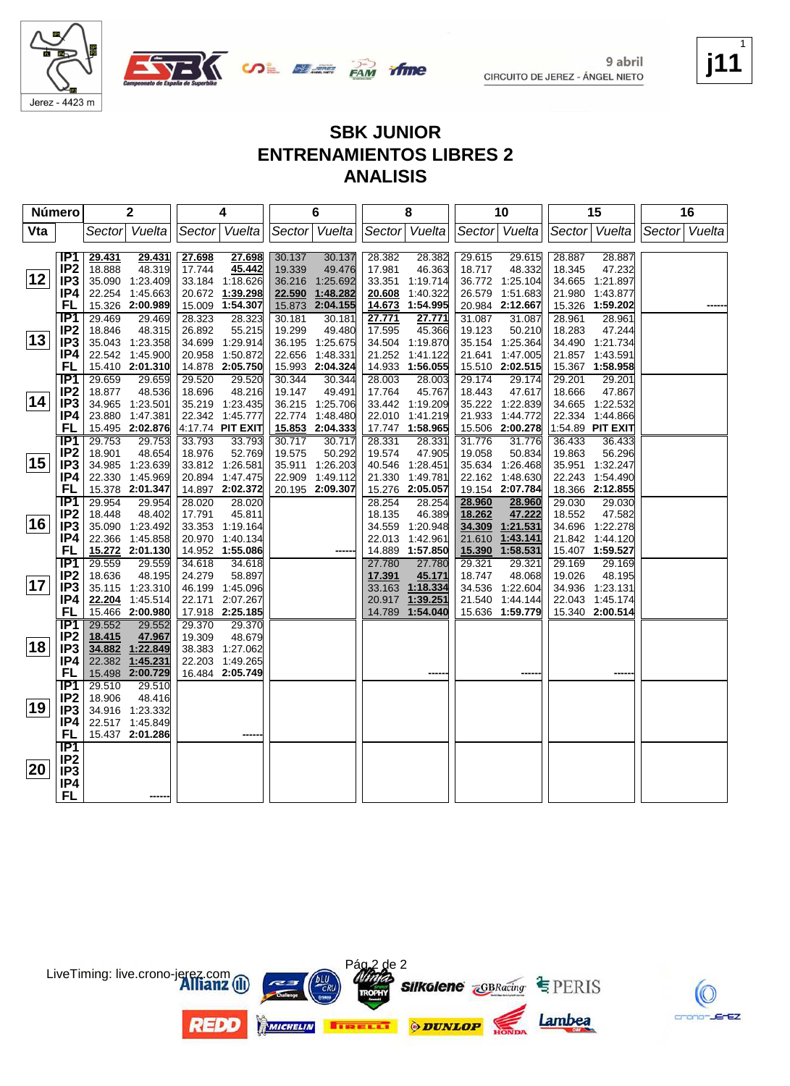

Jerez - 4423 m



**SBK JUNIOR ENTRENAMIENTOS LIBRES 2 ANALISIS**

|     | <b>Número</b>                      |                  | $\mathbf 2$               |                  | 4                         |        | 6               |                  | 8                  |                  | 10                 |                  | 15                 |               | 16 |
|-----|------------------------------------|------------------|---------------------------|------------------|---------------------------|--------|-----------------|------------------|--------------------|------------------|--------------------|------------------|--------------------|---------------|----|
| Vta |                                    | Sector           | Vuelta                    |                  | Sector Vuelta             |        | Sector Vuelta   |                  | Sector Vuelta      |                  | Sector Vuelta      |                  | Sector Vuelta      | Sector Vuelta |    |
|     |                                    |                  |                           |                  |                           |        |                 |                  |                    |                  |                    |                  |                    |               |    |
|     | IP <sub>1</sub>                    | 29.431           | 29.431                    | 27.698           | 27.698                    | 30.137 | 30.137          | 28.382           | 28.382             | 29.615           | 29.615             | 28.887           | 28.887             |               |    |
|     | IP <sub>2</sub>                    | 18.888           | 48.319                    | 17.744           | 45.442                    | 19.339 | 49.476          | 17.981           | 46.363             | 18.717           | 48.332             | 18.345           | 47.232             |               |    |
| 12  | IP <sub>3</sub>                    |                  | 35.090 1:23.409           |                  | 33.184 1:18.626           |        | 36.216 1:25.692 | 33.351           | 1:19.714           |                  | 36.772 1:25.104    | 34.665           | 1:21.897           |               |    |
|     | IP4                                |                  | 22.254 1:45.663           |                  | 20.672 1:39.298           | 22.590 | 1:48.282        | 20.608           | 1:40.322           | 26.579           | 1:51.683           | 21.980           | 1:43.877           |               |    |
|     | FL                                 |                  | 15.326 2:00.989           |                  | 15.009 1:54.307           | 15.873 | 2:04.155        | 14.673           | 1:54.995           |                  | 20.984 2:12.667    |                  | 15.326 1:59.202    |               |    |
|     | IP <sub>1</sub>                    | 29.469           | 29.469                    | 28.323           | 28.323                    | 30.181 | 30.181          | 27.771           | 27.771             | 31.087           | 31.087             | 28.961           | 28.961             |               |    |
|     | IP <sub>2</sub>                    | 18.846           | 48.315                    | 26.892           | 55.215                    | 19.299 | 49.480          | 17.595           | 45.366             | 19.123           | 50.210             | 18.283           | 47.244             |               |    |
| 13  | IP <sub>3</sub>                    |                  | 35.043 1:23.358           |                  | 34.699 1:29.914           |        | 36.195 1:25.675 |                  | 34.504 1:19.870    |                  | 35.154 1:25.364    |                  | 34.490 1:21.734    |               |    |
|     | IP4                                |                  | 22.542 1:45.900           |                  | 20.958 1:50.872           |        | 22.656 1:48.331 |                  | 21.252 1:41.122    | 21.641           | 1:47.005           |                  | 21.857 1:43.591    |               |    |
|     | FL                                 |                  | 15.410 2:01.310           |                  | 14.878 2:05.750           |        | 15.993 2:04.324 |                  | 14.933 1:56.055    |                  | 15.510 2:02.515    |                  | 15.367 1:58.958    |               |    |
|     | IP1                                | 29.659           | 29.659                    | 29.520           | 29.520                    | 30.344 | 30.344          | 28.003           | 28.003             | 29.174           | 29.174             | 29.201           | 29.201             |               |    |
|     | IP <sub>2</sub>                    | 18.877           | 48.536                    | 18.696           | 48.216                    | 19.147 | 49.491          | 17.764           | 45.767             | 18.443           | 47.617             | 18.666           | 47.867             |               |    |
| 14  | IP <sub>3</sub>                    |                  | 34.965 1:23.501           |                  | 35.219 1:23.435           |        | 36.215 1:25.706 |                  | 33.442 1:19.209    |                  | 35.222 1:22.839    | 34.665           | 1:22.532           |               |    |
|     | IP4                                |                  | 23.880 1:47.381           |                  | 22.342 1:45.777           |        | 22.774 1:48.480 | 22.010           | 1:41.219           | 21.933           | 1:44.772           | 22.334           | 1:44.866           |               |    |
|     | FL                                 |                  | 15.495 2:02.876           |                  | 4:17.74 PIT EXIT          |        | 15.853 2:04.333 |                  | 17.747 1:58.965    | 15.506           | 2:00.278           |                  | 1:54.89 PIT EXIT   |               |    |
|     | IP1                                | 29.753           | 29.753                    | 33.793           | 33.793                    | 30.717 | 30.717          | 28.331           | 28.331             | 31.776           | 31.776             | 36.433           | 36.433             |               |    |
|     | IP <sub>2</sub>                    | 18.901           | 48.654                    | 18.976           | 52.769                    | 19.575 | 50.292          | 19.574           | 47.905             | 19.058           | 50.834             | 19.863           | 56.296             |               |    |
| 15  | IP <sub>3</sub>                    |                  | 34.985 1:23.639           |                  | 33.812 1:26.581           | 35.911 | 1:26.203        |                  | 40.546 1:28.451    |                  | 35.634 1:26.468    | 35.951           | 1:32.247           |               |    |
|     | IP4                                |                  | 22.330 1:45.969           |                  | 20.894 1:47.475           |        | 22.909 1:49.112 |                  | 21.330 1:49.781    | 22.162           | 1:48.630           | 22.243           | 1:54.490           |               |    |
|     | FL                                 |                  | 15.378 2:01.347           |                  | 14.897 2:02.372           |        | 20.195 2:09.307 |                  | 15.276 2:05.057    |                  | 19.154 2:07.784    |                  | 18.366 2:12.855    |               |    |
|     | IP <sub>1</sub>                    | 29.954           | 29.954                    | 28.020           | 28.020                    |        |                 | 28.254           | 28.254             | 28.960           | 28.960             | 29.030           | 29.030             |               |    |
| 16  | IP <sub>2</sub>                    | 18.448           | 48.402                    | 17.791           | 45.811                    |        |                 | 18.135           | 46.389             | 18.262           | 47.222             | 18.552           | 47.582             |               |    |
|     | IP <sub>3</sub>                    |                  | 35.090 1:23.492           |                  | 33.353 1:19.164           |        |                 |                  | 34.559 1:20.948    | 34.309           | 1:21.531           | 34.696           | 1:22.278           |               |    |
|     | IP4                                |                  | 22.366 1:45.858           |                  | 20.970 1:40.134           |        |                 |                  | 22.013 1:42.961    | 21.610           | 1:43.141           |                  | 21.842 1:44.120    |               |    |
|     | FL                                 |                  | 15.272 2:01.130           |                  | 14.952 1:55.086           |        |                 | 14.889           | 1:57.850           | 15.390           | 1:58.531           |                  | 15.407 1:59.527    |               |    |
|     | $\overline{IP1}$                   | 29.559<br>18.636 | 29.559                    | 34.618<br>24.279 | 34.618                    |        |                 | 27.780           | 27.780             | 29.321           | 29.321             | 29.169<br>19.026 | 29.169             |               |    |
| 17  | IP <sub>2</sub><br>IP <sub>3</sub> |                  | 48.195<br>35.115 1:23.310 |                  | 58.897<br>46.199 1:45.096 |        |                 | 17.391<br>33.163 | 45.171<br>1:18.334 | 18.747<br>34.536 | 48.068<br>1:22.604 | 34.936           | 48.195<br>1:23.131 |               |    |
|     | IP4                                |                  | 22.204 1:45.514           |                  | 22.171 2:07.267           |        |                 | 20.917           | 1:39.251           | 21.540           | 1:44.144           | 22.043           | 1:45.174           |               |    |
|     | FL                                 |                  | 15.466 2:00.980           |                  | 17.918 2:25.185           |        |                 | 14.789           | 1:54.040           |                  | 15.636 1:59.779    |                  | 15.340 2:00.514    |               |    |
|     | <b>IP1</b>                         | 29.552           | 29.552                    | 29.370           | 29.370                    |        |                 |                  |                    |                  |                    |                  |                    |               |    |
|     | IP <sub>2</sub>                    | 18.415           | 47.967                    | 19.309           | 48.679                    |        |                 |                  |                    |                  |                    |                  |                    |               |    |
| 18  | IP <sub>3</sub>                    |                  | 34.882 1:22.849           |                  | 38.383 1:27.062           |        |                 |                  |                    |                  |                    |                  |                    |               |    |
|     | IP4                                |                  | 22.382 1:45.231           |                  | 22.203 1:49.265           |        |                 |                  |                    |                  |                    |                  |                    |               |    |
|     | FL                                 |                  | 15.498 2:00.729           |                  | 16.484 2:05.749           |        |                 |                  |                    |                  |                    |                  |                    |               |    |
|     | TP1                                | 29.510           | 29.510                    |                  |                           |        |                 |                  |                    |                  |                    |                  |                    |               |    |
|     | IP <sub>2</sub>                    | 18.906           | 48.416                    |                  |                           |        |                 |                  |                    |                  |                    |                  |                    |               |    |
| 19  | IP <sub>3</sub>                    |                  | 34.916 1:23.332           |                  |                           |        |                 |                  |                    |                  |                    |                  |                    |               |    |
|     | IP4                                |                  | 22.517 1:45.849           |                  |                           |        |                 |                  |                    |                  |                    |                  |                    |               |    |
|     | FL                                 |                  | 15.437 2:01.286           |                  |                           |        |                 |                  |                    |                  |                    |                  |                    |               |    |
|     | $\overline{IP1}$                   |                  |                           |                  |                           |        |                 |                  |                    |                  |                    |                  |                    |               |    |
|     | IP <sub>2</sub>                    |                  |                           |                  |                           |        |                 |                  |                    |                  |                    |                  |                    |               |    |
| 20  | IP <sub>3</sub>                    |                  |                           |                  |                           |        |                 |                  |                    |                  |                    |                  |                    |               |    |
|     | IP4                                |                  |                           |                  |                           |        |                 |                  |                    |                  |                    |                  |                    |               |    |
|     | FL                                 |                  |                           |                  |                           |        |                 |                  |                    |                  |                    |                  |                    |               |    |



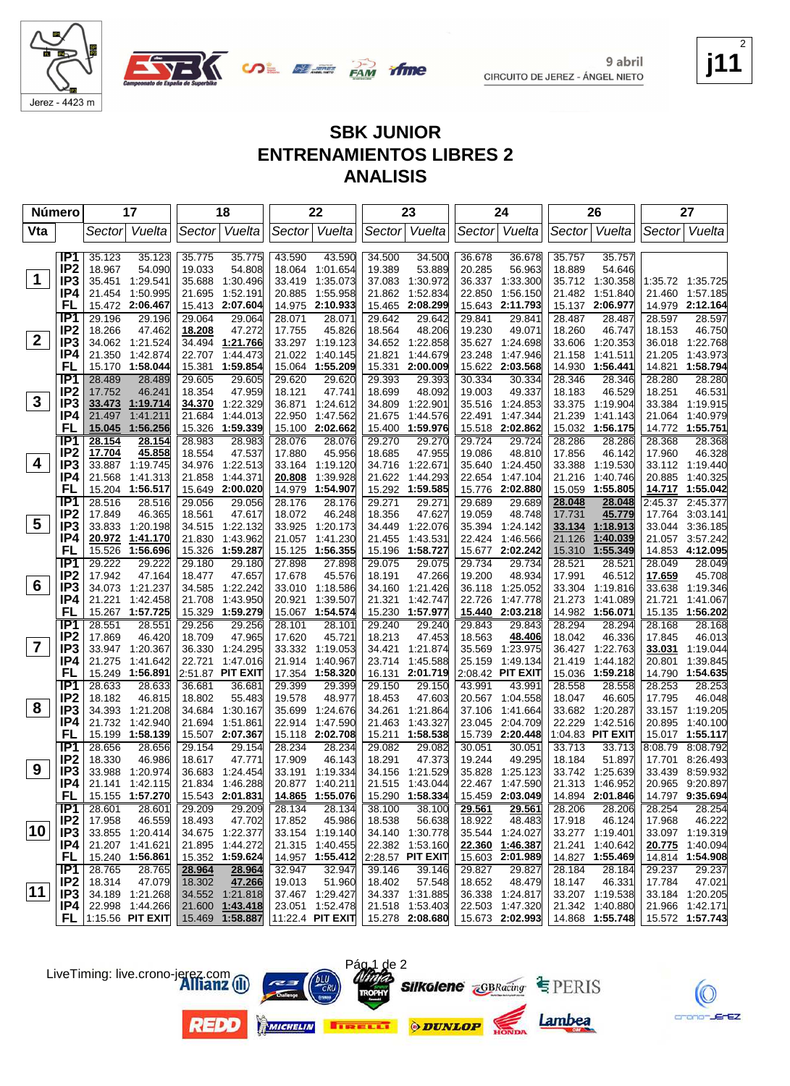



#### **SBK JUNIOR ENTRENAMIENTOS LIBRES 2 ANALISIS**

| <b>Número</b>           |                                    |                                    | 17              |                  | 18                                 |                  | 22                                 |                  | 23                                 |                  | 24                                 |                  | 26                                 |                  | 27                                 |
|-------------------------|------------------------------------|------------------------------------|-----------------|------------------|------------------------------------|------------------|------------------------------------|------------------|------------------------------------|------------------|------------------------------------|------------------|------------------------------------|------------------|------------------------------------|
| Vta                     |                                    | Sector                             | Vuelta          |                  | Sector Vuelta                      |                  | Sector Vuelta                      | Sector           | Vuelta                             |                  | Sector Vuelta                      |                  | Sector   Vuelta                    | Sector  Vuelta   |                                    |
|                         | IP1                                | 35.123                             | 35.123          | 35.775           | 35.775                             | 43.590           | 43.590                             | 34.500           | 34.500                             | 36.678           | 36.678                             | 35.757           | 35.757                             |                  |                                    |
|                         | IP <sub>2</sub>                    | 18.967                             | 54.090          | 19.033           | 54.808                             | 18.064           | 1:01.654                           | 19.389           | 53.889                             | 20.285           | 56.963                             | 18.889           | 54.646                             |                  |                                    |
| $\mathbf 1$             | IP <sub>3</sub>                    | 35.451 1:29.541                    |                 | 35.688           | 1:30.496                           | 33.419           | 1:35.073                           | 37.083           | 1:30.972                           | 36.337           | 1:33.300                           |                  | 35.712 1:30.358                    |                  | 1:35.72 1:35.725                   |
|                         | IP4                                | 21.454                             | 1:50.995        | 21.695           | 1:52.191                           | 20.885           | 1:55.958                           | 21.862           | 1:52.834                           | 22.850           | 1:56.150                           | 21.482           | 1:51.840                           |                  | 21.460 1:57.185                    |
|                         | FL                                 | 15.472                             | 2:06.467        | 15.413           | 2:07.604                           | 14.975           | 2:10.933                           | 15.465           | 2:08.299                           | 15.643           | 2:11.793                           |                  | 15.137 2:06.977                    | 14.979           | 2:12.164                           |
|                         | IP <sub>1</sub>                    | 29.196                             | 29.196          | 29.064           | 29.064                             | 28.071           | 28.071                             | 29.642           | 29.642                             | 29.841           | 29.841                             | 28.487           | 28.487                             | 28.597           | 28.597                             |
|                         | IP <sub>2</sub>                    | 18.266                             | 47.462          | 18.208           | 47.272                             | 17.755           | 45.826                             | 18.564           | 48.206                             | 19.230           | 49.071                             | 18.260           | 46.747                             | 18.153           | 46.750                             |
| $\mathbf{2}$            | IP <sub>3</sub>                    |                                    | 34.062 1:21.524 | 34.494           | 1:21.766                           |                  | 33.297 1:19.123                    | 34.652           | 1:22.858                           |                  | 35.627 1:24.698                    | 33.606           | 1:20.353                           | 36.018           | 1:22.768                           |
|                         | IP4                                | 21.350                             | 1:42.874        | 22.707           | 1.44.473                           | 21.022           | 1:40.145                           | 21.821           | 1:44.679                           | 23.248           | 1:47.946                           | 21.158           | 1:41.511                           | 21.205           | 1:43.973                           |
|                         | FL                                 | 15.170                             | 1:58.044        | 15.381           | 1:59.854                           | 15.064           | 1:55.209                           | 15.331           | 2:00.009                           | 15.622           | 2:03.568                           | 14.930           | 1:56.441                           | 14.821           | 1:58.794                           |
|                         | IP <sub>1</sub>                    | 28.489                             | 28.489          | 29.605           | 29.605                             | 29.620           | 29.620                             | 29.393           | 29.393                             | 30.334           | 30.334                             | 28.346           | 28.346                             | 28.280           | 28.280                             |
| $\mathbf{3}$            | IP <sub>2</sub><br>IP <sub>3</sub> | 17.752                             | 46.241          | 18.354           | 47.959<br>1:22.329                 | 18.121           | 47.741                             | 18.699           | 48.092<br>1:22.901                 | 19.003           | 49.337                             | 18.183           | 46.529                             | 18.251           | 46.531                             |
|                         | IP4                                | 33.473 1:19.714<br>21.497          | 1:41.211        | 34.370<br>21.684 | 1:44.013                           | 36.871<br>22.950 | 1:24.612<br>1:47.562               | 34.809<br>21.675 | 1:44.576                           | 35.516<br>22.491 | 1:24.853<br>1:47.344               | 33.375<br>21.239 | 1:19.904<br>1:41.143               | 21.064           | 33.384 1:19.915<br>1:40.979        |
|                         | FL                                 | 15.045                             | 1:56.256        | 15.326           | 1:59.339                           | 15.100           | 2:02.662                           | 15.400           | 1:59.976                           | 15.518           | 2:02.862                           | 15.032           | 1:56.175                           |                  | 14.772 1:55.751                    |
|                         | IP <sub>1</sub>                    | 28.154                             | 28.154          | 28.983           | 28.983                             | 28.076           | 28.076                             | 29.270           | 29.270                             | 29.724           | 29.724                             | 28.286           | 28.286                             | 28.368           | 28.368                             |
|                         | IP <sub>2</sub>                    | 17.704                             | 45.858          | 18.554           | 47.537                             | 17.880           | 45.956                             | 18.685           | 47.955                             | 19.086           | 48.810                             | 17.856           | 46.142                             | 17.960           | 46.328                             |
| 4                       | IP <sub>3</sub>                    | 33.887 1:19.745                    |                 | 34.976           | 1:22.513                           | 33.164           | 1:19.120                           | 34.716           | 1:22.671                           | 35.640           | 1:24.450                           | 33.388           | 1:19.530                           |                  | 33.112 1:19.440                    |
|                         | IP4                                | 21.568                             | 1:41.313        | 21.858           | 1:44.371                           | 20.808           | 1:39.928                           | 21.622           | 1:44.293                           | 22.654           | 1:47.104                           | 21.216           | 1:40.746                           | 20.885           | 1:40.325                           |
|                         | FL                                 | 15.204                             | 1:56.517        |                  | 15.649 2:00.020                    | 14.979           | 1:54.907                           | 15.292           | 1:59.585                           | 15.776           | 2:02.880                           | 15.059           | 1:55.805                           |                  | 14.717 1:55.042                    |
|                         | IP1                                | 28.516                             | 28.516          | 29.056           | 29.056                             | 28.176           | 28.176                             | 29.271           | 29.271                             | 29.689           | 29.689                             | 28.048           | 28.048                             |                  | 2:45.37 2:45.377                   |
|                         | IP <sub>2</sub>                    | 17.849                             | 46.365          | 18.561           | 47.617                             | 18.072           | 46.248                             | 18.356           | 47.627                             | 19.059           | 48.748                             | 17.731           | 45.779                             | 17.764           | 3:03.141                           |
| $5\overline{)}$         | IP <sub>3</sub>                    | 33.833                             | 1:20.198        | 34.515           | 1:22.132                           | 33.925           | 1:20.173                           | 34.449           | 1:22.076                           | 35.394           | 1:24.142                           | 33.134           | 1:18.913                           |                  | 33.044 3:36.185                    |
|                         | IP4                                | 20.972                             | 1:41.170        | 21.830           | 1:43.962                           | 21.057           | 1:41.230                           | 21.455           | 1:43.531                           | 22.424           | 1:46.566                           | 21.126           | 1:40.039                           |                  | 21.057 3:57.242                    |
|                         | FL                                 | 15.526                             | 1:56.696        |                  | 15.326 1:59.287                    | 15.125           | 1:56.355                           | 15.196           | 1:58.727                           |                  | 15.677 2:02.242                    | 15.310           | 1:55.349                           |                  | 14.853 4:12.095                    |
|                         | IP <sub>1</sub>                    | 29.222                             | 29.222          | 29.180           | 29.180                             | 27.898           | 27.898                             | 29.075           | 29.075                             | 29.734           | 29.734                             | 28.521           | 28.521<br>46.512                   | 28.049           | 28.049                             |
| $6\phantom{1}$          | IP <sub>2</sub><br>IP <sub>3</sub> | 17.942<br>34.073 1:21.237          | 47.164          | 18.477<br>34.585 | 47.657<br>1:22.242                 | 17.678<br>33.010 | 45.576<br>1:18.586                 | 18.191<br>34.160 | 47.266<br>1:21.426                 | 19.200<br>36.118 | 48.934<br>1:25.052                 | 17.991<br>33.304 | 1:19.816                           | 17.659<br>33.638 | 45.708<br>1:19.346                 |
|                         | IP4                                | 21.221                             | 1:42.458        | 21.708           | 1:43.950                           | 20.921           | 1:39.507                           | 21.321           | 1:42.747                           | 22.726           | 1:47.778                           | 21.273           | 1:41.089                           | 21.721           | 1:41.067                           |
|                         | FL                                 | 15.267 1:57.725                    |                 |                  | 15.329 1:59.279                    |                  | 15.067 1:54.574                    | 15.230           | 1:57.977                           |                  | 15.440 2:03.218                    |                  | 14.982 1:56.071                    |                  | 15.135 1:56.202                    |
|                         | IP1                                | 28.551                             | 28.551          | 29.256           | 29.256                             | 28.101           | 28.101                             | 29.240           | 29.240                             | 29.843           | 29.843                             | 28.294           | 28.294                             | 28.168           | 28.168                             |
|                         | IP <sub>2</sub>                    | 17.869                             | 46.420          | 18.709           | 47.965                             | 17.620           | 45.721                             | 18.213           | 47.453                             | 18.563           | 48.406                             | 18.042           | 46.336                             | 17.845           | 46.013                             |
| $\overline{\mathbf{7}}$ | IP <sub>3</sub>                    | 33.947 1:20.367                    |                 |                  | 36.330 1:24.295                    |                  | 33.332 1:19.053                    | 34.421           | 1:21.874                           | 35.569           | 1:23.975                           | 36.427           | 1:22.763                           | 33.031           | 1:19.044                           |
|                         | IP4                                | 21.275                             | 1:41.642        |                  | 22.721 1:47.016                    | 21.914           | 1:40.967                           | 23.714           | 1:45.588                           | 25.159           | 1.49.134                           | 21.419           | 1:44.182                           | 20.801           | 1:39.845                           |
|                         | FL                                 | 15.249 1:56.891                    |                 |                  | 2:51.87 PIT EXIT                   |                  | 17.354 1:58.320                    | 16.131           | 2:01.719                           |                  | 2:08.42 PIT EXIT                   | 15.036           | 1:59.218                           |                  | 14.790 1:54.635                    |
|                         | IP1                                | 28.633                             | 28.633          | 36.681           | 36.681                             | 29.399           | 29.399                             | 29.150           | 29.150                             | 43.991           | 43.991                             | 28.558           | 28.558                             | 28.253           | 28.253                             |
|                         | IP <sub>2</sub>                    | 18.182                             | 46.815          | 18.802           | 55.483                             | 19.578           | 48.977                             | 18.453           | 47.603                             | 20.567           | 1:04.558                           | 18.047           | 46.605                             | 17.795           | 46.048                             |
| 8                       | IP <sub>3</sub>                    | 34.393                             | 1:21.208        | 34.684           | 1:30.167                           | 35.699           | 1:24.676                           | 34.261           | 1:21.864                           | 37.106           | 1:41.664                           | 33.682           | 1:20.287                           |                  | 33.157 1:19.205                    |
|                         | IP4<br>FL                          | 21.732<br>15.199 1:58.139          | 1:42.940        |                  | 21.694 1:51.861<br>15.507 2:07.367 | 22.914           | 1:47.590                           | 21.463           | 1:43.327<br>1:58.538               | 23.045           | 2:04.709                           | 22.229           | 1:42.516<br>1:04.83 PIT EXIT       | 20.895           | 1:40.100<br>15.017 1:55.117        |
|                         | IP <sub>1</sub>                    | 28.656                             | 28.656          | 29.154           | 29.154                             | 28.234           | 15.118 2:02.708<br>28.234          | 15.211<br>29.082 | 29.082                             | 15.739<br>30.051 | 2:20.448                           | 33.713           | 33.713                             | 8:08.79          | 8:08.792                           |
|                         | IP <sub>2</sub>                    | 18.330                             | 46.986          | 18.617           | 47.771                             | 17.909           | 46.143                             | 18.291           | 47.373                             | 19.244           | 30.051<br>49.295                   | 18.184           | 51.897                             | 17.701           | 8:26.493                           |
| 9                       | IP <sub>3</sub>                    | 33.988 1:20.974                    |                 |                  | 36.683 1:24.454                    |                  | 33.191 1:19.334                    |                  | 34.156 1:21.529                    |                  | 35.828 1:25.123                    |                  | 33.742 1:25.639                    |                  | 33.439 8:59.932                    |
|                         | IP4                                |                                    | 21.141 1:42.115 |                  | 21.834 1:46.288                    |                  | 20.877 1:40.211                    |                  | 21.515 1:43.044                    |                  | 22.467 1:47.590                    |                  | 21.313 1:46.952                    |                  | 20.965 9:20.897                    |
|                         | FL.                                | 15.155 1:57.270                    |                 |                  | 15.543 2:01.831                    |                  | 14.865 1:55.076                    |                  | 15.290 1:58.334                    |                  | 15.459 2:03.049                    |                  | 14.894 2:01.846                    |                  | 14.797 9:35.694                    |
|                         | IP1                                | 28.601                             | 28.601          | 29.209           | 29.209                             | 28.134           | 28.134                             | 38.100           | 38.100                             | 29.561           | 29.561                             | 28.206           | 28.206                             | 28.254           | 28.254                             |
|                         | IP <sub>2</sub>                    | 17.958                             | 46.559          | 18.493           | 47.702                             | 17.852           | 45.986                             | 18.538           | 56.638                             | 18.922           | 48.483                             | 17.918           | 46.124                             | 17.968           | 46.222                             |
| 10                      | IP3                                | 33.855 1:20.414                    |                 |                  | 34.675 1:22.377                    |                  | 33.154 1:19.140                    |                  | 34.140 1:30.778                    |                  | 35.544 1:24.027                    |                  | 33.277 1:19.401                    |                  | 33.097 1:19.319                    |
|                         | P4                                 | 21.207 1:41.621                    |                 |                  | 21.895 1:44.272                    |                  | 21.315 1:40.455                    |                  | 22.382 1:53.160                    |                  | 22.360 1:46.387                    |                  | 21.241 1:40.642                    |                  | 20.775 1:40.094                    |
|                         | FL.                                | 15.240 1:56.861                    |                 |                  | 15.352 1:59.624                    |                  | 14.957 1:55.412 2:28.57 PIT EXIT   |                  |                                    |                  | 15.603 2:01.989                    |                  | 14.827 1:55.469                    |                  | 14.814 1:54.908                    |
|                         | IP1                                | 28.765                             | 28.765          | 28.964           | 28.964                             | 32.947           | 32.947                             | 39.146           | 39.146                             | 29.827           | 29.827                             | 28.184           | 28.184                             | 29.237           | 29.237                             |
| $ 11\rangle$            | IP <sub>2</sub>                    | 18.314                             | 47.079          | 18.302           | 47.266                             | 19.013           | 51.960                             | 18.402           | 57.548                             | 18.652           | 48.479                             | 18.147           | 46.331                             | 17.784           | 47.021                             |
|                         | IP3<br>IP4 I                       | 34.189 1:21.268<br>22.998 1:44.266 |                 |                  | 34.552 1:21.818<br>21.600 1:43.418 |                  | 37.467 1:29.427<br>23.051 1:52.478 |                  | 34.337 1:31.885<br>21.518 1:53.403 |                  | 36.338 1:24.817<br>22.503 1:47.320 |                  | 33.207 1:19.538<br>21.342 1:40.880 |                  | 33.184 1:20.205<br>21.966 1:42.171 |
|                         |                                    | $FL$  1:15.56 PIT EXIT             |                 |                  | 15.469 1:58.887                    |                  | 11:22.4 PIT EXIT   15.278 2:08.680 |                  |                                    |                  | 15.673 2:02.993                    |                  | 14.868 1:55.748                    |                  | 15.572 1:57.743                    |
|                         |                                    |                                    |                 |                  |                                    |                  |                                    |                  |                                    |                  |                                    |                  |                                    |                  |                                    |

Pág 1 de 2



**j11** 2



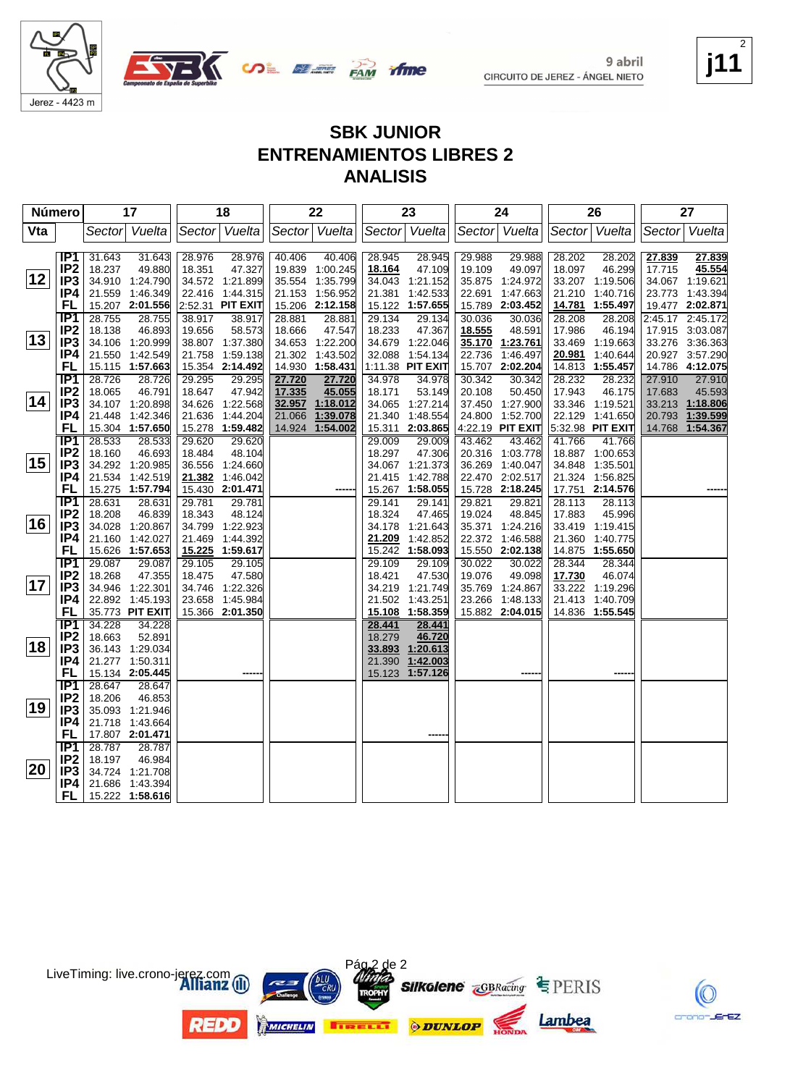



**SBK JUNIOR ENTRENAMIENTOS LIBRES 2 ANALISIS**

| Número |                        |                  | 17               |                  | 18               |        | 22              |                  | 23               |                  | 24               |                  | 26               |         | 27              |
|--------|------------------------|------------------|------------------|------------------|------------------|--------|-----------------|------------------|------------------|------------------|------------------|------------------|------------------|---------|-----------------|
| Vta    |                        |                  | Sector Vuelta    |                  | Sector Vuelta    |        | Sector Vuelta   | Sector           | Vuelta           |                  | Sector Vuelta    |                  | Sector Vuelta    |         | Sector Vuelta   |
|        |                        |                  |                  |                  |                  |        |                 |                  |                  |                  |                  |                  |                  |         |                 |
|        | IP1                    | 31.643           | 31.643           | 28.976           | 28.976           | 40.406 | 40.406          | 28.945           | 28.945           | 29.988           | 29.988           | 28.202           | 28.202           | 27.839  | 27.839          |
|        | IP <sub>2</sub>        | 18.237           | 49.880           | 18.351           | 47.327           |        | 19.839 1:00.245 | 18.164           | 47.109           | 19.109           | 49.097           | 18.097           | 46.299           | 17.715  | 45.554          |
| 12     | IP <sub>3</sub>        |                  | 34.910 1:24.790  |                  | 34.572 1:21.899  |        | 35.554 1:35.799 | 34.043           | 1:21.152         |                  | 35.875 1:24.972  |                  | 33.207 1:19.506  |         | 34.067 1:19.621 |
|        | IP4                    |                  | 21.559 1:46.349  |                  | 22.416 1:44.315  |        | 21.153 1:56.952 | 21.381           | 1:42.533         | 22.691           | 1:47.663         |                  | 21.210 1:40.716  |         | 23.773 1:43.394 |
|        | FL                     |                  | 15.207 2:01.556  |                  | 2:52.31 PIT EXIT |        | 15.206 2:12.158 |                  | 15.122 1:57.655  | 15.789           | 2:03.452         |                  | 14.781 1:55.497  |         | 19.477 2:02.871 |
|        | IP <sub>1</sub>        | 28.755           | 28.755           | 38.917           | 38.917           | 28.881 | 28.881          | 29.134           | 29.134           | 30.036           | 30.036           | 28.208           | 28.208           | 2:45.17 | 2:45.172        |
|        | IP <sub>2</sub>        | 18.138           | 46.893           | 19.656           | 58.573           | 18.666 | 47.547          | 18.233           | 47.367           | 18.555           | 48.591           | 17.986           | 46.194           |         | 17.915 3:03.087 |
| 13     | IP <sub>3</sub>        |                  | 34.106 1:20.999  |                  | 38.807 1:37.380  |        | 34.653 1:22.200 | 34.679           | 1:22.046         | 35.170           | 1:23.761         |                  | 33.469 1:19.663  |         | 33.276 3:36.363 |
|        | IP4                    |                  | 21.550 1:42.549  | 21.758           | 1:59.138         |        | 21.302 1:43.502 | 32.088           | 1:54.134         | 22.736           | 1:46.497         | 20.981           | 1:40.644         |         | 20.927 3:57.290 |
|        | <b>FL</b>              |                  | 15.115 1:57.663  |                  | 15.354 2:14.492  |        | 14.930 1:58.431 |                  | 1:11.38 PIT EXIT |                  | 15.707 2:02.204  | 14.813           | 1:55.457         |         | 14.786 4:12.075 |
|        | IP1                    | 28.726           | 28.726           | 29.295           | 29.295           | 27.720 | 27.720          | 34.978           | 34.978           | 30.342           | 30.342           | 28.232           | 28.232           | 27.910  | 27.910          |
|        | IP <sub>2</sub>        | 18.065           | 46.791           | 18.647           | 47.942           | 17.335 | 45.055          | 18.171           | 53.149           | 20.108           | 50.450           | 17.943           | 46.175           | 17.683  | 45.593          |
| 14     | IP <sub>3</sub>        |                  | 34.107 1:20.898  |                  | 34.626 1:22.568  |        | 32.957 1:18.012 |                  | 34.065 1:27.214  |                  | 37.450 1:27.900  |                  | 33.346 1:19.521  |         | 33.213 1:18.806 |
|        | IP4                    |                  | 21.448 1:42.346  | 21.636           | 1:44.204         | 21.066 | 1:39.078        | 21.340           | 1:48.554         |                  | 24.800 1:52.700  |                  | 22.129 1:41.650  | 20.793  | 1:39.599        |
|        | FL                     |                  | 15.304 1:57.650  |                  | 15.278 1:59.482  |        | 14.924 1:54.002 |                  | 15.311 2:03.865  |                  | 4:22.19 PIT EXIT |                  | 5:32.98 PIT EXIT | 14.768  | 1:54.367        |
|        | IP1                    | 28.533           | 28.533           | 29.620           | 29.620           |        |                 | 29.009           | 29.009           | 43.462           | 43.462           | 41.766           | 41.766           |         |                 |
| 15     | IP <sub>2</sub>        | 18.160           | 46.693           | 18.484           | 48.104           |        |                 | 18.297           | 47.306           |                  | 20.316 1:03.778  |                  | 18.887 1:00.653  |         |                 |
|        | IP <sub>3</sub>        |                  | 34.292 1:20.985  |                  | 36.556 1:24.660  |        |                 |                  | 34.067 1:21.373  | 36.269           | 1:40.047         |                  | 34.848 1:35.501  |         |                 |
|        | IP4                    |                  | 21.534 1:42.519  | 21.382           | 1:46.042         |        |                 | 21.415           | 1:42.788         |                  | 22.470 2:02.517  |                  | 21.324 1:56.825  |         |                 |
|        | FL<br>$\overline{IP1}$ |                  | 15.275 1:57.794  |                  | 15.430 2:01.471  |        |                 |                  | 15.267 1:58.055  |                  | 15.728 2:18.245  | 17.751           | 2:14.576         |         |                 |
|        | IP <sub>2</sub>        | 28.631<br>18.208 | 28.631<br>46.839 | 29.781           | 29.781<br>48.124 |        |                 | 29.141<br>18.324 | 29.141<br>47.465 | 29.821<br>19.024 | 29.821<br>48.845 | 28.113<br>17.883 | 28.113<br>45.996 |         |                 |
| 16     | IP <sub>3</sub>        |                  | 34.028 1:20.867  | 18.343<br>34.799 | 1:22.923         |        |                 | 34.178           | 1:21.643         | 35.371           | 1:24.216         |                  | 33.419 1:19.415  |         |                 |
|        | IP4                    |                  | 21.160 1:42.027  | 21.469           | 1:44.392         |        |                 | 21.209           | 1:42.852         | 22.372           | 1:46.588         | 21.360           | 1:40.775         |         |                 |
|        | FL                     |                  | 15.626 1:57.653  | 15.225           | 1:59.617         |        |                 | 15.242           | 1:58.093         |                  | 15.550 2:02.138  | 14.875           | 1:55.650         |         |                 |
|        | IP1                    | 29.087           | 29.087           | 29.105           | 29.105           |        |                 | 29.109           | 29.109           | 30.022           | 30.022           | 28.344           | 28.344           |         |                 |
|        | IP <sub>2</sub>        | 18.268           | 47.355           | 18.475           | 47.580           |        |                 | 18.421           | 47.530           | 19.076           | 49.098           | 17.730           | 46.074           |         |                 |
| 17     | IP <sub>3</sub>        |                  | 34.946 1:22.301  |                  | 34.746 1:22.326  |        |                 |                  | 34.219 1:21.749  |                  | 35.769 1:24.867  | 33.222           | 1:19.296         |         |                 |
|        | IP4                    |                  | 22.892 1:45.193  | 23.658           | 1:45.984         |        |                 | 21.502           | 1:43.251         | 23.266           | 1:48.133         |                  | 21.413 1:40.709  |         |                 |
|        | FL                     |                  | 35.773 PIT EXIT  |                  | 15.366 2:01.350  |        |                 | 15.108           | 1:58.359         |                  | 15.882 2:04.015  |                  | 14.836 1:55.545  |         |                 |
|        | IP1                    | 34.228           | 34.228           |                  |                  |        |                 | 28.441           | 28.441           |                  |                  |                  |                  |         |                 |
|        | IP <sub>2</sub>        | 18.663           | 52.891           |                  |                  |        |                 | 18.279           | 46.720           |                  |                  |                  |                  |         |                 |
| 18     | IP <sub>3</sub>        |                  | 36.143 1:29.034  |                  |                  |        |                 | 33.893           | 1:20.613         |                  |                  |                  |                  |         |                 |
|        | IP4                    |                  | 21.277 1:50.311  |                  |                  |        |                 | 21.390           | 1:42.003         |                  |                  |                  |                  |         |                 |
|        | <b>FL</b>              |                  | 15.134 2:05.445  |                  |                  |        |                 |                  | 15.123 1:57.126  |                  |                  |                  |                  |         |                 |
|        | TP1                    | 28.647           | 28.647           |                  |                  |        |                 |                  |                  |                  |                  |                  |                  |         |                 |
|        | IP <sub>2</sub>        | 18.206           | 46.853           |                  |                  |        |                 |                  |                  |                  |                  |                  |                  |         |                 |
| 19     | IP <sub>3</sub>        |                  | 35.093 1:21.946  |                  |                  |        |                 |                  |                  |                  |                  |                  |                  |         |                 |
|        | IP4                    |                  | 21.718 1:43.664  |                  |                  |        |                 |                  |                  |                  |                  |                  |                  |         |                 |
|        | FL                     |                  | 17.807 2:01.471  |                  |                  |        |                 |                  |                  |                  |                  |                  |                  |         |                 |
|        | IP <sub>1</sub>        | 28.787           | 28.787           |                  |                  |        |                 |                  |                  |                  |                  |                  |                  |         |                 |
| 20     | IP <sub>2</sub>        | 18.197           | 46.984           |                  |                  |        |                 |                  |                  |                  |                  |                  |                  |         |                 |
|        | IP <sub>3</sub>        |                  | 34.724 1:21.708  |                  |                  |        |                 |                  |                  |                  |                  |                  |                  |         |                 |
|        | IP4                    |                  | 21.686 1:43.394  |                  |                  |        |                 |                  |                  |                  |                  |                  |                  |         |                 |
|        | <b>FL</b>              |                  | 15.222 1:58.616  |                  |                  |        |                 |                  |                  |                  |                  |                  |                  |         |                 |



LiveTiming: live.crono-jerez.com

**j11** 2

K crono-JErEZ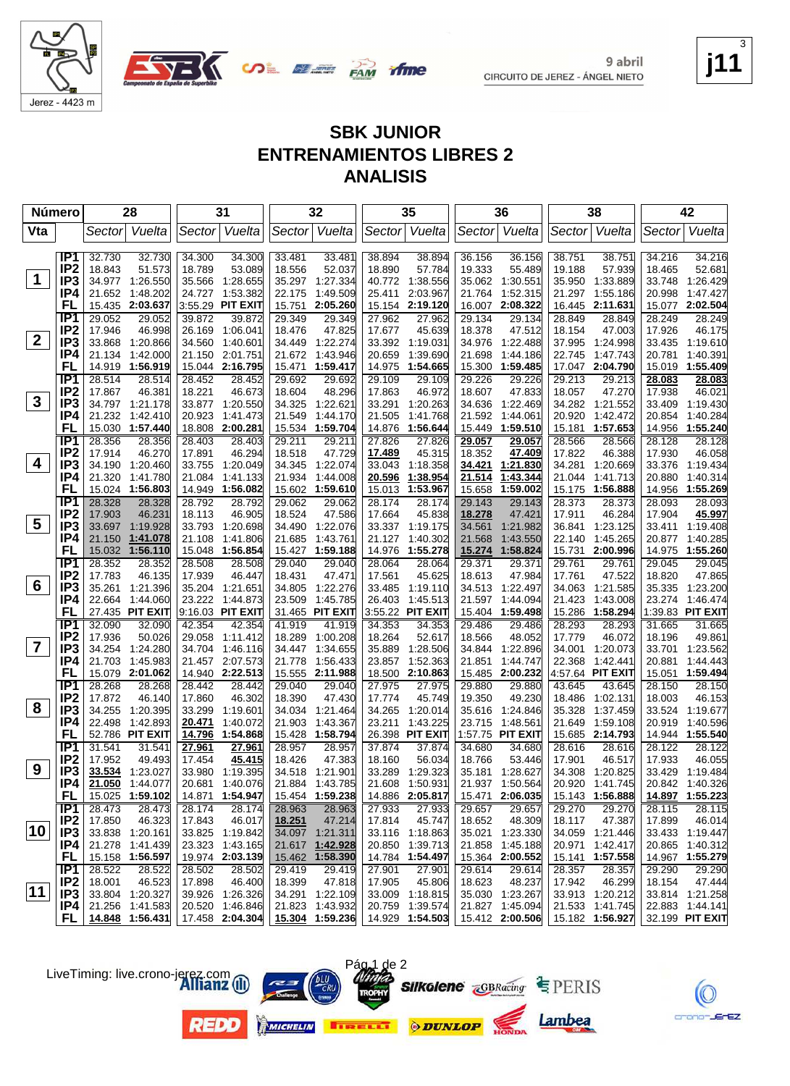

Jerez - 4423 m



EZ.

#### **SBK JUNIOR ENTRENAMIENTOS LIBRES 2 ANALISIS**

|                | Número                 |                  | 28                                 |                  | 31                                 |                  | 32                                 |                  | 35                                 |                  | 36                                 |                  | 38                          |                  | 42                                 |
|----------------|------------------------|------------------|------------------------------------|------------------|------------------------------------|------------------|------------------------------------|------------------|------------------------------------|------------------|------------------------------------|------------------|-----------------------------|------------------|------------------------------------|
| Vta            |                        | Sector           | Vuelta                             |                  | Sector Vuelta                      |                  | Sector Vuelta                      | Sector           | Vuelta                             |                  | Sector Vuelta                      |                  | Sector Vuelta               | Sector           | Vuelta                             |
|                | IP <sub>1</sub>        |                  |                                    |                  |                                    |                  |                                    |                  |                                    |                  |                                    |                  |                             |                  |                                    |
|                | IP <sub>2</sub>        | 32.730<br>18.843 | 32.730<br>51.573                   | 34.300<br>18.789 | 34.300<br>53.089                   | 33.481<br>18.556 | 33.481<br>52.037                   | 38.894<br>18.890 | 38.894<br>57.784                   | 36.156<br>19.333 | 36.156<br>55.489                   | 38.751<br>19.188 | 38.751<br>57.939            | 34.216<br>18.465 | 34.216<br>52.681                   |
| $\mathbf 1$    | IP3                    |                  | 34.977 1:26.550                    | 35.566           | 1:28.655                           |                  | 35.297 1:27.334                    | 40.772           | 1:38.556                           |                  | 35.062 1:30.551                    | 35.950           | 1:33.889                    | 33.748           | 1:26.429                           |
|                | IP4                    | 21.652           | 1:48.202                           |                  | 24.727 1:53.382                    | 22.175           | 1:49.509                           | 25.411           | 2:03.967                           | 21.764           | 1:52.315                           | 21.297           | 1:55.186                    | 20.998           | 1:47.427                           |
|                | <b>FL</b>              | 15.435           | 2:03.637                           |                  | 3:55.29 PIT EXIT                   | 15.751           | 2:05.260                           | 15.154           | 2:19.120                           | 16.007           | 2:08.322                           | 16.445           | 2:11.631                    |                  | 15.077 2:02.504                    |
|                | IP <sub>1</sub>        | 29.052           | 29.052                             | 39.872           | 39.872                             | 29.349           | 29.349                             | 27.962           | 27.962                             | 29.134           | 29.134                             | 28.849           | 28.849                      | 28.249           | 28.249                             |
|                | IP <sub>2</sub>        | 17.946           | 46.998                             | 26.169           | 1:06.041                           | 18.476           | 47.825                             | 17.677           | 45.639                             | 18.378           | 47.512                             | 18.154           | 47.003                      | 17.926           | 46.175                             |
| $\mathbf{2}$   | IP3                    | 33.868           | 1:20.866                           | 34.560           | 1:40.601                           |                  | 34.449 1:22.274                    | 33.392           | 1:19.031                           | 34.976           | 1:22.488                           | 37.995           | 1:24.998                    |                  | 33.435 1:19.610                    |
|                | IP4                    | 21.134           | 1:42.000                           |                  | 21.150 2:01.751                    | 21.672           | 1:43.946                           | 20.659           | 1:39.690                           | 21.698           | 1:44.186                           | 22.745           | 1:47.743                    | 20.781           | 1:40.391                           |
|                | <b>FL</b>              | 14.919           | 1:56.919                           |                  | 15.044 2:16.795                    | 15.471           | 1:59.417                           | 14.975           | 1:54.665                           | 15.300           | 1:59.485                           | 17.047           | 2:04.790                    |                  | 15.019 1:55.409                    |
|                | IP <sub>1</sub>        | 28.514           | 28.514                             | 28.452           | 28.452                             | 29.692           | 29.692                             | 29.109           | 29.109                             | 29.226           | 29.226                             | 29.213           | 29.213                      | 28.083           | 28.083                             |
|                | IP <sub>2</sub>        | 17.867           | 46.381                             | 18.221           | 46.673                             | 18.604           | 48.296                             | 17.863           | 46.972                             | 18.607           | 47.833                             | 18.057           | 47.270                      | 17.938           | 46.021                             |
| $\mathbf{3}$   | IP3                    |                  | 34.797 1:21.178                    |                  | 33.877 1:20.550                    | 34.325           | 1:22.621                           | 33.291           | 1:20.263                           | 34.636           | 1:22.469                           | 34.282           | 1:21.552                    |                  | 33.409 1:19.430                    |
|                | IP4                    | 21.232           | 1:42.410                           | 20.923           | 1:41.473                           | 21.549           | 1:44.170                           | 21.505           | 1:41.768                           | 21.592           | 1:44.061                           | 20.920           | 1:42.472                    | 20.854           | 1:40.284                           |
|                | FL                     | 15.030           | 1:57.440                           |                  | 18.808 2:00.281                    | 15.534           | 1:59.704                           | 14.876           | 1:56.644                           | 15.449           | 1:59.510                           | 15.181           | 1:57.653                    | 14.956           | 1:55.240                           |
|                | IP <sub>1</sub>        | 28.356           | 28.356                             | 28.403           | 28.403                             | 29.211           | 29.211                             | 27.826           | 27.826                             | <u>29.057</u>    | <u>29.057</u>                      | 28.566           | 28.566                      | 28.128           | 28.128                             |
| 4              | IP <sub>2</sub>        | 17.914           | 46.270                             | 17.891           | 46.294                             | 18.518           | 47.729                             | <u>17.489</u>    | 45.315                             | 18.352           | 47.409                             | 17.822           | 46.388                      | 17.930           | 46.058                             |
|                | IP3<br>IP4             |                  | 34.190 1:20.460                    | 33.755           | 1.20.049                           | 34.345           | 1:22.074                           | 33.043           | 1:18.358                           | 34.421           | 1:21.830                           | 34.281           | 1:20.669                    |                  | 33.376 1:19.434                    |
|                | FL                     | 21.320           | 1:41.780<br>15.024 1:56.803        | 21.084           | 1:41.133<br>14.949 1:56.082        | 21.934           | 1:44.008<br>15.602 1:59.610        | 20.596<br>15.013 | 1:38.954<br>1:53.967               | 21.514<br>15.658 | 1:43.344<br>1:59.002               | 21.044<br>15.175 | 1:41.713<br>1:56.888        | 20.880           | 1:40.314<br>14.956 1:55.269        |
|                | IP <sub>1</sub>        | 28.328           | 28.328                             | 28.792           | 28.792                             | 29.062           | 29.062                             | 28.174           | 28.174                             | 29.143           | 29.143                             | 28.373           | 28.373                      | 28.093           | 28.093                             |
|                | IP <sub>2</sub>        | 17.903           | 46.231                             | 18.113           | 46.905                             | 18.524           | 47.586                             | 17.664           | 45.838                             | 18.278           | 47.421                             | 17.911           | 46.284                      | 17.904           | 45.997                             |
| 5              | IP <sub>3</sub>        | 33.697           | 1:19.928                           | 33.793           | 1:20.698                           |                  | 34.490 1:22.076                    |                  | 33.337 1:19.175                    | 34.561           | 1:21.982                           | 36.841           | 1:23.125                    |                  | 33.411 1:19.408                    |
|                | IP4                    | 21.150           | 1:41.078                           | 21.108           | 1:41.806                           | 21.685           | 1:43.761                           | 21.127           | 1:40.302                           | 21.568           | 1:43.550                           | 22.140           | 1:45.265                    | 20.877           | 1:40.285                           |
|                | FL                     | 15.032           | 1:56.110                           |                  | 15.048 1:56.854                    |                  | 15.427 1:59.188                    | 14.976           | 1:55.278                           | 15.274           | 1:58.824                           | 15.731           | 2:00.996                    |                  | 14.975 1:55.260                    |
|                | IP <sub>1</sub>        | 28.352           | 28.352                             | 28.508           | 28.508                             | 29.040           | 29.040                             | 28.064           | 28.064                             | 29.371           | 29.371                             | 29.761           | 29.761                      | 29.045           | 29.045                             |
|                | IP <sub>2</sub>        | 17.783           | 46.135                             | 17.939           | 46.447                             | 18.431           | 47.471                             | 17.561           | 45.625                             | 18.613           | 47.984                             | 17.761           | 47.522                      | 18.820           | 47.865                             |
| 6              | IP <sub>3</sub>        |                  | 35.261 1:21.396                    |                  | 35.204 1:21.651                    | 34.805           | 1:22.276                           | 33.485           | 1:19.110                           | 34.513           | 1:22.497                           | 34.063           | 1:21.585                    |                  | 35.335 1:23.200                    |
|                | IP4                    | 22.664           | 1:44.060                           | 23.222           | 1:44.873                           | 23.509           | 1:45.785                           | 26.403           | 1:45.513                           | 21.597           | 1:44.094                           | 21.423           | 1:43.008                    | 23.274           | 1:46.474                           |
|                | FL                     |                  | 27.435 PIT EXIT                    |                  | 9:16.03 PIT EXIT                   |                  | 31.465 PIT EXIT                    |                  | 3:55.22 PIT EXIT                   | 15.404           | 1:59.498                           | 15.286           | 1:58.294                    |                  | 1:39.83 PIT EXIT                   |
|                | IP1                    | 32.090           | 32.090                             | 42.354           | 42.354                             | 41.919           | 41.919                             | 34.353           | 34.353                             | 29.486           | 29.486                             | 28.293           | 28.293                      | 31.665           | 31.665                             |
| $\overline{7}$ | IP <sub>2</sub>        | 17.936           | 50.026                             | 29.058           | 1:11.412                           | 18.289           | 1:00.208                           | 18.264           | 52.617                             | 18.566           | 48.052                             | 17.779           | 46.072                      | 18.196           | 49.861                             |
|                | IP <sub>3</sub><br>IP4 | 34.254<br>21.703 | 1:24.280<br>1:45.983               |                  | 34.704 1:46.116<br>21.457 2:07.573 | 34.447<br>21.778 | 1:34.655<br>1:56.433               | 35.889<br>23.857 | 1:28.506<br>1:52.363               | 34.844<br>21.851 | 1:22.896<br>1:44.747               | 34.001<br>22.368 | 1:20.073<br>1:42.441        | 33.701           | 1:23.562<br>1:44.443               |
|                | FL                     |                  | 15.079 2:01.062                    |                  | 14.940 2:22.513                    | 15.555           | 2:11.988                           |                  | 18.500 2:10.863                    |                  | 15.485 2:00.232                    |                  | 4:57.64 PIT EXIT            | 20.881           | 15.051 1:59.494                    |
|                | IP1                    | 28.268           | 28.268                             | 28.442           | 28.442                             | 29.040           | 29.040                             | 27.975           | 27.975                             | 29.880           | 29.880                             | 43.645           | 43.645                      | 28.150           | 28.150                             |
|                | IP <sub>2</sub>        | 17.872           | 46.140                             | 17.860           | 46.302                             | 18.390           | 47.430                             | 17.774           | 45.749                             | 19.350           | 49.230                             | 18.486           | 1:02.131                    | 18.003           | 46.153                             |
| 8              | IP <sub>3</sub>        | 34.255           | 1:20.395                           | 33.299           | 1:19.601                           | 34.034           | 1:21.464                           | 34.265           | 1:20.014                           | 35.616           | 1:24.846                           | 35.328           | 1:37.459                    |                  | 33.524 1:19.677                    |
|                | IP4                    | 22.498           | 1:42.893                           | 20.471           | 1:40.072                           | 21.903           | 1:43.367                           | 23.211           | 1:43.225                           | 23.715           | 1:48.561                           | 21.649           | 1:59.108                    | 20.919           | 1:40.596                           |
|                | FL                     |                  | 52.786 PIT EXIT                    | <u>14.796</u>    | 1:54.868                           | 15.428           | 1:58.794                           |                  | 26.398 PIT EXIT                    |                  | 1:57.75 PIT EXIT                   |                  | 15.685 2:14.793             |                  | 14.944 1:55.540                    |
|                | IP <sub>1</sub>        | 31.541           | 31.541                             | 27.961           | 27.961                             | 28.957           | 28.957                             | 37.874           | 37.874                             | 34.680           | 34.680                             | 28.616           | 28.616                      | 28.122           | 28.122                             |
|                | IP <sub>2</sub>        | 17.952           | 49.493                             | 17.454           | 45.415                             | 18.426           | 47.383                             | 18.160           | 56.034                             | 18.766           | 53.446                             | 17.901           | 46.517                      | 17.933           | 46.055                             |
| 9              | IP <sub>3</sub>        |                  | 33.534 1:23.027                    |                  | 33.980 1:19.395                    |                  | 34.518 1:21.901                    | 33.289           | 1:29.323                           |                  | 35.181 1:28.627                    |                  | 34.308 1:20.825             |                  | 33.429 1:19.484                    |
|                | IP4                    | 21.050           | 1:44.077                           |                  | 20.681 1:40.076                    |                  | 21.884 1:43.785                    |                  | 21.608 1:50.931                    |                  | 21.937 1:50.564                    |                  | 20.920 1:41.745             |                  | 20.842 1:40.326                    |
|                | FL.                    |                  | 15.025 1:59.102                    |                  | 14.871 1:54.947                    |                  | 15.454 1:59.238                    |                  | 14.886 2:05.817                    |                  | 15.471 2:06.035                    |                  | 15.143 1:56.888             |                  | 14.897 1:55.223                    |
|                | IP1                    | 28.473           | 28.473                             | 28.174           | 28.174                             | 28.963           | 28.963                             | 27.933           | 27.933                             | 29.657           | 29.657                             | 29.270           | 29.270                      | 28.115           | 28.115                             |
| 10             | IP <sub>2</sub>        | 17.850           | 46.323                             | 17.843           | 46.017                             | 18.251           | 47.214                             | 17.814           | 45.747                             | 18.652           | 48.309                             | 18.117           | 47.387                      | 17.899           | 46.014                             |
|                | IP <sub>3</sub><br>IP4 |                  | 33.838 1:20.161                    |                  | 33.825 1:19.842                    |                  | 34.097 1:21.311<br>21.617 1:42.928 |                  | 33.116 1:18.863<br>20.850 1:39.713 |                  | 35.021 1:23.330<br>21.858 1:45.188 | 20.971           | 34.059 1:21.446<br>1:42.417 |                  | 33.433 1:19.447<br>20.865 1:40.312 |
|                | <b>FL</b>              |                  | 21.278 1:41.439<br>15.158 1:56.597 |                  | 23.323 1:43.165<br>19.974 2:03.139 |                  | 15.462 1:58.390                    |                  | 14.784 1:54.497                    |                  | 15.364 2:00.552                    |                  | 15.141 1:57.558             |                  | 14.967 1:55.279                    |
|                | IP1                    | 28.522           | 28.522                             | 28.502           | 28.502                             | 29.419           | 29.419                             | 27.901           | 27.901                             | 29.614           | 29.614                             | 28.357           | 28.357                      | 29.290           | 29.290                             |
|                | IP <sub>2</sub>        | 18.001           | 46.523                             | 17.898           | 46.400                             | 18.399           | 47.818                             | 17.905           | 45.806                             | 18.623           | 48.237                             | 17.942           | 46.299                      | 18.154           | 47.444                             |
| $ 11\rangle$   | IP3                    |                  | 33.804 1:20.327                    |                  | 39.926 1:26.326                    |                  | 34.291 1:22.109                    |                  | 33.009 1:18.815                    |                  | 35.030 1:23.267                    |                  | 33.913 1:20.212             |                  | 33.814 1:21.258                    |
|                | IP4                    |                  | 21.256 1:41.583                    |                  | 20.520 1:46.846                    |                  | 21.823 1:43.932                    |                  | 20.759 1:39.574                    |                  | 21.827 1:45.094                    |                  | 21.533 1:41.745             |                  | 22.883 1:44.141                    |
|                | FL I                   |                  | 14.848 1:56.431                    |                  | 17.458 2:04.304                    |                  | 15.304 1:59.236 14.929 1:54.503    |                  |                                    |                  | 15.412 2:00.506                    |                  | 15.182 1:56.927             |                  | 32.199 PIT EXIT                    |

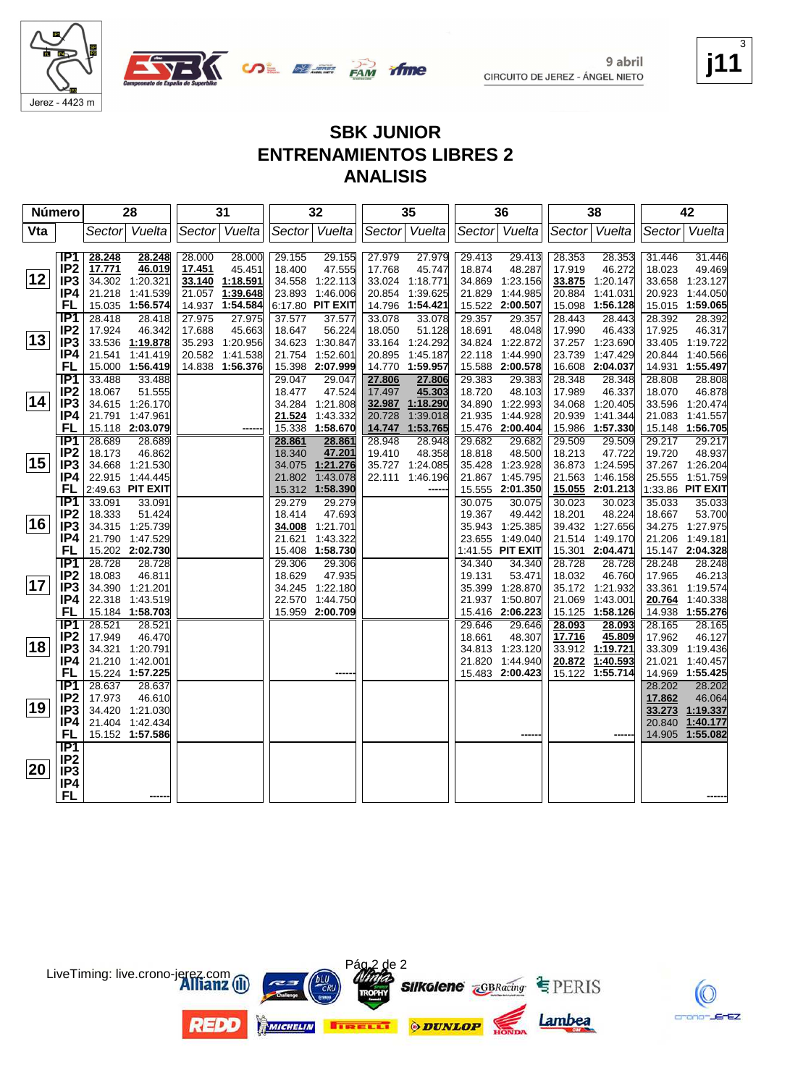

9 abril





CIRCUITO DE JEREZ - ÁNGEL NIETO

#### **j11** 3

#### **SBK JUNIOR ENTRENAMIENTOS LIBRES 2 ANALISIS**

| Número |                        |                  | 28                        |        | 31              |                  | 32                        |                  | 35               |        | 36                        |                  | 38                        |                  | 42                        |
|--------|------------------------|------------------|---------------------------|--------|-----------------|------------------|---------------------------|------------------|------------------|--------|---------------------------|------------------|---------------------------|------------------|---------------------------|
| Vta    |                        |                  | Sector Vuelta             |        | Sector Vuelta   |                  | Sector Vuelta             |                  | Sector Vuelta    |        | Sector Vuelta             |                  | Sector Vuelta             |                  | Sector Vuelta             |
|        |                        |                  |                           |        |                 |                  |                           |                  |                  |        |                           |                  |                           |                  |                           |
|        | IP1                    | 28.248           | 28.248                    | 28.000 | 28.000          | 29.155           | 29.155                    | 27.979           | 27.979           | 29.413 | 29.413                    | 28.353           | 28.353                    | 31.446           | 31.446                    |
|        | IP <sub>2</sub>        | 17.771           | 46.019                    | 17.451 | 45.451          | 18.400           | 47.555                    | 17.768           | 45.747           | 18.874 | 48.287                    | 17.919           | 46.272                    | 18.023           | 49.469                    |
| 12     | IP <sub>3</sub>        |                  | 34.302 1:20.321           |        | 33.140 1:18.591 |                  | 34.558 1:22.113           | 33.024           | 1:18.771         | 34.869 | 1:23.156                  | 33.875           | 1:20.147                  | 33.658           | 1:23.127                  |
|        | IP4                    | 21.218           | 1:41.539                  |        | 21.057 1:39.648 |                  | 23.893 1:46.006           | 20.854           | 1:39.625         | 21.829 | 1:44.985                  | 20.884           | 1:41.031                  | 20.923           | 1:44.050                  |
|        | FL                     |                  | 15.035 1:56.574           |        | 14.937 1:54.584 |                  | 6:17.80 PIT EXIT          | 14.796           | 1:54.421         |        | 15.522 2:00.507           |                  | 15.098 1:56.128           |                  | 15.015 1:59.065           |
|        | IP <sub>1</sub>        | 28.418           | 28.418                    | 27.975 | 27.975          | 37.577           | 37.577                    | 33.078           | 33.078           | 29.357 | 29.357                    | 28.443           | 28.443                    | 28.392           | 28.392                    |
| 13     | IP <sub>2</sub>        | 17.924           | 46.342                    | 17.688 | 45.663          | 18.647           | 56.224                    | 18.050           | 51.128           | 18.691 | 48.048                    | 17.990           | 46.433                    | 17.925           | 46.317                    |
|        | IP <sub>3</sub>        |                  | 33.536 1:19.878           |        | 35.293 1:20.956 | 34.623           | 1:30.847                  | 33.164           | 1:24.292         | 34.824 | 1:22.872                  | 37.257           | 1:23.690                  |                  | 33.405 1:19.722           |
|        | IP4                    | 21.541           | 1:41.419                  |        | 20.582 1:41.538 | 21.754           | 1:52.601                  | 20.895           | 1:45.187         | 22.118 | 1:44.990                  | 23.739           | 1:47.429                  | 20.844           | 1:40.566                  |
|        | FL                     |                  | 15.000 1:56.419           |        | 14.838 1:56.376 |                  | 15.398 2:07.999           | 14.770           | 1:59.957         |        | 15.588 2:00.578           |                  | 16.608 2:04.037           |                  | 14.931 1:55.497           |
|        | TP1<br>IP <sub>2</sub> | 33.488<br>18.067 | 33.488                    |        |                 | 29.047<br>18.477 | 29.047                    | 27.806           | 27.806<br>45.303 | 29.383 | 29.383                    | 28.348           | 28.348                    | 28.808           | 28.808                    |
| 14     | IP <sub>3</sub>        |                  | 51.555<br>34.615 1:26.170 |        |                 |                  | 47.524<br>34.284 1:21.808 | 17.497<br>32.987 | 1:18.290         | 18.720 | 48.103<br>34.890 1:22.993 | 17.989           | 46.337<br>34.068 1:20.405 | 18.070           | 46.878<br>33.596 1:20.474 |
|        | IP4                    |                  | 21.791 1:47.961           |        |                 | 21.524           | 1:43.332                  | 20.728           | 1:39.018         | 21.935 | 1:44.928                  | 20.939           | 1:41.344                  | 21.083           | 1:41.557                  |
|        | FL                     |                  | 15.118 2:03.079           |        |                 | 15.338           | 1:58.670                  | 14.747           | 1:53.765         |        | 15.476 2:00.404           |                  | 15.986 1:57.330           |                  | 15.148 1:56.705           |
|        | IP <sub>1</sub>        | 28.689           | 28.689                    |        |                 | 28.861           | 28.861                    | 28.948           | 28.948           | 29.682 | 29.682                    | 29.509           | 29.509                    | 29.217           | 29.217                    |
|        | IP <sub>2</sub>        | 18.173           | 46.862                    |        |                 | 18.340           | 47.201                    | 19.410           | 48.358           | 18.818 | 48.500                    | 18.213           | 47.722                    | 19.720           | 48.937                    |
| 15     | IP <sub>3</sub>        |                  | 34.668 1:21.530           |        |                 | 34.075           | 1:21.276                  | 35.727           | 1:24.085         | 35.428 | 1:23.928                  |                  | 36.873 1:24.595           |                  | 37.267 1:26.204           |
|        | IP4                    |                  | 22.915 1:44.445           |        |                 | 21.802           | 1:43.078                  | 22.111           | 1:46.196         | 21.867 | 1:45.795                  | 21.563           | 1:46.158                  | 25.555           | 1:51.759                  |
|        | FL                     |                  | 2:49.63 PIT EXIT          |        |                 |                  | 15.312 1:58.390           |                  |                  |        | 15.555 2:01.350           |                  | 15.055 2:01.213           |                  | 1:33.86 PIT EXIT          |
|        | $\overline{IP1}$       | 33.091           | 33.091                    |        |                 | 29.279           | 29.279                    |                  |                  | 30.075 | 30.075                    | 30.023           | 30.023                    | 35.033           | 35.033                    |
|        | IP <sub>2</sub>        | 18.333           | 51.424                    |        |                 | 18.414           | 47.693                    |                  |                  | 19.367 | 49.442                    | 18.201           | 48.224                    | 18.667           | 53.700                    |
| 16     | IP <sub>3</sub>        |                  | 34.315 1:25.739           |        |                 | 34.008           | 1:21.701                  |                  |                  | 35.943 | 1:25.385                  |                  | 39.432 1:27.656           |                  | 34.275 1:27.975           |
|        | IP4                    |                  | 21.790 1:47.529           |        |                 | 21.621           | 1:43.322                  |                  |                  | 23.655 | 1:49.040                  |                  | 21.514 1:49.170           | 21.206           | 1:49.181                  |
|        | <b>FL</b>              |                  | 15.202 2:02.730           |        |                 | 15.408           | 1:58.730                  |                  |                  |        | 1:41.55 PIT EXIT          |                  | 15.301 2:04.471           |                  | 15.147 2:04.328           |
|        | IP1                    | 28.728           | 28.728                    |        |                 | 29.306           | 29.306                    |                  |                  | 34.340 | 34.340                    | 28.728           | 28.728                    | 28.248           | 28.248                    |
| 17     | IP <sub>2</sub>        | 18.083           | 46.811                    |        |                 | 18.629           | 47.935                    |                  |                  | 19.131 | 53.471                    | 18.032           | 46.760                    | 17.965           | 46.213                    |
|        | IP <sub>3</sub>        |                  | 34.390 1:21.201           |        |                 |                  | 34.245 1:22.180           |                  |                  | 35.399 | 1:28.870                  |                  | 35.172 1:21.932           | 33.361           | 1:19.574                  |
|        | IP4<br><b>FL</b>       |                  | 22.318 1:43.519           |        |                 |                  | 22.570 1:44.750           |                  |                  |        | 21.937 1:50.807           | 21.069           | 1:43.001                  | 20.764           | 1:40.338                  |
|        | IP <sub>1</sub>        | 28.521           | 15.184 1:58.703<br>28.521 |        |                 |                  | 15.959 2:00.709           |                  |                  | 29.646 | 15.416 2:06.223           |                  | 15.125 1:58.126           | 14.938           | 1:55.276<br>28.165        |
|        | IP <sub>2</sub>        | 17.949           | 46.470                    |        |                 |                  |                           |                  |                  | 18.661 | 29.646<br>48.307          | 28.093<br>17.716 | 28.093<br>45.809          | 28.165<br>17.962 | 46.127                    |
| 18     | IP <sub>3</sub>        |                  | 34.321 1:20.791           |        |                 |                  |                           |                  |                  |        | 34.813 1:23.120           | 33.912           | 1:19.721                  |                  | 33.309 1:19.436           |
|        | IP4                    |                  | 21.210 1:42.001           |        |                 |                  |                           |                  |                  | 21.820 | 1:44.940                  | 20.872           | 1:40.593                  | 21.021           | 1:40.457                  |
|        | <b>FL</b>              |                  | 15.224 1:57.225           |        |                 |                  |                           |                  |                  |        | 15.483 2:00.423           | 15.122           | 1:55.714                  |                  | 14.969 1:55.425           |
|        | TP1                    | 28.637           | 28.637                    |        |                 |                  |                           |                  |                  |        |                           |                  |                           | 28.202           | 28.202                    |
|        | IP <sub>2</sub>        | 17.973           | 46.610                    |        |                 |                  |                           |                  |                  |        |                           |                  |                           | 17.862           | 46.064                    |
| 19     | IP <sub>3</sub>        |                  | 34.420 1:21.030           |        |                 |                  |                           |                  |                  |        |                           |                  |                           |                  | 33.273 1:19.337           |
|        | IP4                    |                  | 21.404 1:42.434           |        |                 |                  |                           |                  |                  |        |                           |                  |                           |                  | 20.840 1:40.177           |
|        | FL                     |                  | 15.152 1:57.586           |        |                 |                  |                           |                  |                  |        |                           |                  |                           |                  | 14.905 1:55.082           |
|        | $\overline{IP1}$       |                  |                           |        |                 |                  |                           |                  |                  |        |                           |                  |                           |                  |                           |
|        | IP <sub>2</sub>        |                  |                           |        |                 |                  |                           |                  |                  |        |                           |                  |                           |                  |                           |
| 20     | IP <sub>3</sub>        |                  |                           |        |                 |                  |                           |                  |                  |        |                           |                  |                           |                  |                           |
|        | IP4                    |                  |                           |        |                 |                  |                           |                  |                  |        |                           |                  |                           |                  |                           |
|        | <b>FL</b>              |                  |                           |        |                 |                  |                           |                  |                  |        |                           |                  |                           |                  |                           |



LiveTiming: live.crono-jerez.com

K

crono-JErEZ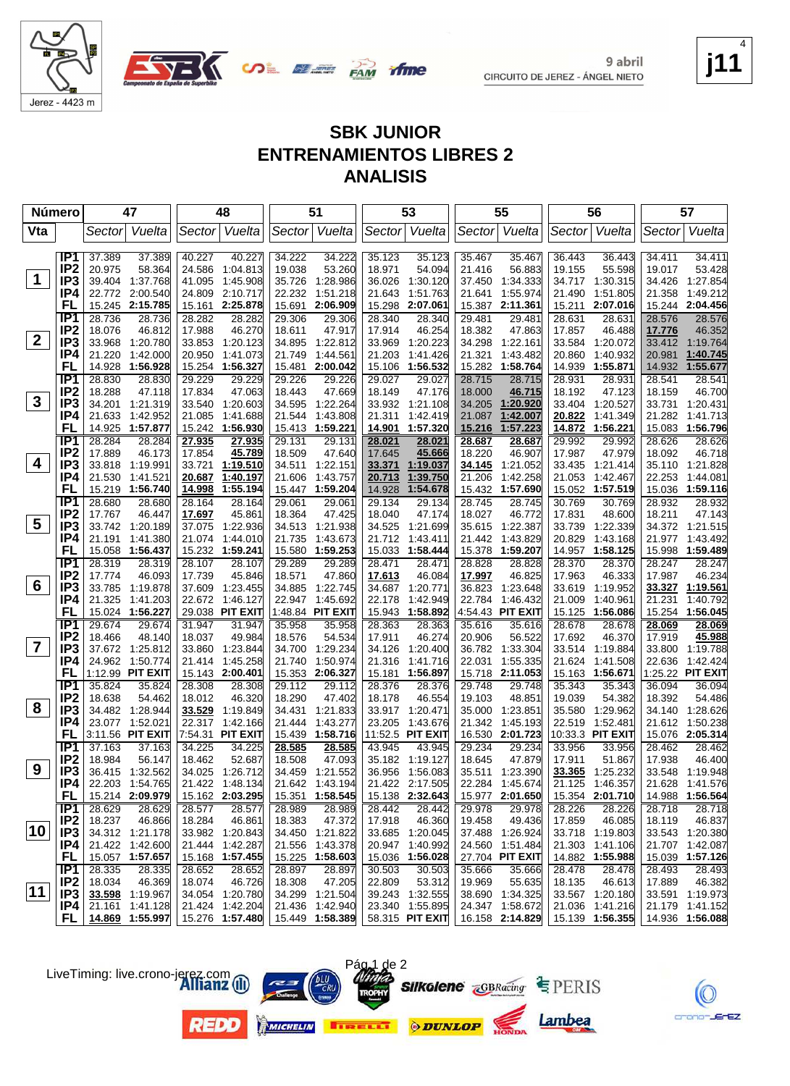

Jerez - 4423 m

9 abril CIRCUITO DE JEREZ - ÁNGEL NIETO **j11** 4

EZ.

#### **SBK JUNIOR ENTRENAMIENTOS LIBRES 2 ANALISIS**

| <b>Número</b> |                                    | 47                                    |        | 48                           |                      |                  | 51                          |                  | 53                                |                  | 55                        |                  | 56                        |                  | 57                                 |
|---------------|------------------------------------|---------------------------------------|--------|------------------------------|----------------------|------------------|-----------------------------|------------------|-----------------------------------|------------------|---------------------------|------------------|---------------------------|------------------|------------------------------------|
| Vta           |                                    | Vuelta<br>Sector                      |        | Sector                       | Vuelta               |                  | Sector Vuelta               | Sector           | Vuelta                            |                  | Sector Vuelta             |                  | Sector  Vuelta            | Sector           | Vuelta                             |
|               |                                    |                                       |        |                              |                      |                  |                             |                  |                                   |                  |                           |                  |                           |                  |                                    |
|               | IP <sub>1</sub><br>IP <sub>2</sub> | 37.389                                | 37.389 | 40.227                       | 40.227               | 34.222           | 34.222                      | 35.123           | 35.123                            | 35.467           | 35.467                    | 36.443           | 36.443                    | 34.411           | 34.411                             |
| $\mathbf 1$   | IP <sub>3</sub>                    | 20.975<br>39.404<br>1:37.768          | 58.364 | 24.586<br>41.095<br>1:45.908 | 1:04.813             | 19.038<br>35.726 | 53.260<br>1:28.986          | 18.971<br>36.026 | 54.094<br>1:30.120                | 21.416<br>37.450 | 56.883<br>1:34.333        | 19.155           | 55.598<br>34.717 1:30.315 | 19.017<br>34.426 | 53.428<br>1:27.854                 |
|               | IP4                                | 2:00.540                              |        | 24.809 2:10.717              |                      |                  | 1:51.218                    |                  | 1:51.763                          |                  | 1:55.974                  |                  | 1:51.805                  |                  | 1:49.212                           |
|               | FL                                 | 22.772<br>2:15.785<br>15.245          |        | 15.161                       | 2:25.878             | 22.232<br>15.691 | 2:06.909                    | 21.643<br>15.298 | 2:07.061                          | 21.641<br>15.387 | 2:11.361                  | 21.490<br>15.211 | 2:07.016                  | 21.358           | 15.244 2:04.456                    |
|               | IP <sub>1</sub>                    | 28.736                                | 28.736 | 28.282                       | 28.282               | 29.306           | 29.306                      | 28.340           | 28.340                            | 29.481           | 29.481                    | 28.631           | 28.631                    | 28.576           | 28.576                             |
|               | IP <sub>2</sub>                    | 18.076                                | 46.812 | 17.988                       | 46.270               | 18.611           | 47.917                      | 17.914           | 46.254                            | 18.382           | 47.863                    | 17.857           | 46.488                    | 17.776           | 46.352                             |
| $\mathbf{2}$  | IP3                                | 33.968<br>1:20.780                    |        | 33.853 1:20.123              |                      | 34.895           | 1:22.812                    | 33.969           | 1:20.223                          | 34.298           | 1:22.161                  | 33.584           | 1:20.072                  | 33.412           | 1:19.764                           |
|               | IP4                                | 21.220<br>1:42.000                    |        | 20.950                       | 1:41.073             | 21.749           | 1:44.561                    | 21.203           | 1:41.426                          | 21.321           | 1:43.482                  | 20.860           | 1:40.932                  | 20.981           | 1:40.745                           |
|               | FL                                 | 14.928<br>1:56.928                    |        | 15.254                       | 1:56.327             | 15.481           | 2:00.042                    | 15.106           | 1:56.532                          | 15.282           | 1:58.764                  | 14.939           | 1:55.871                  | 14.932           | 1:55.677                           |
|               | IP1                                | 28.830                                | 28.830 | 29.229                       | 29.229               | 29.226           | 29.226                      | 29.027           | 29.027                            | 28.715           | 28.715                    | 28.931           | 28.931                    | 28.541           | 28.541                             |
|               | IP <sub>2</sub>                    | 18.288                                | 47.118 | 17.834                       | 47.063               | 18.443           | 47.669                      | 18.149           | 47.176                            | 18.000           | 46.715                    | 18.192           | 47.123                    | 18.159           | 46.700                             |
| $\mathbf{3}$  | IP3                                | 1:21.319<br>34.201                    |        | 33.540 1:20.603              |                      | 34.595           | 1:22.264                    | 33.932           | 1:21.108                          | 34.205           | 1:20.920                  |                  | 33.404 1:20.527           | 33.731           | 1:20.431                           |
|               | IP4                                | 21.633<br>1:42.952                    |        | 21.085                       | 1:41.688             | 21.544           | 1:43.808                    | 21.311           | 1:42.419                          | 21.087           | 1:42.007                  | 20.822           | 1:41.349                  | 21.282           | 1:41.713                           |
|               | FL                                 | 14.925<br>1:57.877                    |        | 15.242 1:56.930              |                      | 15.413           | 1:59.221                    | 14.901           | 1:57.320                          | 15.216           | 1:57.223                  | 14.872           | 1:56.221                  | 15.083           | 1:56.796                           |
|               | IP1                                | 28.284                                | 28.284 | <u>27.935</u>                | 27.935               | 29.131           | 29.131                      | <u>28.021</u>    | 28.021                            | 28.687           | <u>28.687</u>             | 29.992           | 29.992                    | 28.626           | 28.626                             |
|               | IP <sub>2</sub>                    | 17.889                                | 46.173 | 17.854                       | 45.789               | 18.509           | 47.640                      | 17.645           | 45.666                            | 18.220           | 46.907                    | 17.987           | 47.979                    | 18.092           | 46.718                             |
| 4             | IP3                                | 33.818<br>1:19.991                    |        | 33.721                       | 1:19.510             | 34.511           | 1:22.151                    | <u>33.371</u>    | 1:19.037                          | 34.145           | 1:21.052                  |                  | 33.435 1:21.414           |                  | 35.110 1:21.828                    |
|               | IP4                                | 21.530<br>1:41.521                    |        | 20.687                       | 1:40.197             | 21.606           | 1:43.757                    | 20.713           | 1:39.750                          | 21.206           | 1:42.258                  | 21.053           | 1:42.467                  | 22.253           | 1:44.081                           |
|               | FL                                 | 15.219 1:56.740                       |        | 14.998                       | 1:55.194             |                  | 15.447 1:59.204             | 14.928           | 1:54.678                          |                  | 15.432 1:57.690           |                  | 15.052 1:57.519           |                  | 15.036 1:59.116                    |
|               | IP <sub>1</sub>                    | 28.680                                | 28.680 | 28.164                       | 28.164               | 29.061           | 29.061                      | 29.134           | 29.134                            | 28.745           | 28.745                    | 30.769           | 30.769                    | 28.932           | 28.932                             |
| 5             | IP <sub>2</sub>                    | 17.767                                | 46.447 | 17.697                       | 45.861               | 18.364           | 47.425                      | 18.040           | 47.174                            | 18.027           | 46.772                    | 17.831           | 48.600                    | 18.211           | 47.143                             |
|               | IP <sub>3</sub><br>IP4             | 33.742 1:20.189                       |        | 37.075                       | 1:22.936             |                  | 34.513 1:21.938<br>1:43.673 | 34.525           | 1:21.699<br>1:43.411              | 35.615           | 1:22.387                  | 33.739           | 1:22.339                  |                  | 34.372 1:21.515                    |
|               | FL                                 | 21.191<br>1:41.380<br>15.058 1:56.437 |        | 21.074<br>15.232 1:59.241    | 1:44.010             | 21.735<br>15.580 | 1:59.253                    | 21.712<br>15.033 | 1:58.444                          | 21.442<br>15.378 | 1:43.829<br>1:59.207      | 20.829<br>14.957 | 1:43.168<br>1:58.125      | 21.977           | 1:43.492<br>15.998 1:59.489        |
|               | IP1                                | 28.319                                | 28.319 | 28.107                       | 28.107               | 29.289           | 29.289                      | 28.471           | 28.471                            | 28.828           | 28.828                    | 28.370           | 28.370                    | 28.247           | 28.247                             |
|               | IP <sub>2</sub>                    | 17.774                                | 46.093 | 17.739                       | 45.846               | 18.571           | 47.860                      | 17.613           | 46.084                            | 17.997           | 46.825                    | 17.963           | 46.333                    | 17.987           | 46.234                             |
| 6             | IP <sub>3</sub>                    | 33.785<br>1:19.878                    |        | 37.609 1:23.455              |                      | 34.885           | 1:22.745                    | 34.687           | 1:20.771                          | 36.823           | 1:23.648                  | 33.619           | 1:19.952                  |                  | 33.327 1:19.561                    |
|               | IP4                                | 21.325<br>1:41.203                    |        | 22.672 1:46.127              |                      |                  | 22.947 1:45.692             | 22.178           | 1:42.949                          | 22.784           | 1:46.432                  | 21.009           | 1:40.961                  | 21.231           | 1:40.792                           |
|               | FL                                 | 15.024 1:56.227                       |        | 29.038 PIT EXIT              |                      |                  | 1:48.84 PIT EXIT            | 15.943           | 1:58.892                          |                  | 4:54.43 PIT EXIT          | 15.125           | 1:56.086                  | 15.254           | 1:56.045                           |
|               | IP1                                | 29.674                                | 29.674 | 31.947                       | 31.947               | 35.958           | 35.958                      | 28.363           | 28.363                            | 35.616           | 35.616                    | 28.678           | 28.678                    | 28.069           | 28.069                             |
|               | IP <sub>2</sub>                    | 18.466                                | 48.140 | 18.037                       | 49.984               | 18.576           | 54.534                      | 17.911           | 46.274                            | 20.906           | 56.522                    | 17.692           | 46.370                    | 17.919           | 45.988                             |
| 7             | IP <sub>3</sub>                    | 37.672 1:25.812                       |        | 33.860 1:23.844              |                      | 34.700           | 1:29.234                    | 34.126           | 1:20.400                          | 36.782           | 1:33.304                  | 33.514           | 1:19.884                  | 33.800           | 1:19.788                           |
|               | IP4                                | 24.962<br>1:50.774                    |        | 21.414                       | 1:45.258             | 21.740           | 1:50.974                    | 21.316           | 1:41.716                          | 22.031           | 1:55.335                  | 21.624           | 1:41.508                  | 22.636           | 1:42.424                           |
|               | FL                                 | 1:12.99 PIT EXIT                      |        | 15.143 2:00.401              |                      |                  | 15.353 2:06.327             | 15.181           | 1:56.897                          |                  | 15.718 2:11.053           |                  | 15.163 1:56.671           |                  | 1:25.22 PIT EXIT                   |
|               | IP1                                | 35.824                                | 35.824 | 28.308                       | 28.308               | 29.112           | 29.112                      | 28.376           | 28.376                            | 29.748           | 29.748                    | 35.343           | 35.343                    | 36.094           | 36.094                             |
| 8             | IP <sub>2</sub><br>IP <sub>3</sub> | 18.638                                | 54.462 | 18.012                       | 46.320               | 18.290           | 47.402                      | 18.178           | 46.554                            | 19.103           | 48.851                    | 19.039           | 54.382                    | 18.392           | 54.486                             |
|               | IP4                                | 34.482 1:28.944<br>23.077 1:52.021    |        | 33.529<br>22.317             | 1:19.849<br>1:42.166 | 34.431<br>21.444 | 1:21.833<br>1:43.277        | 33.917<br>23.205 | 1:20.471<br>1:43.676              | 35.000<br>21.342 | 1:23.851<br>1:45.193      | 35.580<br>22.519 | 1:29.962<br>1:52.481      |                  | 34.140 1:28.626<br>21.612 1:50.238 |
|               | FL                                 | 3:11.56 PIT EXIT                      |        | 7:54.31 PIT EXIT             |                      | 15.439           | 1:58.716                    |                  | 11:52.5 PIT EXIT                  |                  | 16.530 2:01.723           |                  | 10:33.3 PIT EXIT          |                  | 15.076 2:05.314                    |
|               | IP <sub>1</sub>                    | 37.163                                | 37.163 | 34.225                       | 34.225               | 28.585           | 28.585                      | 43.945           | 43.945                            | 29.234           | 29.234                    | 33.956           | 33.956                    | 28.462           | 28.462                             |
|               | IP <sub>2</sub>                    | 18.984                                | 56.147 | 18.462                       | 52.687               | 18.508           | 47.093                      | 35.182           | 1:19.127                          | 18.645           | 47.879                    | 17.911           | 51.867                    | 17.938           | 46.400                             |
| 9             | IP <sub>3</sub>                    | 36.415 1:32.562                       |        | 34.025 1:26.712              |                      |                  | 34.459 1:21.552             | 36.956           | 1:56.083                          |                  | 35.511 1:23.390           |                  | 33.365 1:25.232           |                  | 33.548 1:19.948                    |
|               | IP4                                | 22.203 1:54.765                       |        | 21.422 1:48.134              |                      |                  | 21.642 1:43.194             |                  | 21.422 2:17.505                   |                  | 22.284 1:45.674           |                  | 21.125 1:46.357           |                  | 21.628 1:41.576                    |
|               | <b>FL</b>                          | 15.214 2:09.979                       |        | 15.162 2:03.295              |                      |                  | 15.351 1:58.545             |                  | 15.138 2:32.643                   |                  | 15.977 2:01.650           |                  | 15.354 2:01.710           |                  | 14.988 1:56.564                    |
|               | IP1                                | 28.629                                | 28.629 | 28.577                       | 28.577               | 28.989           | 28.989                      | 28.442           | 28.442                            | 29.978           | 29.978                    | 28.226           | 28.226                    | 28.718           | 28.718                             |
|               | IP <sub>2</sub>                    | 18.237                                | 46.866 | 18.284                       | 46.861               | 18.383           | 47.372                      | 17.918           | 46.360                            | 19.458           | 49.436                    | 17.859           | 46.085                    | 18.119           | 46.837                             |
| 10            | IP <sub>3</sub>                    | 34.312 1:21.178                       |        | 33.982 1:20.843              |                      |                  | 34.450 1:21.822             |                  | 33.685 1:20.045                   |                  | 37.488 1:26.924           |                  | 33.718 1:19.803           |                  | 33.543 1:20.380                    |
|               | IP4                                | 21.422 1:42.600                       |        | 21.444 1:42.287              |                      |                  | 21.556 1:43.378             |                  | 20.947 1:40.992                   |                  | 24.560 1:51.484           |                  | 21.303 1:41.106           |                  | 21.707 1:42.087                    |
|               | <b>FL</b>                          | 15.057 1:57.657                       |        | 15.168 1:57.455              |                      |                  | 15.225 1:58.603             |                  | 15.036 1:56.028                   |                  | 27.704 PIT EXIT           |                  | 14.882 1:55.988           |                  | 15.039 1:57.126                    |
|               | IP1<br>IP <sub>2</sub>             | 28.335                                | 28.335 | 28.652                       | 28.652               | 28.897           | 28.897                      | 30.503           | 30.503                            | 35.666           | 35.666                    | 28.478           | 28.478                    | 28.493           | 28.493                             |
| 11            | IP <sub>3</sub>                    | 18.034<br>33.598 1:19.967             | 46.369 | 18.074<br>34.054 1:20.780    | 46.726               | 18.308           | 47.205<br>34.299 1:21.504   | 22.809           | 53.312<br>39.243 1:32.555         | 19.969           | 55.635<br>38.690 1:34.325 | 18.135           | 46.613<br>33.567 1:20.180 | 17.889           | 46.382<br>33.591 1:19.973          |
|               | IP4                                | 21.161 1:41.128                       |        | 21.424 1:42.204              |                      |                  | 21.436 1:42.940             |                  | 23.340 1:55.895                   |                  | 24.347 1:58.672           |                  | 21.036 1:41.216           |                  | 21.179 1:41.152                    |
|               | FL.                                | 14.869 1:55.997                       |        | 15.276 1:57.480              |                      |                  | 15.449 1:58.389             |                  | 58.315 PIT EXIT   16.158 2:14.829 |                  |                           |                  | $15.139$ 1:56.355         |                  | 14.936 1:56.088                    |
|               |                                    |                                       |        |                              |                      |                  |                             |                  |                                   |                  |                           |                  |                           |                  |                                    |

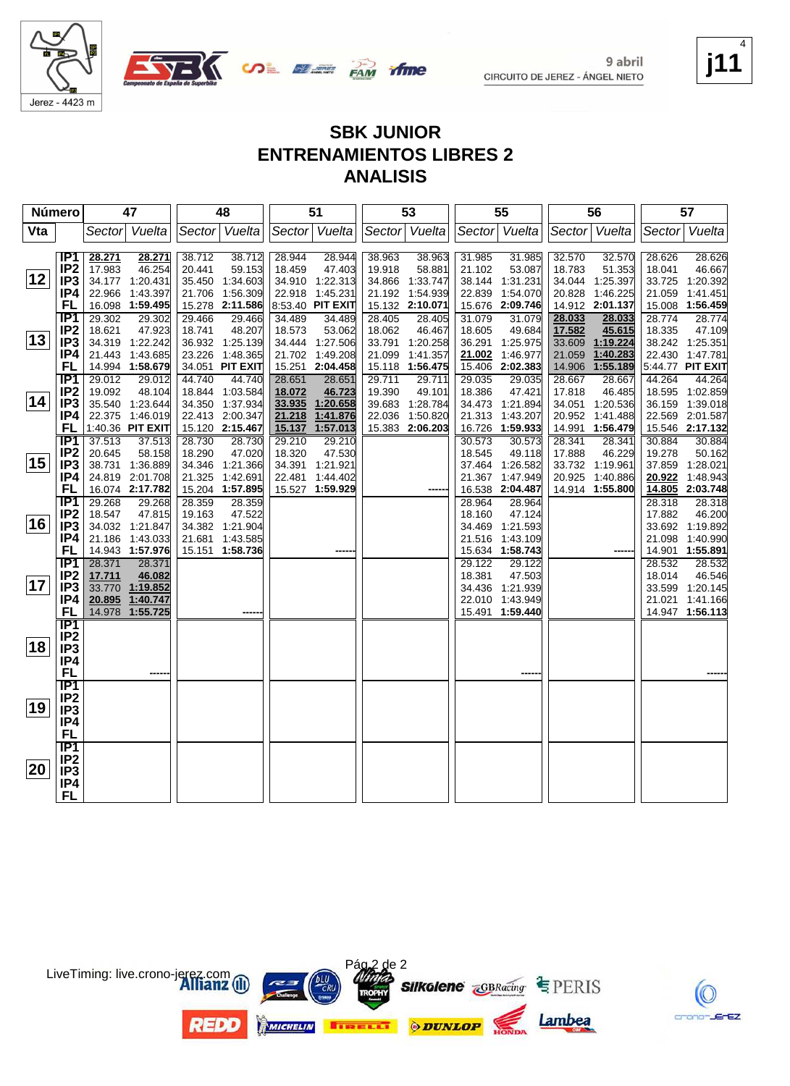



**j11** 4

K

crono-JErEZ

#### **SBK JUNIOR ENTRENAMIENTOS LIBRES 2 ANALISIS**

| Número       |                                     |                  | 47                                  |        | 48                        |                  | 51                   |        | 53                          |               | 55                                 |                  | 56                                 |               | 57                                 |
|--------------|-------------------------------------|------------------|-------------------------------------|--------|---------------------------|------------------|----------------------|--------|-----------------------------|---------------|------------------------------------|------------------|------------------------------------|---------------|------------------------------------|
| Vta          |                                     |                  | Sector Vuelta                       |        | Sector Vuelta             |                  | Sector Vuelta        |        | Sector Vuelta               | Sector Vuelta |                                    |                  | Sector Vuelta                      | Sector Vuelta |                                    |
|              |                                     |                  |                                     |        |                           |                  |                      |        |                             |               |                                    |                  |                                    |               |                                    |
|              | IP1<br>IP <sub>2</sub>              | 28.271<br>17.983 | 28.271<br>46.254                    | 38.712 | 38.712<br>59.153          | 28.944           | 28.944<br>47.403     | 38.963 | 38.963<br>58.881            | 31.985        | 31.985<br>53.087                   | 32.570<br>18.783 | 32.570                             | 28.626        | 28.626<br>46.667                   |
| 12           | IP <sub>3</sub>                     |                  | 34.177 1:20.431                     | 20.441 | 35.450 1:34.603           | 18.459           | 34.910 1:22.313      | 19.918 | 34.866 1:33.747             | 21.102        | 38.144 1:31.231                    |                  | 51.353<br>34.044 1:25.397          | 18.041        | 33.725 1:20.392                    |
|              | IP4                                 |                  | 22.966 1:43.397                     |        | 21.706 1:56.309           |                  | 22.918 1:45.231      |        | 21.192 1:54.939             | 22.839        | 1:54.070                           | 20.828           | 1:46.225                           | 21.059        | 1:41.451                           |
|              | FL                                  |                  | 16.098 1:59.495                     |        | 15.278 2:11.586           |                  | 8:53.40 PIT EXIT     |        | 15.132 2:10.071             |               | 15.676 2:09.746                    |                  | 14.912 2:01.137                    |               | 15.008 1:56.459                    |
|              | IP1                                 | 29.302           | 29.302                              | 29.466 | 29.466                    | 34.489           | 34.489               | 28.405 | 28.405                      | 31.079        | 31.079                             | 28.033           | 28.033                             | 28.774        | 28.774                             |
|              | IP <sub>2</sub>                     | 18.621           | 47.923                              | 18.741 | 48.207                    | 18.573           | 53.062               | 18.062 | 46.467                      | 18.605        | 49.684                             | 17.582           | 45.615                             | 18.335        | 47.109                             |
| $ 13\rangle$ | IP <sub>3</sub>                     |                  | 34.319 1:22.242                     |        | 36.932 1:25.139           |                  | 34.444 1:27.506      |        | 33.791 1:20.258             | 36.291        | 1:25.975                           | 33.609           | 1:19.224                           |               | 38.242 1:25.351                    |
|              | IP4                                 |                  | 21.443 1:43.685                     |        | 23.226 1:48.365           |                  | 21.702 1:49.208      | 21.099 | 1:41.357                    | 21.002        | 1:46.977                           | 21.059           | 1:40.283                           |               | 22.430 1:47.781                    |
|              | FL                                  |                  | 14.994 1:58.679                     |        | 34.051 PIT EXIT           |                  | 15.251 2:04.458      |        | 15.118 1:56.475             | 15.406        | 2:02.383                           | 14.906           | 1:55.189                           |               | 5:44.77 PIT EXIT                   |
|              | IP1                                 | 29.012           | 29.012                              | 44.740 | 44.740                    | 28.651           | 28.651               | 29.711 | 29.711                      | 29.035        | 29.035                             | 28.667           | 28.667                             | 44.264        | 44.264                             |
| 14           | IP <sub>2</sub>                     | 19.092           | 48.104                              |        | 18.844 1:03.584           | 18.072           | 46.723               | 19.390 | 49.101                      | 18.386        | 47.421                             | 17.818           | 46.485                             |               | 18.595 1:02.859                    |
|              | IP <sub>3</sub>                     |                  | 35.540 1:23.644                     |        | 34.350 1:37.934           |                  | 33.935 1:20.658      |        | 39.683 1:28.784             |               | 34.473 1:21.894                    |                  | 34.051 1:20.536                    |               | 36.159 1:39.018                    |
|              | IP4<br>FL                           |                  | 22.375 1:46.019<br>1:40.36 PIT EXIT |        | 22.413 2:00.347           | 21.218<br>15.137 | 1:41.876<br>1:57.013 | 22.036 | 1:50.820<br>15.383 2:06.203 |               | 21.313 1:43.207<br>16.726 1:59.933 |                  | 20.952 1:41.488<br>14.991 1:56.479 |               | 22.569 2:01.587<br>15.546 2:17.132 |
|              | <b>TP1</b>                          | 37.513           | 37.513                              | 28.730 | 15.120 2:15.467<br>28.730 | 29.210           | 29.210               |        |                             | 30.573        | 30.573                             | 28.341           | 28.341                             | 30.884        | 30.884                             |
|              | IP <sub>2</sub>                     | 20.645           | 58.158                              | 18.290 | 47.020                    | 18.320           | 47.530               |        |                             | 18.545        | 49.118                             | 17.888           | 46.229                             | 19.278        | 50.162                             |
| 15           | IP <sub>3</sub>                     |                  | 38.731 1:36.889                     |        | 34.346 1:21.366           |                  | 34.391 1:21.921      |        |                             |               | 37.464 1:26.582                    |                  | 33.732 1:19.961                    |               | 37.859 1:28.021                    |
|              | IP4                                 |                  | 24.819 2:01.708                     |        | 21.325 1:42.691           | 22.481           | 1:44.402             |        |                             |               | 21.367 1:47.949                    |                  | 20.925 1:40.886                    | 20.922        | 1:48.943                           |
|              | <b>FL</b>                           |                  | 16.074 2:17.782                     |        | 15.204 1:57.895           |                  | 15.527 1:59.929      |        |                             |               | 16.538 2:04.487                    |                  | 14.914 1:55.800                    | 14.805        | 2:03.748                           |
|              | $\overline{IP1}$                    | 29.268           | 29.268                              | 28.359 | 28.359                    |                  |                      |        |                             | 28.964        | 28.964                             |                  |                                    | 28.318        | 28.318                             |
|              | IP <sub>2</sub>                     | 18.547           | 47.815                              | 19.163 | 47.522                    |                  |                      |        |                             | 18.160        | 47.124                             |                  |                                    | 17.882        | 46.200                             |
| 16           | IP <sub>3</sub>                     |                  | 34.032 1:21.847                     |        | 34.382 1:21.904           |                  |                      |        |                             |               | 34.469 1:21.593                    |                  |                                    |               | 33.692 1:19.892                    |
|              | IP4                                 |                  | 21.186 1:43.033                     |        | 21.681 1:43.585           |                  |                      |        |                             |               | 21.516 1:43.109                    |                  |                                    |               | 21.098 1:40.990                    |
|              | FL                                  |                  | 14.943 1:57.976                     |        | 15.151 1:58.736           |                  |                      |        |                             |               | 15.634 1:58.743                    |                  |                                    |               | 14.901 1:55.891                    |
|              | $\overline{IP1}$<br>IP <sub>2</sub> | 28.371           | 28.371                              |        |                           |                  |                      |        |                             | 29.122        | 29.122                             |                  |                                    | 28.532        | 28.532                             |
| 17           | IP <sub>3</sub>                     | 17.711           | 46.082<br>33.770 1:19.852           |        |                           |                  |                      |        |                             | 18.381        | 47.503<br>34.436 1:21.939          |                  |                                    | 18.014        | 46.546<br>33.599 1:20.145          |
|              | IP4                                 |                  | 20.895 1:40.747                     |        |                           |                  |                      |        |                             |               | 22.010 1:43.949                    |                  |                                    |               | 21.021 1:41.166                    |
|              | <b>FL</b>                           |                  | 14.978 1:55.725                     |        |                           |                  |                      |        |                             |               | 15.491 1:59.440                    |                  |                                    |               | 14.947 1:56.113                    |
|              | <b>IP1</b>                          |                  |                                     |        |                           |                  |                      |        |                             |               |                                    |                  |                                    |               |                                    |
|              | IP <sub>2</sub>                     |                  |                                     |        |                           |                  |                      |        |                             |               |                                    |                  |                                    |               |                                    |
| 18           | IP <sub>3</sub>                     |                  |                                     |        |                           |                  |                      |        |                             |               |                                    |                  |                                    |               |                                    |
|              | IP4                                 |                  |                                     |        |                           |                  |                      |        |                             |               |                                    |                  |                                    |               |                                    |
|              | <b>FL</b>                           |                  |                                     |        |                           |                  |                      |        |                             |               |                                    |                  |                                    |               |                                    |
|              | $\overline{IP1}$                    |                  |                                     |        |                           |                  |                      |        |                             |               |                                    |                  |                                    |               |                                    |
| 19           | IP <sub>2</sub>                     |                  |                                     |        |                           |                  |                      |        |                             |               |                                    |                  |                                    |               |                                    |
|              | IP <sub>3</sub>                     |                  |                                     |        |                           |                  |                      |        |                             |               |                                    |                  |                                    |               |                                    |
|              | IP4<br><b>FL</b>                    |                  |                                     |        |                           |                  |                      |        |                             |               |                                    |                  |                                    |               |                                    |
|              | $\overline{IP1}$                    |                  |                                     |        |                           |                  |                      |        |                             |               |                                    |                  |                                    |               |                                    |
|              | IP <sub>2</sub>                     |                  |                                     |        |                           |                  |                      |        |                             |               |                                    |                  |                                    |               |                                    |
| 20           | IP <sub>3</sub>                     |                  |                                     |        |                           |                  |                      |        |                             |               |                                    |                  |                                    |               |                                    |
|              | IP4                                 |                  |                                     |        |                           |                  |                      |        |                             |               |                                    |                  |                                    |               |                                    |
|              | FL                                  |                  |                                     |        |                           |                  |                      |        |                             |               |                                    |                  |                                    |               |                                    |

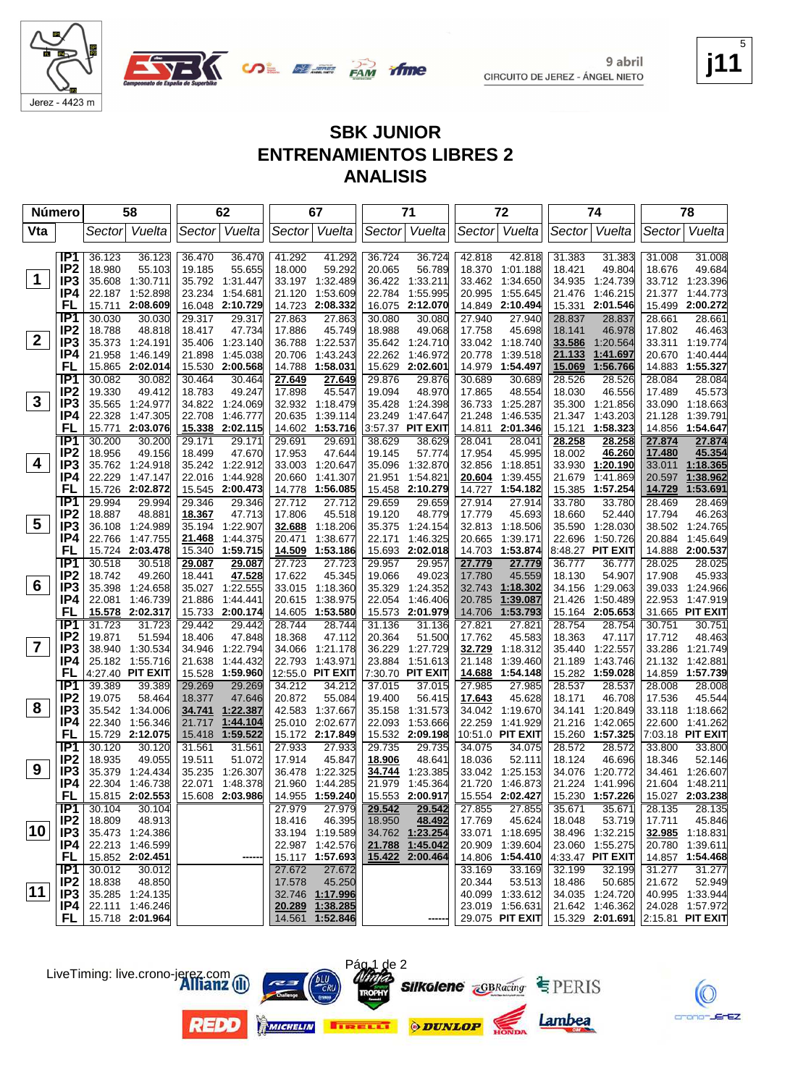



#### **SBK JUNIOR ENTRENAMIENTOS LIBRES 2 ANALISIS**

| <b>Número</b>           |                                    | 58                                     |                  | 62                                 |                  | 67                                 |                  | 71                                 |                         | 72                                 |                  | 74                                 |                  | 78                                 |
|-------------------------|------------------------------------|----------------------------------------|------------------|------------------------------------|------------------|------------------------------------|------------------|------------------------------------|-------------------------|------------------------------------|------------------|------------------------------------|------------------|------------------------------------|
| Vta                     |                                    | Vuelta<br>Sector                       | Sector Vuelta    |                                    |                  | Sector Vuelta                      | Sector           | Vuelta                             |                         | Sector Vuelta                      | Sector           | Vuelta                             | Sector           | Vuelta                             |
|                         |                                    |                                        |                  |                                    |                  |                                    |                  |                                    |                         |                                    |                  |                                    |                  |                                    |
|                         | IP <sub>1</sub>                    | 36.123<br>36.123                       | 36.470           | 36.470                             | 41.292           | 41.292                             | 36.724           | 36.724                             | 42.818                  | 42.818                             | 31.383           | 31.383                             | 31.008           | 31.008                             |
| $\mathbf 1$             | IP <sub>2</sub><br>IP <sub>3</sub> | 18.980<br>55.103<br>35.608<br>1:30.711 | 19.185           | 55.655<br>35.792 1:31.447          | 18.000           | 59.292<br>33.197 1:32.489          | 20.065           | 56.789<br>1:33.211                 | 18.370<br>33.462        | 1:01.188<br>1:34.650               | 18.421<br>34.935 | 49.804<br>1:24.739                 | 18.676           | 49.684<br>33.712 1:23.396          |
|                         | IP4                                | 22.187 1:52.898                        | 23.234           | 1:54.681                           | 21.120           | 1:53.609                           | 36.422<br>22.784 | 1:55.995                           | 20.995                  | 1:55.645                           | 21.476           | 1:46.215                           | 21.377           | 1:44.773                           |
|                         | FL                                 | 2:08.609<br>15.711                     |                  | 16.048 2:10.729                    | 14.723           | 2:08.332                           | 16.075           | 2:12.070                           | 14.849                  | 2:10.494                           | 15.331           | 2:01.546                           | 15.499           | 2:00.272                           |
|                         | IP <sub>1</sub>                    | 30.030<br>30.030                       | 29.317           | 29.317                             | 27.863           | 27.863                             | 30.080           | 30.080                             | 27.940                  | 27.940                             | 28.837           | 28.837                             | 28.661           | 28.661                             |
|                         | IP <sub>2</sub>                    | 18.788<br>48.818                       | 18.417           | 47.734                             | 17.886           | 45.749                             | 18.988           | 49.068                             | 17.758                  | 45.698                             | 18.141           | 46.978                             | 17.802           | 46.463                             |
| $2^{\circ}$             | IP3                                | 35.373<br>1:24.191                     | 35.406           | 1:23.140                           | 36.788           | 1:22.537                           | 35.642           | 1:24.710                           |                         | 33.042 1:18.740                    | 33.586           | 1:20.564                           | 33.311           | 1:19.774                           |
|                         | IP4                                | 21.958<br>1:46.149                     | 21.898           | 1:45.038                           | 20.706           | 1:43.243                           | 22.262           | 1:46.972                           | 20.778                  | 1:39.518                           | 21.133           | 1:41.697                           | 20.670           | 1:40.444                           |
|                         | FL                                 | 15.865 2:02.014                        | 15.530           | 2:00.568                           | 14.788           | 1:58.031                           | 15.629           | 2:02.601                           | 14.979                  | 1:54.497                           | 15.069           | 1:56.766                           | 14.883           | 1:55.327                           |
|                         | IP <sub>1</sub>                    | 30.082<br>30.082                       | 30.464           | 30.464                             | 27.649           | 27.649                             | 29.876           | 29.876                             | 30.689                  | 30.689                             | 28.526           | 28.526                             | 28.084           | 28.084                             |
|                         | IP <sub>2</sub>                    | 19.330<br>49.412                       | 18.783           | 49.247                             | 17.898           | 45.547                             | 19.094           | 48.970                             | 17.865                  | 48.554                             | 18.030           | 46.556                             | 17.489           | 45.573                             |
| $\mathbf{3}$            | IP <sub>3</sub>                    | 35.565<br>1:24.977                     |                  | 34.822 1:24.069                    |                  | 32.932 1:18.479                    | 35.428           | 1:24.398                           | 36.733                  | 1:25.287                           | 35.300           | 1:21.856                           |                  | 33.090 1:18.663                    |
|                         | IP4                                | 22.328<br>1:47.305                     | 22.708           | 1:46.777                           | 20.635           | 1:39.114                           | 23.249           | 1:47.647                           | 21.248                  | 1:46.535                           | 21.347           | 1:43.203                           | 21.128           | 1:39.791                           |
|                         | FL                                 | 15.771<br>2:03.076                     | 15.338           | 2:02.115                           | 14.602           | 1:53.716                           |                  | 3:57.37 PIT EXIT                   | 14.811                  | 2:01.346                           | 15.121           | 1:58.323                           | 14.856           | 1:54.647                           |
|                         | IP <sub>1</sub>                    | 30.200<br>30.200                       | 29.171           | 29.171                             | 29.691           | 29.691                             | 38.629           | 38.629                             | 28.041                  | 28.041                             | 28.258           | 28.258                             | 27.874           | 27.874                             |
| 4                       | IP <sub>2</sub><br>IP <sub>3</sub> | 18.956<br>49.156                       | 18.499           | 47.670                             | 17.953           | 47.644                             | 19.145           | 57.774                             | 17.954                  | 45.995                             | 18.002           | 46.260                             | 17.480           | 45.354                             |
|                         | IP4                                | 35.762 1:24.918<br>22.229<br>1:47.147  | 22.016           | 35.242 1:22.912<br>1:44.928        | 33.003<br>20.660 | 1:20.647<br>1:41.307               | 35.096<br>21.951 | 1:32.870<br>1:54.821               | 32.856<br><u>20.604</u> | 1:18.851<br>1:39.455               | 33.930<br>21.679 | 1:20.190<br>1:41.869               | 33.011<br>20.597 | 1:18.365<br>1:38.962               |
|                         | FL                                 | 15.726<br>2:02.872                     |                  | 15.545 2:00.473                    | 14.778           | 1:56.085                           | 15.458           | 2:10.279                           | 14.727                  | 1:54.182                           | 15.385           | 1:57.254                           | 14.729           | 1:53.691                           |
|                         | IP <sub>1</sub>                    | 29.994<br>29.994                       | 29.346           | 29.346                             | 27.712           | 27.712                             | 29.659           | 29.659                             | 27.914                  | 27.914                             | 33.780           | 33.780                             | 28.469           | 28.469                             |
|                         | IP <sub>2</sub>                    | 18.887<br>48.881                       | 18.367           | 47.713                             | 17.806           | 45.518                             | 19.120           | 48.779                             | 17.779                  | 45.693                             | 18.660           | 52.440                             | 17.794           | 46.263                             |
| $\overline{\mathbf{5}}$ | IP <sub>3</sub>                    | 36.108<br>1:24.989                     | 35.194           | 1:22.907                           | 32.688           | 1:18.206                           | 35.375           | 1:24.154                           | 32.813                  | 1:18.506                           | 35.590           | 1:28.030                           | 38.502           | 1:24.765                           |
|                         | IP4                                | 22.766<br>1:47.755                     | 21.468           | 1:44.375                           | 20.471           | 1:38.677                           | 22.171           | 1:46.325                           | 20.665                  | 1:39.171                           | 22.696           | 1:50.726                           | 20.884           | 1:45.649                           |
|                         | FL                                 | 15.724 2:03.478                        | 15.340           | 1:59.715                           |                  | 14.509 1:53.186                    | 15.693           | 2:02.018                           |                         | 14.703 1:53.874                    |                  | 8:48.27 PIT EXIT                   |                  | 14.888 2:00.537                    |
|                         | IP <sub>1</sub>                    | 30.518<br>30.518                       | 29.087           | 29.087                             | 27.723           | 27.723                             | 29.957           | 29.957                             | 27.779                  | 27.779                             | 36.777           | 36.777                             | 28.025           | 28.025                             |
|                         | IP <sub>2</sub>                    | 18.742<br>49.260                       | 18.441           | 47.528                             | 17.622           | 45.345                             | 19.066           | 49.023                             | 17.780                  | 45.559                             | 18.130           | 54.907                             | 17.908           | 45.933                             |
| 6                       | IP <sub>3</sub>                    | 35.398<br>1:24.658                     |                  | 35.027 1:22.555                    | 33.015           | 1:18.360                           | 35.329           | 1:24.352                           | 32.743                  | 1:18.302                           | 34.156           | 1:29.063                           |                  | 39.033 1:24.966                    |
|                         | IP4                                | 22.081<br>1:46.739                     | 21.886           | 1:44.441                           | 20.615           | 1:38.975                           | 22.054           | 1:46.406                           | 20.785                  | 1:39.087                           | 21.426           | 1:50.489                           | 22.953           | 1:47.919                           |
|                         | FL<br>IP <sub>1</sub>              | 15.578 2:02.317                        |                  | 15.733 2:00.174                    | 14.605           | 1:53.580                           | 15.573           | 2:01.979                           | 14.706                  | 1:53.793                           | 15.164           | 2:05.653                           |                  | 31.665 PIT EXIT                    |
|                         | IP <sub>2</sub>                    | 31.723<br>31.723<br>19.871<br>51.594   | 29.442<br>18.406 | 29.442<br>47.848                   | 28.744<br>18.368 | 28.744<br>47.112                   | 31.136<br>20.364 | 31.136<br>51.500                   | 27.821<br>17.762        | 27.821<br>45.583                   | 28.754<br>18.363 | 28.754<br>47.117                   | 30.751<br>17.712 | 30.751<br>48.463                   |
| $\overline{\mathbf{7}}$ | IP <sub>3</sub>                    | 38.940<br>1:30.534                     | 34.946           | 1:22.794                           | 34.066           | 1:21.178                           | 36.229           | 1:27.729                           | 32.729                  | 1:18.312                           | 35.440           | 1:22.557                           | 33.286           | 1:21.749                           |
|                         | IP4                                | 25.182 1:55.716                        | 21.638           | 1:44.432                           | 22.793           | 1:43.971                           | 23.884           | 1:51.613                           | 21.148                  | 1:39.460                           | 21.189           | 1:43.746                           | 21.132           | 1:42.881                           |
|                         | FL                                 | 4:27.40 PIT EXIT                       | 15.528           | 1:59.960                           |                  | 12:55.0 PIT EXIT                   |                  | 7:30.70 PIT EXIT                   | 14.688                  | 1:54.148                           |                  | 15.282 1:59.028                    | 14.859           | 1:57.739                           |
|                         | IP1                                | 39.389<br>39.389                       | 29.269           | 29.269                             | 34.212           | 34.212                             | 37.015           | 37.015                             | 27.985                  | 27.985                             | 28.537           | 28.537                             | 28.008           | 28.008                             |
|                         | IP <sub>2</sub>                    | 19.075<br>58.464                       | 18.377           | 47.646                             | 20.872           | 55.084                             | 19.400           | 56.415                             | 17.643                  | 45.628                             | 18.171           | 46.708                             | 17.536           | 45.544                             |
| 8                       | IP <sub>3</sub>                    | 35.542<br>1:34.006                     |                  | 34.741 1:22.387                    | 42.583           | 1:37.667                           | 35.158           | 1:31.573                           | 34.042                  | 1:19.670                           | 34.141           | 1:20.849                           | 33.118           | 1:18.662                           |
|                         | IP4                                | 22.340<br>1:56.346                     | 21.717           | 1:44.104                           | 25.010           | 2:02.677                           | 22.093           | 1:53.666                           | 22.259                  | 1:41.929                           | 21.216           | 1:42.065                           | 22.600           | 1:41.262                           |
|                         | FL                                 | 15.729 2:12.075                        | 15.418           | 1:59.522                           |                  | 15.172 2:17.849                    |                  | 15.532 2:09.198                    |                         | 10:51.0 PIT EXIT                   |                  | 15.260 1:57.325                    |                  | 7:03.18 PIT EXIT                   |
|                         | IP <sub>1</sub>                    | 30.120<br>30.120                       | 31.561           | 31.561                             | 27.933           | 27.933                             | 29.735           | 29.735                             | 34.075                  | 34.075                             | 28.572           | 28.572                             | 33.800           | 33.800                             |
| 9                       | IP <sub>2</sub>                    | 18.935<br>49.055                       | 19.511           | 51.072                             | 17.914           | 45.847                             | 18.906           | 48.641                             | 18.036                  | 52.111                             | 18.124           | 46.696                             | 18.346           | 52.146                             |
|                         | IP3                                | 35.379 1:24.434                        |                  | 35.235 1:26.307                    |                  | 36.478 1:22.325                    | 34.744           | 1:23.385                           |                         | 33.042 1:25.153                    |                  | 34.076 1:20.772                    |                  | 34.461 1:26.607                    |
|                         | IP4<br>FL.                         | 22.304 1:46.738<br>15.815 2:02.553     |                  | 22.071 1:48.378<br>15.608 2:03.986 |                  | 21.960 1:44.285<br>14.955 1:59.240 |                  | 21.979 1:45.364<br>15.553 2:00.917 |                         | 21.720 1:46.873<br>15.554 2:02.427 |                  | 21.224 1:41.996<br>15.230 1:57.226 |                  | 21.604 1:48.211<br>15.027 2:03.238 |
|                         | IP1                                | 30.104<br>30.104                       |                  |                                    | 27.979           | 27.979                             | 29.542           | 29.542                             | 27.855                  | 27.855                             | 35.671           | 35.671                             | 28.135           | 28.135                             |
|                         | IP <sub>2</sub>                    | 18.809<br>48.913                       |                  |                                    | 18.416           | 46.395                             | 18.950           | 48.492                             | 17.769                  | 45.624                             | 18.048           | 53.719                             | 17.711           | 45.846                             |
| 10                      | IP3                                | 35.473 1:24.386                        |                  |                                    |                  | 33.194 1:19.589                    |                  | 34.762 1:23.254                    |                         | 33.071 1:18.695                    |                  | 38.496 1:32.215                    |                  | 32.985 1:18.831                    |
|                         | IP4 I                              | 22.213 1:46.599                        |                  |                                    |                  | 22.987 1:42.576                    |                  | 21.788 1:45.042                    |                         | 20.909 1:39.604                    |                  | 23.060 1:55.275                    |                  | 20.780 1:39.611                    |
|                         | FL.                                | 15.852 2:02.451                        |                  |                                    |                  | 15.117 1:57.693                    |                  | 15.422 2:00.464                    |                         | 14.806 1:54.410                    |                  | 4:33.47 PIT EXIT                   |                  | 14.857 1:54.468                    |
|                         | IP1                                | 30.012<br>30.012                       |                  |                                    | 27.672           | 27.672                             |                  |                                    | 33.169                  | 33.169                             | 32.199           | 32.199                             | 31.277           | 31.277                             |
|                         | IP <sub>2</sub>                    | 18.838<br>48.850                       |                  |                                    | 17.578           | 45.250                             |                  |                                    | 20.344                  | 53.513                             | 18.486           | 50.685                             | 21.672           | 52.949                             |
| $ 11\rangle$            | IP3                                | 35.285 1:24.135                        |                  |                                    |                  | 32.746 1:17.996                    |                  |                                    |                         | 40.099 1:33.612                    |                  | 34.035 1:24.720                    |                  | 40.995 1:33.944                    |
|                         | P4                                 | 22.111 1:46.246                        |                  |                                    | 20.289           | 1:38.285                           |                  |                                    |                         | 23.019 1:56.631                    |                  | 21.642 1:46.362                    |                  | 24.028 1:57.972                    |
|                         | FL I                               | 15.718 2:01.964                        |                  |                                    |                  | 14.561 1:52.846                    |                  |                                    |                         | 29.075 PIT EXIT                    |                  | 15.329 2:01.691                    |                  | 2:15.81 PIT EXIT                   |





**REDO** 





Pág 1 de 2







**j11**

5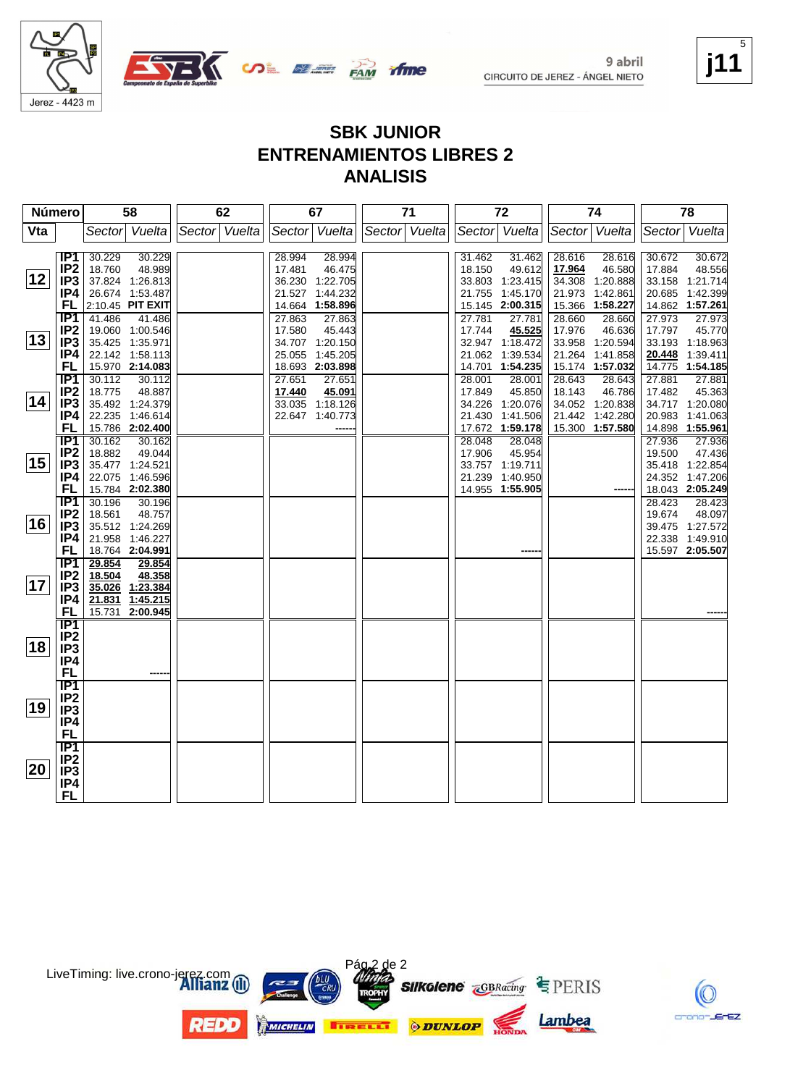

9 abril



CIRCUITO DE JEREZ - ÁNGEL NIETO

#### **j11** 5

K

crono-JErEZ

#### **SBK JUNIOR ENTRENAMIENTOS LIBRES 2 ANALISIS**

time

| Número |                                    | 58                         |                             | 62            |  | 67     |                  | 71            |  | 72     |                  | 74               |                  | 78               |                                    |
|--------|------------------------------------|----------------------------|-----------------------------|---------------|--|--------|------------------|---------------|--|--------|------------------|------------------|------------------|------------------|------------------------------------|
| Vta    |                                    |                            | Sector Vuelta               | Sector Vuelta |  |        | Sector Vuelta    | Sector Vuelta |  |        | Sector Vuelta    |                  | Sector Vuelta    | Sector Vuelta    |                                    |
|        |                                    |                            |                             |               |  |        |                  |               |  |        |                  |                  |                  |                  |                                    |
|        | IP1                                | 30.229                     | 30.229                      |               |  | 28.994 | 28.994           |               |  | 31.462 | 31.462           | 28.616           | 28.616           | 30.672           | 30.672                             |
|        | IP <sub>2</sub>                    | 18.760                     | 48.989                      |               |  | 17.481 | 46.475           |               |  | 18.150 | 49.612           | 17.964           | 46.580           | 17.884           | 48.556                             |
| 12     | IP3                                |                            | 37.824 1:26.813             |               |  |        | 36.230 1:22.705  |               |  |        | 33.803 1:23.415  |                  | 34.308 1:20.888  |                  | 33.158 1:21.714                    |
|        | IP4                                |                            | 26.674 1:53.487             |               |  |        | 21.527 1:44.232  |               |  |        | 21.755 1:45.170  | 21.973           | 1:42.861         | 20.685           | 1:42.399                           |
|        | FL<br>IP1                          | 2:10.45 PIT EXIT<br>41.486 |                             |               |  | 27.863 | 14.664 1:58.896  |               |  | 27.781 | 15.145 2:00.315  |                  | 15.366 1:58.227  |                  | 14.862 1:57.261<br>27.973          |
|        | IP <sub>2</sub>                    |                            | 41.486<br>19.060 1:00.546   |               |  | 17.580 | 27.863<br>45.443 |               |  | 17.744 | 27.781<br>45.525 | 28.660<br>17.976 | 28.660<br>46.636 | 27.973<br>17.797 | 45.770                             |
| 13     | IP <sub>3</sub>                    |                            | 35.425 1:35.971             |               |  |        | 34.707 1:20.150  |               |  |        | 32.947 1:18.472  | 33.958           | 1:20.594         |                  | 33.193 1:18.963                    |
|        | IP4                                |                            | 22.142 1:58.113             |               |  |        | 25.055 1:45.205  |               |  |        | 21.062 1:39.534  | 21.264           | 1:41.858         | 20.448           | 1:39.411                           |
|        | FL.                                |                            | 15.970 2:14.083             |               |  |        | 18.693 2:03.898  |               |  |        | 14.701 1:54.235  |                  | 15.174 1:57.032  |                  | 14.775 1:54.185                    |
|        | IP1                                | 30.112                     | 30.112                      |               |  | 27.651 | 27.651           |               |  | 28.001 | 28.001           | 28.643           | 28.643           | 27.881           | 27.881                             |
|        | IP <sub>2</sub>                    | 18.775                     | 48.887                      |               |  | 17.440 | 45.091           |               |  | 17.849 | 45.850           | 18.143           | 46.786           | 17.482           | 45.363                             |
| 14     | IP <sub>3</sub>                    |                            | 35.492 1:24.379             |               |  |        | 33.035 1:18.126  |               |  |        | 34.226 1:20.076  |                  | 34.052 1:20.838  |                  | 34.717 1:20.080                    |
|        | IP4                                |                            | 22.235 1:46.614             |               |  |        | 22.647 1:40.773  |               |  | 21.430 | 1:41.506         |                  | 21.442 1:42.280  | 20.983           | 1:41.063                           |
|        | FL                                 |                            | 15.786 2:02.400             |               |  |        |                  |               |  |        | 17.672 1:59.178  |                  | 15.300 1:57.580  |                  | 14.898 1:55.961                    |
|        | TP1                                | 30.162                     | 30.162                      |               |  |        |                  |               |  | 28.048 | 28.048           |                  |                  | 27.936           | 27.936                             |
|        | IP <sub>2</sub>                    | 18.882                     | 49.044                      |               |  |        |                  |               |  | 17.906 | 45.954           |                  |                  | 19.500           | 47.436                             |
| 15     | IP3                                |                            | 35.477 1:24.521             |               |  |        |                  |               |  |        | 33.757 1:19.711  |                  |                  |                  | 35.418 1:22.854                    |
|        | IP4                                |                            | 22.075 1:46.596             |               |  |        |                  |               |  | 21.239 | 1:40.950         |                  |                  |                  | 24.352 1:47.206                    |
|        | FL                                 |                            | 15.784 2:02.380             |               |  |        |                  |               |  |        | 14.955 1:55.905  |                  |                  |                  | 18.043 2:05.249                    |
|        | $\overline{IP1}$                   | 30.196                     | 30.196                      |               |  |        |                  |               |  |        |                  |                  |                  | 28.423           | 28.423                             |
| 16     | IP <sub>2</sub><br>IP <sub>3</sub> | 18.561                     | 48.757                      |               |  |        |                  |               |  |        |                  |                  |                  | 19.674           | 48.097                             |
|        | IP4                                | 21.958                     | 35.512 1:24.269<br>1:46.227 |               |  |        |                  |               |  |        |                  |                  |                  |                  | 39.475 1:27.572<br>22.338 1:49.910 |
|        | <b>FL</b>                          |                            | 18.764 2:04.991             |               |  |        |                  |               |  |        |                  |                  |                  |                  | 15.597 2:05.507                    |
|        | IP1                                | 29.854                     | 29.854                      |               |  |        |                  |               |  |        |                  |                  |                  |                  |                                    |
|        | IP <sub>2</sub>                    | 18.504                     | 48.358                      |               |  |        |                  |               |  |        |                  |                  |                  |                  |                                    |
| 17     | IP <sub>3</sub>                    |                            | 35.026 1:23.384             |               |  |        |                  |               |  |        |                  |                  |                  |                  |                                    |
|        | IP4                                |                            | 21.831 1:45.215             |               |  |        |                  |               |  |        |                  |                  |                  |                  |                                    |
|        | FL                                 |                            | 15.731 2:00.945             |               |  |        |                  |               |  |        |                  |                  |                  |                  |                                    |
|        | <b>IP1</b>                         |                            |                             |               |  |        |                  |               |  |        |                  |                  |                  |                  |                                    |
|        | IP <sub>2</sub>                    |                            |                             |               |  |        |                  |               |  |        |                  |                  |                  |                  |                                    |
| 18     | IP <sub>3</sub>                    |                            |                             |               |  |        |                  |               |  |        |                  |                  |                  |                  |                                    |
|        | IP4                                |                            |                             |               |  |        |                  |               |  |        |                  |                  |                  |                  |                                    |
|        | <b>FL</b>                          |                            |                             |               |  |        |                  |               |  |        |                  |                  |                  |                  |                                    |
|        | IP1                                |                            |                             |               |  |        |                  |               |  |        |                  |                  |                  |                  |                                    |
| 19     | IP <sub>2</sub><br>IP <sub>3</sub> |                            |                             |               |  |        |                  |               |  |        |                  |                  |                  |                  |                                    |
|        | IP4                                |                            |                             |               |  |        |                  |               |  |        |                  |                  |                  |                  |                                    |
|        | <b>FL</b>                          |                            |                             |               |  |        |                  |               |  |        |                  |                  |                  |                  |                                    |
|        | $\overline{IP1}$                   |                            |                             |               |  |        |                  |               |  |        |                  |                  |                  |                  |                                    |
|        | IP <sub>2</sub>                    |                            |                             |               |  |        |                  |               |  |        |                  |                  |                  |                  |                                    |
| 20     | IP <sub>3</sub>                    |                            |                             |               |  |        |                  |               |  |        |                  |                  |                  |                  |                                    |
|        | IP4                                |                            |                             |               |  |        |                  |               |  |        |                  |                  |                  |                  |                                    |
|        | <b>FL</b>                          |                            |                             |               |  |        |                  |               |  |        |                  |                  |                  |                  |                                    |

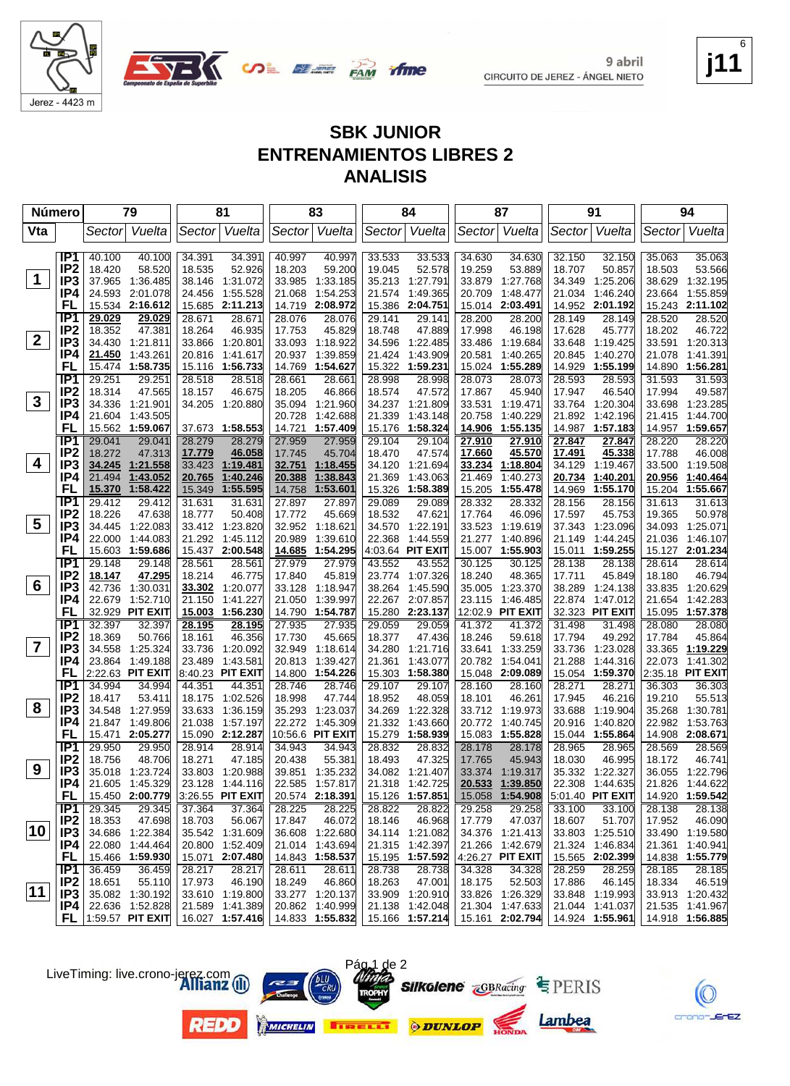

Jerez - 4423 m

#### **j11** 6

#### **SBK JUNIOR ENTRENAMIENTOS LIBRES 2 ANALISIS**

|                | Número<br>79                       |                  | 81                                  |                  | 83                           |                  | 84                        |                  | 87                   |                  | 91                        |                  | 94                        |                  |                                     |
|----------------|------------------------------------|------------------|-------------------------------------|------------------|------------------------------|------------------|---------------------------|------------------|----------------------|------------------|---------------------------|------------------|---------------------------|------------------|-------------------------------------|
| Vta            |                                    | Sector           | Vuelta                              |                  | Sector Vuelta                |                  | Sector Vuelta             |                  | Sector Vuelta        |                  | Sector Vuelta             |                  | Sector Vuelta             |                  | Sector  Vuelta                      |
|                |                                    |                  |                                     |                  |                              |                  |                           |                  |                      |                  |                           |                  |                           |                  |                                     |
|                | IP1                                | 40.100           | 40.100                              | 34.391           | 34.391                       | 40.997           | 40.997                    | 33.533           | 33.533               | 34.630           | 34.630                    | 32.150           | 32.150                    | 35.063           | 35.063                              |
|                | IP <sub>2</sub>                    | 18.420           | 58.520                              | 18.535           | 52.926                       | 18.203           | 59.200                    | 19.045           | 52.578               | 19.259           | 53.889                    | 18.707           | 50.857                    | 18.503           | 53.566                              |
| $\mathbf 1$    | IP <sub>3</sub>                    |                  | 37.965 1:36.485                     |                  | 38.146 1:31.072              | 33.985           | 1:33.185                  | 35.213           | 1:27.791             | 33.879           | 1:27.768                  | 34.349           | 1:25.206                  |                  | 38.629 1:32.195                     |
|                | IP4                                | 24.593           | 2:01.078                            | 24.456           | 1:55.528                     | 21.068           | 1:54.253                  | 21.574           | 1:49.365             | 20.709           | 1:48.477                  | 21.034           | 1:46.240                  | 23.664           | 1:55.859                            |
|                | FL                                 |                  | 15.534 2:16.612                     |                  | 15.685 2:11.213              | 14.719           | 2:08.972                  | 15.386           | 2:04.751             | 15.014           | 2:03.491                  |                  | 14.952 2:01.192           |                  | 15.243 2:11.102                     |
|                | IP <sub>1</sub>                    | 29.029<br>18.352 | 29.029<br>47.381                    | 28.671<br>18.264 | 28.671<br>46.935             | 28.076<br>17.753 | 28.076<br>45.829          | 29.141           | 29.141<br>47.889     | 28.200<br>17.998 | 28.200                    | 28.149<br>17.628 | 28.149<br>45.777          | 28.520<br>18.202 | 28.520<br>46.722                    |
| $\mathbf{2}$   | IP <sub>2</sub><br>IP <sub>3</sub> | 34.430           | 1:21.811                            |                  | 33.866 1:20.801              |                  | 33.093 1:18.922           | 18.748<br>34.596 | 1:22.485             | 33.486           | 46.198<br>1:19.684        | 33.648           | 1:19.425                  |                  | 33.591 1:20.313                     |
|                | IP4                                | 21.450           | 1:43.261                            |                  | 20.816 1:41.617              | 20.937           | 1:39.859                  | 21.424           | 1:43.909             | 20.581           | 1:40.265                  | 20.845           | 1:40.270                  |                  | 21.078 1:41.391                     |
|                | FL                                 |                  | 15.474 1:58.735                     |                  | 15.116 1:56.733              | 14.769           | 1:54.627                  | 15.322           | 1:59.231             |                  | 15.024 1:55.289           | 14.929           | 1:55.199                  |                  | 14.890 1:56.281                     |
|                | IP1                                | 29.251           | 29.251                              | 28.518           | 28.518                       | 28.661           | 28.661                    | 28.998           | 28.998               | 28.073           | 28.073                    | 28.593           | 28.593                    | 31.593           | 31.593                              |
|                | IP <sub>2</sub>                    | 18.314           | 47.565                              | 18.157           | 46.675                       | 18.205           | 46.866                    | 18.574           | 47.572               | 17.867           | 45.940                    | 17.947           | 46.540                    | 17.994           | 49.587                              |
| 3              | IP3                                |                  | 34.336 1:21.901                     |                  | 34.205 1:20.880              |                  | 35.094 1:21.960           | 34.237           | 1:21.809             |                  | 33.531 1:19.471           | 33.764           | 1:20.304                  |                  | 33.698 1:23.285                     |
|                | IP4                                | 21.604           | 1:43.505                            |                  |                              | 20.728           | 1:42.688                  | 21.339           | 1:43.148             | 20.758           | 1:40.229                  | 21.892           | 1:42.196                  |                  | 21.415 1:44.700                     |
|                | FL                                 |                  | 15.562 1:59.067                     |                  | 37.673 1:58.553              | 14.721           | 1:57.409                  | 15.176           | 1:58.324             |                  | 14.906 1:55.135           |                  | 14.987 1:57.183           |                  | 14.957 1:59.657                     |
|                | IP <sub>1</sub>                    | 29.041           | 29.041                              | 28.279           | 28.279                       | 27.959           | 27.959                    | 29.104           | 29.104               | 27.910           | 27.910                    | 27.847           | 27.847                    | 28.220           | 28.220                              |
|                | IP <sub>2</sub>                    | 18.272           | 47.313                              | <u>17.779</u>    | 46.058                       | 17.745           | 45.704                    | 18.470           | 47.574               | <u>17.660</u>    | 45.570                    | <u>17.491</u>    | 45.338                    | 17.788           | 46.008                              |
| 4              | IP <sub>3</sub>                    |                  | 34.245 1:21.558                     |                  | 33.423 1:19.481              |                  | 32.751 1:18.455           | 34.120           | 1:21.694             | <u>33.234</u>    | <u>1:18.804</u>           | 34.129           | 1:19.467                  | 33.500           | 1:19.508                            |
|                | IP4                                | 21.494           | 1:43.052                            | 20.765           | 1:40.246                     | <u>20.388</u>    | 1:38.843                  | 21.369           | 1:43.063             | 21.469           | 1:40.273                  | 20.734           | 1:40.201                  | 20.956           | <u>1:40.464</u>                     |
|                | FL                                 | 15.370           | 1:58.422                            | 15.349           | 1:55.595                     | 14.758           | 1:53.601                  | 15.326           | 1:58.389             |                  | 15.205 1:55.478           | 14.969           | 1:55.170                  | 15.204           | 1:55.667                            |
|                | IP <sub>1</sub>                    | 29.412           | 29.412                              | 31.631           | 31.631                       | 27.897           | 27.897                    | 29.089           | 29.089               | 28.332           | 28.332                    | 28.156           | 28.156                    | 31.613           | 31.613                              |
| 5              | IP <sub>2</sub><br>IP <sub>3</sub> | 18.226           | 47.638<br>34.445 1:22.083           | 18.777           | 50.408<br>33.412 1:23.820    | 17.772           | 45.669<br>32.952 1:18.621 | 18.532<br>34.570 | 47.621<br>1:22.191   | 17.764<br>33.523 | 46.096<br>1:19.619        | 17.597<br>37.343 | 45.753<br>1:23.096        | 19.365           | 50.978<br>34.093 1:25.071           |
|                | IP4                                | 22.000           | 1:44.083                            |                  | 21.292 1:45.112              | 20.989           | 1:39.610                  | 22.368           | 1:44.559             | 21.277           | 1:40.896                  | 21.149           | 1:44.245                  |                  | 21.036 1:46.107                     |
|                | FL                                 | 15.603           | 1:59.686                            |                  | 15.437 2:00.548              | 14.685           | 1:54.295                  |                  | 4:03.64 PIT EXIT     |                  | 15.007 1:55.903           | 15.011           | 1:59.255                  |                  | 15.127 2:01.234                     |
|                | IP <sub>1</sub>                    | 29.148           | 29.148                              | 28.561           | 28.561                       | 27.979           | 27.979                    | 43.552           | 43.552               | 30.125           | 30.125                    | 28.138           | 28.138                    | 28.614           | 28.614                              |
|                | IP <sub>2</sub>                    | 18.147           | 47.295                              | 18.214           | 46.775                       | 17.840           | 45.819                    | 23.774           | 1:07.326             | 18.240           | 48.365                    | 17.711           | 45.849                    | 18.180           | 46.794                              |
| 6              | IP <sub>3</sub>                    | 42.736           | 1:30.031                            | 33.302           | 1:20.077                     | 33.128           | 1:18.947                  | 38.264           | 1:45.590             | 35.005           | 1:23.370                  | 38.289           | 1:24.138                  |                  | 33.835 1:20.629                     |
|                | IP4                                | 22.679           | 1:52.710                            | 21.150           | 1:41.227                     | 21.050           | 1:39.997                  | 22.267           | 2:07.857             | 23.115           | 1:46.485                  | 22.874           | 1:47.012                  | 21.654           | 1:42.283                            |
|                | FL                                 |                  | 32.929 PIT EXIT                     |                  | 15.003 1:56.230              | 14.790           | 1:54.787                  | 15.280           | 2:23.137             |                  | 12:02.9 PIT EXIT          |                  | 32.323 PIT EXIT           |                  | 15.095 1:57.378                     |
|                | IP1                                | 32.397           | 32.397                              | 28.195           | 28.195                       | 27.935           | 27.935                    | 29.059           | 29.059               | 41.372           | 41.372                    | 31.498           | 31.498                    | 28.080           | 28.080                              |
| $\overline{7}$ | IP <sub>2</sub>                    | 18.369           | 50.766                              | 18.161           | 46.356                       | 17.730           | 45.665                    | 18.377           | 47.436               | 18.246           | 59.618                    | 17.794           | 49.292                    | 17.784           | 45.864                              |
|                | IP <sub>3</sub>                    |                  | 34.558 1:25.324                     |                  | 33.736 1:20.092              | 32.949           | 1:18.614                  | 34.280           | 1:21.716             | 33.641           | 1:33.259                  | 33.736           | 1:23.028                  |                  | 33.365 1:19.229                     |
|                | IP4<br>FL                          |                  | 23.864 1:49.188<br>2:22.63 PIT EXIT | 23.489           | 1:43.581<br>8:40.23 PIT EXIT | 20.813<br>14.800 | 1:39.427<br>1:54.226      | 21.361<br>15.303 | 1:43.077<br>1:58.380 | 20.782<br>15.048 | 1:54.041<br>2:09.089      | 21.288<br>15.054 | 1:44.316<br>1:59.370      |                  | 22.073 1:41.302<br>2:35.18 PIT EXIT |
|                | IP1                                | 34.994           | 34.994                              | 44.351           | 44.351                       | 28.746           | 28.746                    | 29.107           | 29.107               | 28.160           | 28.160                    | 28.271           | 28.271                    | 36.303           | 36.303                              |
|                | IP <sub>2</sub>                    | 18.417           | 53.411                              |                  | 18.175 1:02.526              | 18.998           | 47.744                    | 18.952           | 48.059               | 18.101           | 46.261                    | 17.945           | 46.216                    | 19.210           | 55.513                              |
| 8              | IP <sub>3</sub>                    | 34.548           | 1:27.959                            |                  | 33.633 1:36.159              |                  | 35.293 1:23.037           | 34.269           | 1:22.328             |                  | 33.712 1:19.973           | 33.688           | 1:19.904                  | 35.268           | 1:30.781                            |
|                | IP4                                | 21.847           | 1:49.806                            |                  | 21.038 1:57.197              |                  | 22.272 1:45.309           | 21.332           | 1:43.660             | 20.772           | 1:40.745                  | 20.916           | 1:40.820                  | 22.982           | 1:53.763                            |
|                | FL                                 |                  | 15.471 2:05.277                     |                  | 15.090 2:12.287              |                  | 10:56.6 PIT EXIT          | 15.279           | 1:58.939             |                  | 15.083 1:55.828           |                  | 15.044 1:55.864           |                  | 14.908 2:08.671                     |
|                | IP <sub>1</sub>                    | 29.950           | 29.950                              | 28.914           | 28.914                       | 34.943           | 34.943                    | 28.832           | 28.832               | 28.178           | 28.178                    | 28.965           | 28.965                    | 28.569           | 28.569                              |
|                | IP <sub>2</sub>                    | 18.756           | 48.706                              | 18.271           | 47.185                       | 20.438           | 55.381                    | 18.493           | 47.325               | 17.765           | 45.943                    | 18.030           | 46.995                    | 18.172           | 46.741                              |
| 9              | IP3                                |                  | 35.018 1:23.724                     |                  | 33.803 1:20.988              |                  | 39.851 1:35.232           |                  | 34.082 1:21.407      |                  | 33.374 1:19.317           |                  | 35.332 1:22.327           |                  | 36.055 1:22.796                     |
|                | IP4                                |                  | 21.605 1:45.329                     |                  | 23.128 1:44.116              |                  | 22.585 1:57.817           |                  | 21.318 1:42.725      |                  | 20.533 1:39.850           |                  | 22.308 1:44.635           |                  | 21.826 1:44.622                     |
|                | <b>FL</b>                          |                  | 15.450 2:00.779                     |                  | 3:26.55 PIT EXIT             |                  | 20.574 2:18.391           |                  | 15.126 1:57.851      |                  | 15.058 1:54.908           |                  | 5:01.40 PIT EXIT          |                  | 14.920 1:59.542                     |
|                | IP1                                | 29.345<br>18.353 | 29.345                              | 37.364<br>18.703 | 37.364<br>56.067             | 28.225           | 28.225                    | 28.822           | 28.822<br>46.968     | 29.258           | 29.258                    | 33.100<br>18.607 | 33.100                    | 28.138           | 28.138                              |
| 10             | IP <sub>2</sub><br>IP <sub>3</sub> |                  | 47.698<br>34.686 1:22.384           |                  | 35.542 1:31.609              | 17.847           | 46.072<br>36.608 1:22.680 | 18.146           | 34.114 1:21.082      | 17.779           | 47.037<br>34.376 1:21.413 |                  | 51.707<br>33.803 1:25.510 | 17.952           | 46.090<br>33.490 1:19.580           |
|                | IP4                                |                  | 22.080 1:44.464                     |                  | 20.800 1:52.409              | 21.014           | 1:43.694                  |                  | 21.315 1:42.397      |                  | 21.266 1:42.679           | 21.324           | 1:46.834                  |                  | 21.361 1:40.941                     |
|                | <b>FL</b>                          |                  | 15.466 1:59.930                     |                  | 15.071 2:07.480              |                  | 14.843 1:58.537           |                  | 15.195 1:57.592      |                  | $ 4:26.27$ PIT EXIT       |                  | 15.565 2:02.399           |                  | 14.838 1:55.779                     |
|                | IP1                                | 36.459           | 36.459                              | 28.217           | 28.217                       | 28.611           | 28.611                    | 28.738           | 28.738               | 34.328           | 34.328                    | 28.259           | 28.259                    | 28.185           | 28.185                              |
|                | IP <sub>2</sub>                    | 18.651           | 55.110                              | 17.973           | 46.190                       | 18.249           | 46.860                    | 18.263           | 47.001               | 18.175           | 52.503                    | 17.886           | 46.145                    | 18.334           | 46.519                              |
| 11             | IP <sub>3</sub>                    |                  | 35.082 1:30.192                     |                  | 33.610 1:19.800              |                  | 33.277 1:20.137           |                  | 33.909 1:20.910      |                  | 33.826 1:26.329           |                  | 33.848 1:19.993           |                  | 33.913 1:20.432                     |
|                | IP4                                |                  | 22.636 1:52.828                     |                  | 21.589 1:41.389              |                  | 20.862 1:40.999           |                  | 21.138 1:42.048      |                  | 21.304 1:47.633           |                  | 21.044 1:41.037           |                  | 21.535 1:41.967                     |
|                |                                    |                  | $FL$  1:59.57 PIT EXIT              |                  | 16.027 1:57.416              |                  | 14.833 1:55.832           |                  | 15.166 1:57.214      |                  | 15.161 2:02.794           |                  | 14.924 1:55.961           |                  | 14.918 1:56.885                     |

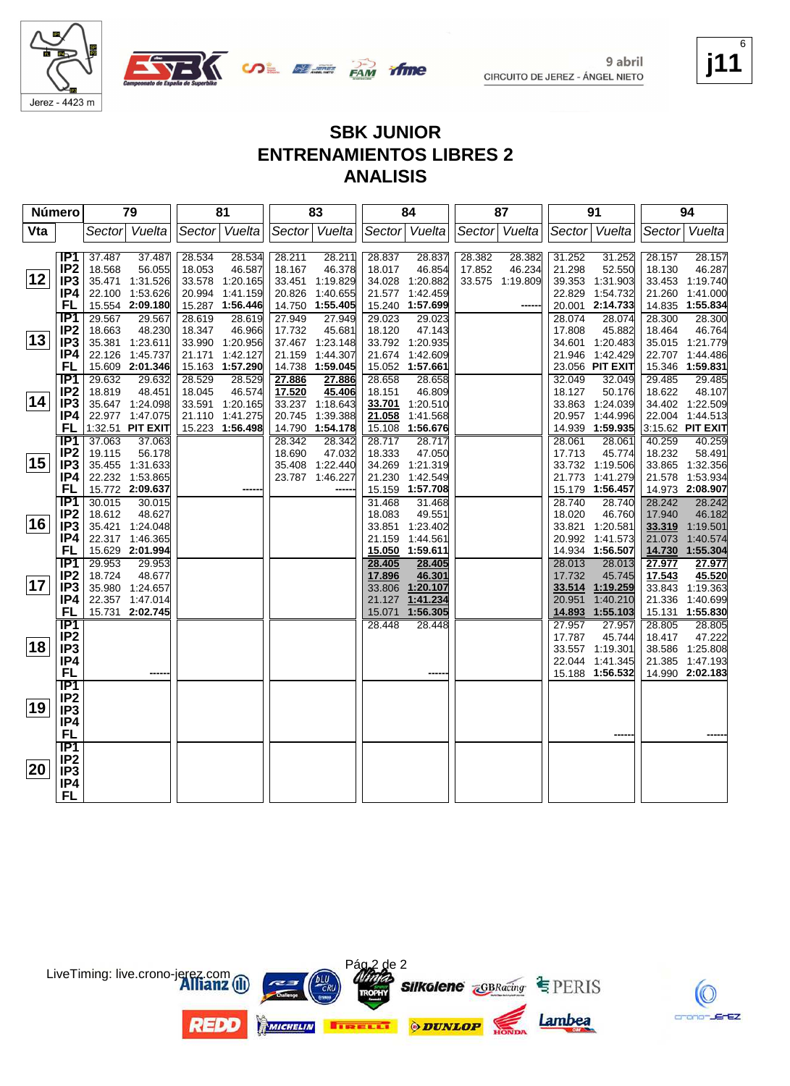

Jerez - 4423 m



#### **SBK JUNIOR ENTRENAMIENTOS LIBRES 2 ANALISIS**

| Número |                                     | 79               |                                    | 81     |                                    | 83     |                                    | 84               |                             | 87     |                 | 91               |                                    |                  | 94                                 |
|--------|-------------------------------------|------------------|------------------------------------|--------|------------------------------------|--------|------------------------------------|------------------|-----------------------------|--------|-----------------|------------------|------------------------------------|------------------|------------------------------------|
| Vta    |                                     |                  | Sector Vuelta                      |        | Sector Vuelta                      |        | Sector Vuelta                      |                  | Sector Vuelta               |        | Sector Vuelta   |                  | Sector Vuelta                      |                  | Sector Vuelta                      |
|        |                                     |                  |                                    |        |                                    |        |                                    |                  |                             |        |                 |                  |                                    |                  |                                    |
|        | IP1                                 | 37.487           | 37.487                             | 28.534 | 28.534                             | 28.211 | 28.211                             | 28.837           | 28.837                      | 28.382 | 28.382          | 31.252           | 31.252                             | 28.157           | 28.157                             |
|        | IP <sub>2</sub>                     | 18.568           | 56.055                             | 18.053 | 46.587                             | 18.167 | 46.378                             | 18.017           | 46.854                      | 17.852 | 46.234          | 21.298           | 52.550                             | 18.130           | 46.287                             |
| 12     | IP <sub>3</sub>                     |                  | 35.471 1:31.526                    |        | 33.578 1:20.165                    |        | 33.451 1:19.829                    |                  | 34.028 1:20.882             |        | 33.575 1:19.809 |                  | 39.353 1:31.903                    |                  | 33.453 1:19.740                    |
|        | IP4                                 |                  | 22.100 1:53.626                    |        | 20.994 1:41.159                    | 20.826 | 1:40.655                           | 21.577           | 1:42.459                    |        |                 | 22.829           | 1:54.732                           |                  | 21.260 1:41.000                    |
|        | FL                                  |                  | 15.554 2:09.180                    |        | 15.287 1:56.446                    |        | 14.750 1:55.405                    |                  | 15.240 1:57.699             |        |                 |                  | 20.001 2:14.733                    |                  | 14.835 1:55.834                    |
|        | IP1                                 | 29.567           | 29.567                             | 28.619 | 28.619                             | 27.949 | 27.949                             | 29.023           | 29.023                      |        |                 | 28.074           | 28.074                             | 28.300           | 28.300                             |
| 13     | IP <sub>2</sub>                     | 18.663           | 48.230                             | 18.347 | 46.966                             | 17.732 | 45.681                             | 18.120           | 47.143                      |        |                 | 17.808           | 45.882                             | 18.464           | 46.764                             |
|        | IP <sub>3</sub>                     |                  | 35.381 1:23.611                    |        | 33.990 1:20.956                    |        | 37.467 1:23.148<br>21.159 1:44.307 |                  | 33.792 1:20.935             |        |                 |                  | 34.601 1:20.483                    |                  | 35.015 1:21.779                    |
|        | IP4<br>FL                           |                  | 22.126 1:45.737<br>15.609 2:01.346 |        | 21.171 1:42.127<br>15.163 1:57.290 |        | 14.738 1:59.045                    | 21.674           | 1:42.609<br>15.052 1:57.661 |        |                 |                  | 21.946 1:42.429<br>23.056 PIT EXIT |                  | 22.707 1:44.486<br>15.346 1:59.831 |
|        | IP1                                 | 29.632           | 29.632                             | 28.529 | 28.529                             | 27.886 | 27.886                             | 28.658           | 28.658                      |        |                 | 32.049           | 32.049                             | 29.485           | 29.485                             |
|        | IP <sub>2</sub>                     | 18.819           | 48.451                             | 18.045 | 46.574                             | 17.520 | 45.406                             | 18.151           | 46.809                      |        |                 | 18.127           | 50.176                             | 18.622           | 48.107                             |
| 14     | IP <sub>3</sub>                     |                  | 35.647 1:24.098                    |        | 33.591 1:20.165                    |        | 33.237 1:18.643                    | 33.701           | 1:20.510                    |        |                 |                  | 33.863 1:24.039                    |                  | 34.402 1:22.509                    |
|        | IP4                                 |                  | 22.977 1:47.075                    |        | 21.110 1:41.275                    | 20.745 | 1:39.388                           | 21.058           | 1:41.568                    |        |                 |                  | 20.957 1:44.996                    |                  | 22.004 1:44.513                    |
|        | FL                                  |                  | 1:32.51 PIT EXIT                   |        | 15.223 1:56.498                    | 14.790 | 1:54.178                           | 15.108           | 1:56.676                    |        |                 | 14.939           | 1:59.935                           |                  | 3:15.62 PIT EXIT                   |
|        | <b>IP1</b>                          | 37.063           | 37.063                             |        |                                    | 28.342 | 28.342                             | 28.717           | 28.717                      |        |                 | 28.061           | 28.061                             | 40.259           | 40.259                             |
|        | IP <sub>2</sub>                     | 19.115           | 56.178                             |        |                                    | 18.690 | 47.032                             | 18.333           | 47.050                      |        |                 | 17.713           | 45.774                             | 18.232           | 58.491                             |
| 15     | IP <sub>3</sub>                     |                  | 35.455 1:31.633                    |        |                                    |        | 35.408 1:22.440                    | 34.269           | 1.21.319                    |        |                 |                  | 33.732 1:19.506                    |                  | 33.865 1:32.356                    |
|        | IP4                                 |                  | 22.232 1:53.865                    |        |                                    |        | 23.787 1:46.227                    | 21.230           | 1:42.549                    |        |                 |                  | 21.773 1:41.279                    |                  | 21.578 1:53.934                    |
|        | FL                                  |                  | 15.772 2:09.637                    |        |                                    |        |                                    | 15.159           | 1:57.708                    |        |                 | 15.179           | 1:56.457                           |                  | 14.973 2:08.907                    |
|        | IP <sub>1</sub>                     | 30.015           | 30.015                             |        |                                    |        |                                    | 31.468           | 31.468                      |        |                 | 28.740           | 28.740                             | 28.242           | 28.242                             |
|        | IP <sub>2</sub>                     | 18.612           | 48.627                             |        |                                    |        |                                    | 18.083           | 49.551                      |        |                 | 18.020           | 46.760                             | 17.940           | 46.182                             |
| 16     | IP3                                 |                  | 35.421 1:24.048                    |        |                                    |        |                                    |                  | 33.851 1:23.402             |        |                 |                  | 33.821 1:20.581                    |                  | 33.319 1:19.501                    |
|        | IP4                                 |                  | 22.317 1:46.365                    |        |                                    |        |                                    | 21.159           | 1:44.561                    |        |                 |                  | 20.992 1:41.573                    | 21.073           | 1:40.574                           |
|        | FL                                  |                  | 15.629 2:01.994                    |        |                                    |        |                                    |                  | 15.050 1:59.611             |        |                 |                  | 14.934 1:56.507                    |                  | 14.730 1:55.304                    |
|        | $\overline{IP1}$<br>IP <sub>2</sub> | 29.953<br>18.724 | 29.953<br>48.677                   |        |                                    |        |                                    | 28.405<br>17.896 | 28.405<br>46.301            |        |                 | 28.013<br>17.732 | 28.013<br>45.745                   | 27.977<br>17.543 | 27.977<br>45.520                   |
| 17     | IP <sub>3</sub>                     |                  | 35.980 1:24.657                    |        |                                    |        |                                    | 33.806           | 1:20.107                    |        |                 |                  | 33.514 1:19.259                    |                  | 33.843 1:19.363                    |
|        | IP4                                 |                  | 22.357 1:47.014                    |        |                                    |        |                                    | 21.127           | 1:41.234                    |        |                 | 20.951           | 1:40.210                           |                  | 21.336 1:40.699                    |
|        | FL                                  |                  | 15.731 2:02.745                    |        |                                    |        |                                    | 15.071           | 1:56.305                    |        |                 |                  | 14.893 1:55.103                    |                  | 15.131 1:55.830                    |
|        | TP <sub>1</sub>                     |                  |                                    |        |                                    |        |                                    | 28.448           | 28.448                      |        |                 | 27.957           | 27.957                             | 28.805           | 28.805                             |
|        | IP <sub>2</sub>                     |                  |                                    |        |                                    |        |                                    |                  |                             |        |                 | 17.787           | 45.744                             | 18.417           | 47.222                             |
| 18∣    | IP <sub>3</sub>                     |                  |                                    |        |                                    |        |                                    |                  |                             |        |                 |                  | 33.557 1:19.301                    |                  | 38.586 1:25.808                    |
|        | IP4                                 |                  |                                    |        |                                    |        |                                    |                  |                             |        |                 |                  | 22.044 1:41.345                    |                  | 21.385 1:47.193                    |
|        | <b>FL</b>                           |                  |                                    |        |                                    |        |                                    |                  |                             |        |                 |                  | 15.188 1:56.532                    |                  | 14.990 2:02.183                    |
|        | $\overline{IP1}$                    |                  |                                    |        |                                    |        |                                    |                  |                             |        |                 |                  |                                    |                  |                                    |
|        | IP <sub>2</sub>                     |                  |                                    |        |                                    |        |                                    |                  |                             |        |                 |                  |                                    |                  |                                    |
| ∣19    | IP <sub>3</sub>                     |                  |                                    |        |                                    |        |                                    |                  |                             |        |                 |                  |                                    |                  |                                    |
|        | IP4                                 |                  |                                    |        |                                    |        |                                    |                  |                             |        |                 |                  |                                    |                  |                                    |
|        | FL                                  |                  |                                    |        |                                    |        |                                    |                  |                             |        |                 |                  |                                    |                  |                                    |
|        | IP1<br>IP <sub>2</sub>              |                  |                                    |        |                                    |        |                                    |                  |                             |        |                 |                  |                                    |                  |                                    |
| 20     | IP <sub>3</sub>                     |                  |                                    |        |                                    |        |                                    |                  |                             |        |                 |                  |                                    |                  |                                    |
|        | IP4                                 |                  |                                    |        |                                    |        |                                    |                  |                             |        |                 |                  |                                    |                  |                                    |
|        | <b>FL</b>                           |                  |                                    |        |                                    |        |                                    |                  |                             |        |                 |                  |                                    |                  |                                    |
|        |                                     |                  |                                    |        |                                    |        |                                    |                  |                             |        |                 |                  |                                    |                  |                                    |



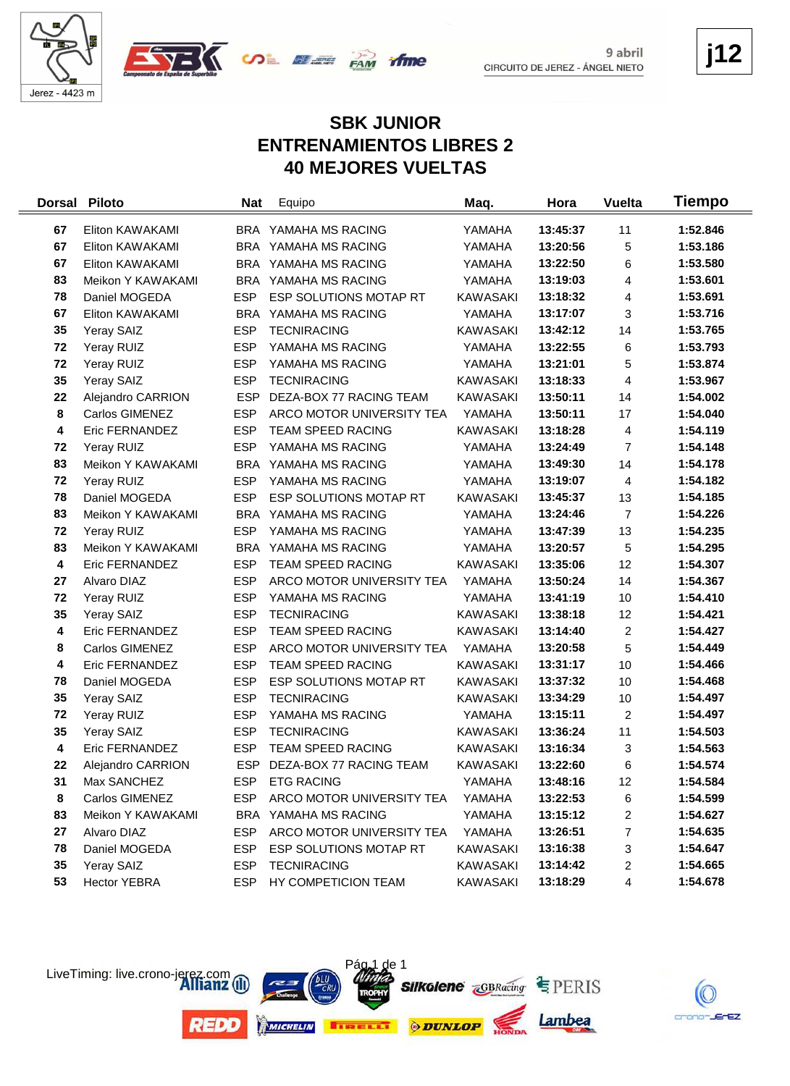



**j12**

### **SBK JUNIOR ENTRENAMIENTOS LIBRES 2 40 MEJORES VUELTAS**

| <b>Dorsal</b> | <b>Piloto</b>       | <b>Nat</b> | Equipo                    | Maq.            | Hora     | <b>Vuelta</b>           | Tiempo   |
|---------------|---------------------|------------|---------------------------|-----------------|----------|-------------------------|----------|
| 67            | Eliton KAWAKAMI     |            | BRA YAMAHA MS RACING      | YAMAHA          | 13:45:37 | 11                      | 1:52.846 |
| 67            | Eliton KAWAKAMI     |            | BRA YAMAHA MS RACING      | YAMAHA          | 13:20:56 | 5                       | 1:53.186 |
| 67            | Eliton KAWAKAMI     |            | BRA YAMAHA MS RACING      | YAMAHA          | 13:22:50 | 6                       | 1:53.580 |
| 83            | Meikon Y KAWAKAMI   |            | BRA YAMAHA MS RACING      | YAMAHA          | 13:19:03 | 4                       | 1:53.601 |
| 78            | Daniel MOGEDA       | <b>ESP</b> | ESP SOLUTIONS MOTAP RT    | <b>KAWASAKI</b> | 13:18:32 | 4                       | 1:53.691 |
| 67            | Eliton KAWAKAMI     |            | BRA YAMAHA MS RACING      | YAMAHA          | 13:17:07 | 3                       | 1:53.716 |
| 35            | Yeray SAIZ          | <b>ESP</b> | <b>TECNIRACING</b>        | <b>KAWASAKI</b> | 13:42:12 | 14                      | 1:53.765 |
| 72            | Yeray RUIZ          | <b>ESP</b> | YAMAHA MS RACING          | YAMAHA          | 13:22:55 | 6                       | 1:53.793 |
| 72            | Yeray RUIZ          | <b>ESP</b> | YAMAHA MS RACING          | YAMAHA          | 13:21:01 | 5                       | 1:53.874 |
| 35            | Yeray SAIZ          | <b>ESP</b> | <b>TECNIRACING</b>        | KAWASAKI        | 13:18:33 | $\overline{\mathbf{4}}$ | 1:53.967 |
| 22            | Alejandro CARRION   | <b>ESP</b> | DEZA-BOX 77 RACING TEAM   | <b>KAWASAKI</b> | 13:50:11 | 14                      | 1:54.002 |
| 8             | Carlos GIMENEZ      | <b>ESP</b> | ARCO MOTOR UNIVERSITY TEA | YAMAHA          | 13:50:11 | 17                      | 1:54.040 |
| 4             | Eric FERNANDEZ      | <b>ESP</b> | TEAM SPEED RACING         | <b>KAWASAKI</b> | 13:18:28 | 4                       | 1:54.119 |
| 72            | Yeray RUIZ          | <b>ESP</b> | YAMAHA MS RACING          | YAMAHA          | 13:24:49 | $\overline{7}$          | 1:54.148 |
| 83            | Meikon Y KAWAKAMI   |            | BRA YAMAHA MS RACING      | YAMAHA          | 13:49:30 | 14                      | 1:54.178 |
| 72            | Yeray RUIZ          | <b>ESP</b> | YAMAHA MS RACING          | YAMAHA          | 13:19:07 | 4                       | 1:54.182 |
| 78            | Daniel MOGEDA       | <b>ESP</b> | ESP SOLUTIONS MOTAP RT    | <b>KAWASAKI</b> | 13:45:37 | 13                      | 1:54.185 |
| 83            | Meikon Y KAWAKAMI   | BRA        | YAMAHA MS RACING          | YAMAHA          | 13:24:46 | $\overline{7}$          | 1:54.226 |
| 72            | Yeray RUIZ          | <b>ESP</b> | YAMAHA MS RACING          | YAMAHA          | 13:47:39 | 13                      | 1:54.235 |
| 83            | Meikon Y KAWAKAMI   | BRA        | YAMAHA MS RACING          | YAMAHA          | 13:20:57 | 5                       | 1:54.295 |
| 4             | Eric FERNANDEZ      | <b>ESP</b> | TEAM SPEED RACING         | <b>KAWASAKI</b> | 13:35:06 | 12                      | 1:54.307 |
| 27            | Alvaro DIAZ         | <b>ESP</b> | ARCO MOTOR UNIVERSITY TEA | YAMAHA          | 13:50:24 | 14                      | 1:54.367 |
| 72            | Yeray RUIZ          | <b>ESP</b> | YAMAHA MS RACING          | YAMAHA          | 13:41:19 | 10                      | 1:54.410 |
| 35            | Yeray SAIZ          | <b>ESP</b> | <b>TECNIRACING</b>        | <b>KAWASAKI</b> | 13:38:18 | 12                      | 1:54.421 |
| 4             | Eric FERNANDEZ      | <b>ESP</b> | <b>TEAM SPEED RACING</b>  | <b>KAWASAKI</b> | 13:14:40 | $\overline{\mathbf{c}}$ | 1:54.427 |
| 8             | Carlos GIMENEZ      | <b>ESP</b> | ARCO MOTOR UNIVERSITY TEA | YAMAHA          | 13:20:58 | 5                       | 1:54.449 |
| 4             | Eric FERNANDEZ      | <b>ESP</b> | TEAM SPEED RACING         | <b>KAWASAKI</b> | 13:31:17 | $10$                    | 1:54.466 |
| 78            | Daniel MOGEDA       | <b>ESP</b> | ESP SOLUTIONS MOTAP RT    | <b>KAWASAKI</b> | 13:37:32 | $10$                    | 1:54.468 |
| 35            | Yeray SAIZ          | <b>ESP</b> | <b>TECNIRACING</b>        | KAWASAKI        | 13:34:29 | $10$                    | 1:54.497 |
| 72            | Yeray RUIZ          | <b>ESP</b> | YAMAHA MS RACING          | YAMAHA          | 13:15:11 | 2                       | 1:54.497 |
| 35            | Yeray SAIZ          | <b>ESP</b> | <b>TECNIRACING</b>        | <b>KAWASAKI</b> | 13:36:24 | 11                      | 1:54.503 |
| 4             | Eric FERNANDEZ      | <b>ESP</b> | TEAM SPEED RACING         | KAWASAKI        | 13:16:34 | 3                       | 1:54.563 |
| 22            | Alejandro CARRION   | <b>ESP</b> | DEZA-BOX 77 RACING TEAM   | <b>KAWASAKI</b> | 13:22:60 | 6                       | 1:54.574 |
| 31            | Max SANCHEZ         | <b>ESP</b> | <b>ETG RACING</b>         | YAMAHA          | 13:48:16 | 12                      | 1:54.584 |
| 8             | Carlos GIMENEZ      | <b>ESP</b> | ARCO MOTOR UNIVERSITY TEA | YAMAHA          | 13:22:53 | 6                       | 1:54.599 |
| 83            | Meikon Y KAWAKAMI   |            | BRA YAMAHA MS RACING      | YAMAHA          | 13:15:12 | 2                       | 1:54.627 |
| 27            | Alvaro DIAZ         | <b>ESP</b> | ARCO MOTOR UNIVERSITY TEA | YAMAHA          | 13:26:51 | 7                       | 1:54.635 |
| 78            | Daniel MOGEDA       | <b>ESP</b> | ESP SOLUTIONS MOTAP RT    | KAWASAKI        | 13:16:38 | 3                       | 1:54.647 |
| 35            | Yeray SAIZ          | ESP        | <b>TECNIRACING</b>        | KAWASAKI        | 13:14:42 | 2                       | 1:54.665 |
| 53            | <b>Hector YEBRA</b> | ESP        | HY COMPETICION TEAM       | <b>KAWASAKI</b> | 13:18:29 | 4                       | 1:54.678 |



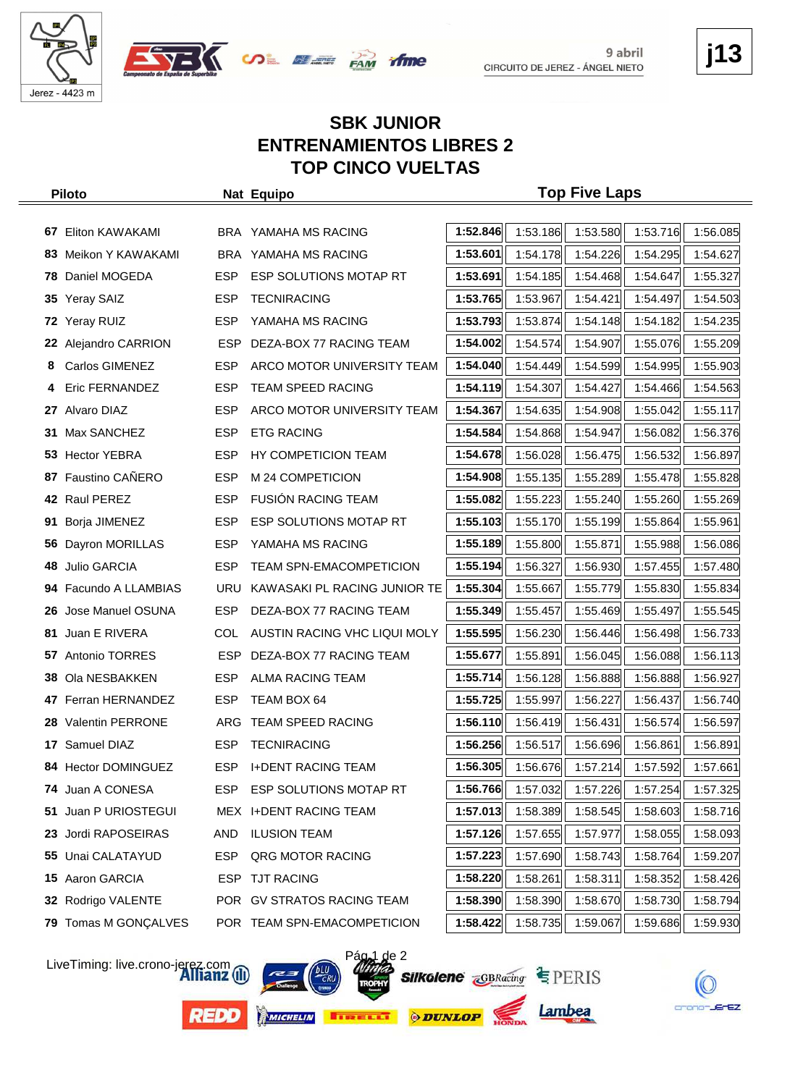



## **j13**

#### **SBK JUNIOR ENTRENAMIENTOS LIBRES 2 TOP CINCO VUELTAS**

|     | <b>Piloto</b>            |            | Nat Equipo                     |          |          | <b>Top Five Laps</b> |                                                               |          |
|-----|--------------------------|------------|--------------------------------|----------|----------|----------------------|---------------------------------------------------------------|----------|
|     |                          |            |                                |          |          |                      |                                                               |          |
| 67  | Eliton KAWAKAMI          |            | BRA YAMAHA MS RACING           | 1:52.846 | 1:53.186 | 1:53.580             | 1:53.716                                                      | 1:56.085 |
| 83. | Meikon Y KAWAKAMI        |            | BRA YAMAHA MS RACING           | 1:53.601 | 1:54.178 | 1:54.226             | 1:54.295                                                      | 1:54.627 |
| 78. | Daniel MOGEDA            | <b>ESP</b> | ESP SOLUTIONS MOTAP RT         | 1:53.691 | 1:54.185 | 1:54.468             | 1:54.647                                                      | 1:55.327 |
| 35  | <b>Yeray SAIZ</b>        | <b>ESP</b> | <b>TECNIRACING</b>             | 1:53.765 | 1:53.967 | 1:54.421             | 1:54.497                                                      | 1:54.503 |
|     | 72 Yeray RUIZ            | ESP.       | YAMAHA MS RACING               | 1:53.793 | 1:53.874 | 1:54.148             | 1:54.182                                                      | 1:54.235 |
| 22  | Alejandro CARRION        | <b>ESP</b> | DEZA-BOX 77 RACING TEAM        | 1:54.002 | 1:54.574 | 1:54.907             | 1:55.076                                                      | 1:55.209 |
| 8   | Carlos GIMENEZ           | <b>ESP</b> | ARCO MOTOR UNIVERSITY TEAM     | 1:54.040 | 1:54.449 | 1:54.599             | 1:54.995                                                      | 1:55.903 |
|     | Eric FERNANDEZ           | <b>ESP</b> | <b>TEAM SPEED RACING</b>       | 1:54.119 | 1:54.307 | 1:54.427             | 1:54.466                                                      | 1:54.563 |
| 27  | Alvaro DIAZ              | <b>ESP</b> | ARCO MOTOR UNIVERSITY TEAM     | 1:54.367 | 1:54.635 | 1:54.908             | 1:55.042                                                      | 1:55.117 |
| 31  | Max SANCHEZ              | <b>ESP</b> | <b>ETG RACING</b>              | 1:54.584 | 1:54.868 | 1:54.947             | 1:56.082                                                      | 1:56.376 |
|     | 53 Hector YEBRA          | <b>ESP</b> | HY COMPETICION TEAM            | 1:54.678 | 1:56.028 | 1:56.475             | 1:56.532                                                      | 1:56.897 |
| 87  | Faustino CAÑERO          | <b>ESP</b> | M 24 COMPETICION               | 1:54.908 | 1:55.135 | 1:55.289             | 1:55.478                                                      | 1:55.828 |
|     | 42 Raul PEREZ            | ESP.       | <b>FUSIÓN RACING TEAM</b>      | 1:55.082 | 1:55.223 | 1:55.240             | 1:55.260                                                      | 1:55.269 |
| 91  | Borja JIMENEZ            | <b>ESP</b> | <b>ESP SOLUTIONS MOTAP RT</b>  | 1:55.103 | 1:55.170 | 1:55.199             | 1:55.864                                                      | 1:55.961 |
| 56  | Dayron MORILLAS          | <b>ESP</b> | YAMAHA MS RACING               | 1:55.189 | 1:55.800 | 1:55.871             | 1:55.988                                                      | 1:56.086 |
| 48  | Julio GARCIA             | <b>ESP</b> | <b>TEAM SPN-EMACOMPETICION</b> | 1:55.194 | 1:56.327 | 1:56.930             | 1:57.455                                                      | 1:57.480 |
| 94  | Facundo A LLAMBIAS       | <b>URU</b> | KAWASAKI PL RACING JUNIOR TE   | 1:55.304 | 1:55.667 | 1:55.779             | 1:55.830                                                      | 1:55.834 |
| 26  | Jose Manuel OSUNA        | <b>ESP</b> | DEZA-BOX 77 RACING TEAM        | 1:55.349 | 1:55.457 | 1:55.469             | 1:55.497                                                      | 1:55.545 |
| 81  | Juan E RIVERA            | <b>COL</b> | AUSTIN RACING VHC LIQUI MOLY   | 1:55.595 | 1:56.230 | 1:56.446             | 1:56.498                                                      | 1:56.733 |
|     | <b>57</b> Antonio TORRES | <b>ESP</b> | DEZA-BOX 77 RACING TEAM        | 1:55.677 | 1:55.891 | 1:56.045             | 1:56.088                                                      | 1:56.113 |
| 38. | Ola NESBAKKEN            | <b>ESP</b> | ALMA RACING TEAM               | 1:55.714 | 1:56.128 | 1:56.888             | 1:56.888                                                      | 1:56.927 |
| 47  | Ferran HERNANDEZ         | <b>ESP</b> | TEAM BOX 64                    | 1:55.725 | 1:55.997 | 1:56.227             | 1:56.437                                                      | 1:56.740 |
|     | 28 Valentin PERRONE      |            | ARG TEAM SPEED RACING          | 1:56.110 | 1:56.419 | 1:56.431             | 1:56.574                                                      | 1:56.597 |
|     | 17 Samuel DIAZ           | <b>ESP</b> | <b>TECNIRACING</b>             | 1:56.256 | 1:56.517 | 1:56.696             | 1:56.861                                                      | 1:56.891 |
|     | 84 Hector DOMINGUEZ      | <b>ESP</b> | <b>I+DENT RACING TEAM</b>      |          |          |                      | $\left  \right $ 1:56.305 1:56.676 1:57.214 1:57.592 1:57.661 |          |
|     | 74 Juan A CONESA         | ESP.       | ESP SOLUTIONS MOTAP RT         | 1:56.766 | 1:57.032 | 1:57.226             | 1:57.254                                                      | 1:57.325 |
| 51  | Juan P URIOSTEGUI        |            | MEX I+DENT RACING TEAM         | 1:57.013 | 1:58.389 | 1:58.545             | 1:58.603                                                      | 1:58.716 |
| 23. | Jordi RAPOSEIRAS         | AND        | <b>ILUSION TEAM</b>            | 1:57.126 | 1:57.655 | 1:57.977             | 1:58.055                                                      | 1:58.093 |
|     | 55 Unai CALATAYUD        | ESP        | QRG MOTOR RACING               | 1:57.223 | 1:57.690 | 1:58.743             | 1:58.764                                                      | 1:59.207 |
|     | 15 Aaron GARCIA          | ESP        | <b>TJT RACING</b>              | 1:58.220 | 1:58.261 | 1:58.311             | 1:58.352                                                      | 1:58.426 |
|     | 32 Rodrigo VALENTE       |            | POR GV STRATOS RACING TEAM     | 1:58.390 | 1:58.390 | 1:58.670             | 1:58.730                                                      | 1:58.794 |
|     | 79 Tomas M GONÇALVES     |            | POR TEAM SPN-EMACOMPETICION    | 1:58.422 | 1:58.735 | 1:59.067             | 1:59.686                                                      | 1:59.930 |

LiveTiming: live.crono-jerez.com

**REDO** 



 $\overline{2}$ **Silkolene GBRacing EPERIS** 



Lambea

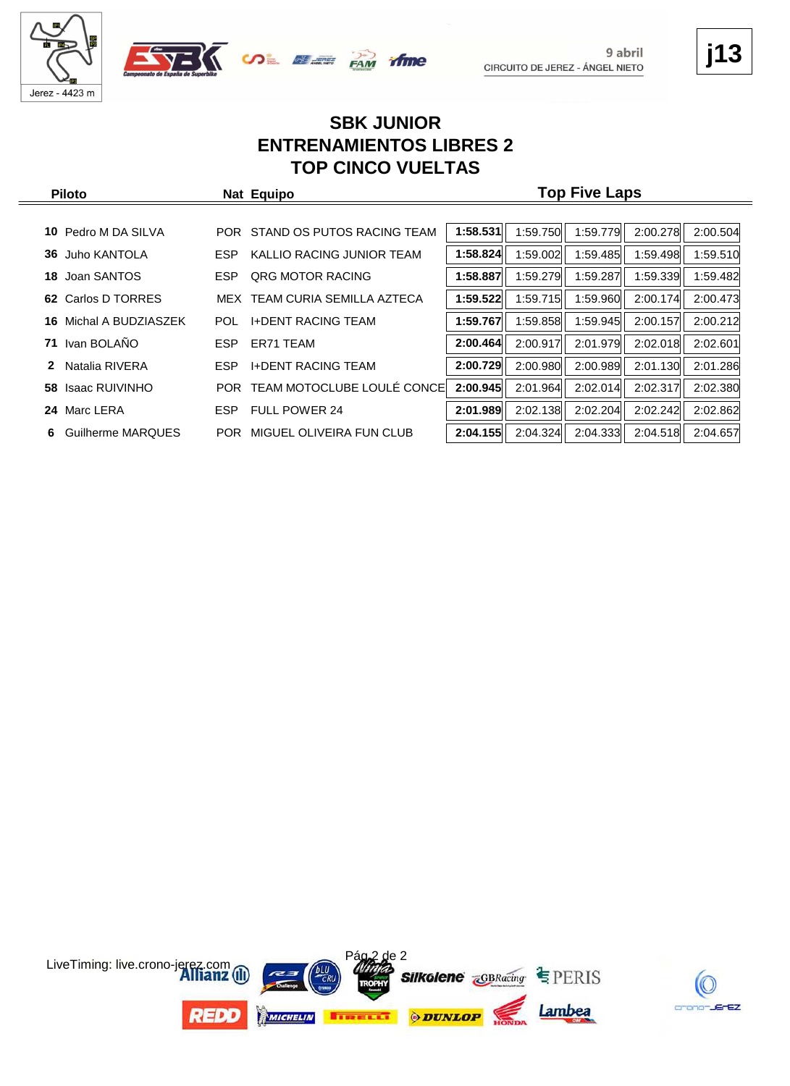





### **j13**

#### **SBK JUNIOR ENTRENAMIENTOS LIBRES 2 TOP CINCO VUELTAS**

| <b>Piloto</b>              |            | Nat Equipo                     | <b>Top Five Laps</b> |          |          |          |          |  |  |  |
|----------------------------|------------|--------------------------------|----------------------|----------|----------|----------|----------|--|--|--|
|                            |            |                                |                      |          |          |          |          |  |  |  |
| Pedro M DA SILVA<br>10.    |            | POR STAND OS PUTOS RACING TEAM | 1:58.531             | 1:59.750 | 1:59.779 | 2:00.278 | 2:00.504 |  |  |  |
| Juho KANTOLA<br>36         | <b>ESP</b> | KALLIO RACING JUNIOR TEAM      | 1:58.824             | 1:59.002 | 1:59.485 | 1:59.498 | 1:59.510 |  |  |  |
| Joan SANTOS<br>18          | <b>ESP</b> | <b>QRG MOTOR RACING</b>        | 1:58.887             | 1:59.279 | 1:59.287 | 1:59.339 | 1:59.482 |  |  |  |
| Carlos D TORRES<br>62      | MEX        | TEAM CURIA SEMILLA AZTECA      | 1:59.522             | 1:59.715 | 1:59.960 | 2:00.174 | 2:00.473 |  |  |  |
| Michal A BUDZIASZEK<br>16. | <b>POL</b> | <b>I+DENT RACING TEAM</b>      | 1:59.767             | 1:59.858 | 1:59.945 | 2:00.157 | 2:00.212 |  |  |  |
| Ivan BOLAÑO<br>71          | <b>ESP</b> | ER71 TEAM                      | 2:00.464             | 2:00.917 | 2:01.979 | 2:02.018 | 2:02.601 |  |  |  |
| Natalia RIVERA<br>2        | <b>ESP</b> | <b>I+DENT RACING TEAM</b>      | 2:00.729             | 2:00.980 | 2:00.989 | 2:01.130 | 2:01.286 |  |  |  |
| Isaac RUIVINHO<br>58.      | POR.       | TEAM MOTOCLUBE LOULÉ CONCE     | 2:00.945             | 2:01.964 | 2:02.014 | 2:02.317 | 2:02.380 |  |  |  |
| Marc LERA<br>24            | ESP.       | <b>FULL POWER 24</b>           | 2:01.989             | 2:02.138 | 2:02.204 | 2:02.242 | 2:02.862 |  |  |  |
| Guilherme MARQUES<br>6     | <b>POR</b> | MIGUEL OLIVEIRA FUN CLUB       | 2:04.155             | 2:04.324 | 2:04.333 | 2:04.518 | 2:04.657 |  |  |  |

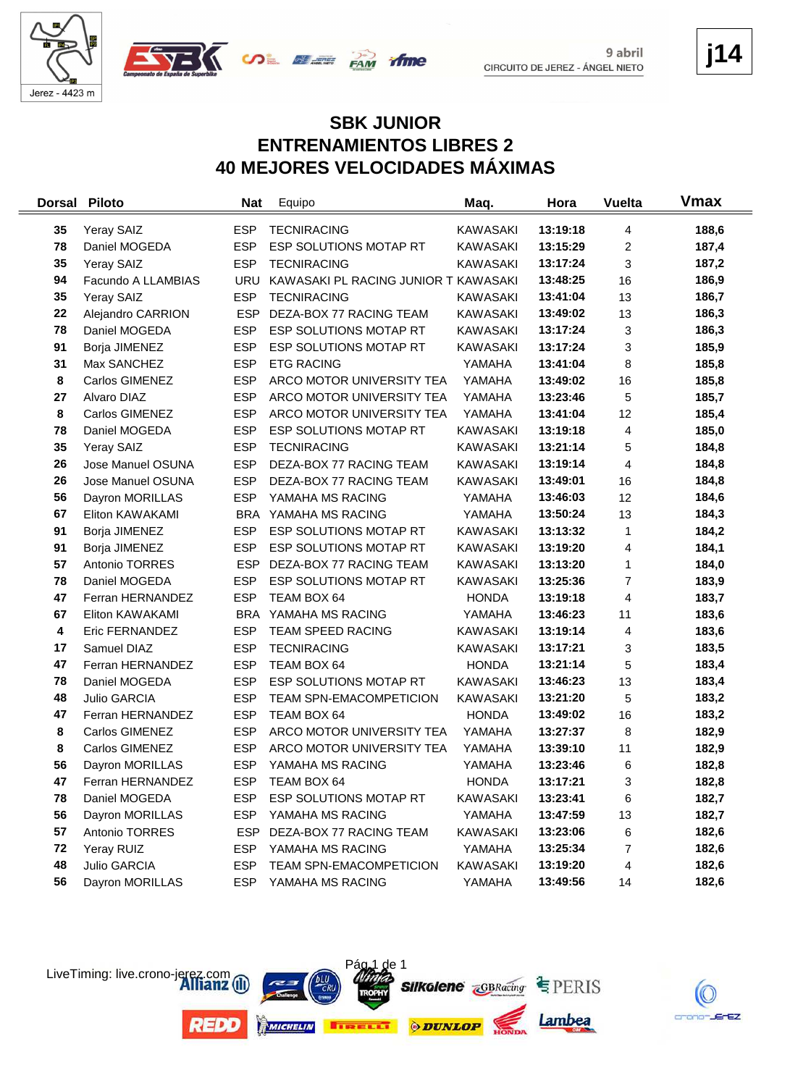

 $\equiv$ 



**j14**

#### **SBK JUNIOR ENTRENAMIENTOS LIBRES 2 40 MEJORES VELOCIDADES MÁXIMAS**

| <b>Dorsal</b> | <b>Piloto</b>      | <b>Nat</b> | Equipo                               | Maq.            | Hora     | <b>Vuelta</b>  | Vmax  |
|---------------|--------------------|------------|--------------------------------------|-----------------|----------|----------------|-------|
| 35            | Yeray SAIZ         | <b>ESP</b> | <b>TECNIRACING</b>                   | <b>KAWASAKI</b> | 13:19:18 | 4              | 188,6 |
| 78            | Daniel MOGEDA      | <b>ESP</b> | ESP SOLUTIONS MOTAP RT               | <b>KAWASAKI</b> | 13:15:29 | 2              | 187,4 |
| 35            | Yeray SAIZ         | <b>ESP</b> | <b>TECNIRACING</b>                   | <b>KAWASAKI</b> | 13:17:24 | 3              | 187,2 |
| 94            | Facundo A LLAMBIAS | <b>URU</b> | KAWASAKI PL RACING JUNIOR T KAWASAKI |                 | 13:48:25 | 16             | 186,9 |
| 35            | Yeray SAIZ         | <b>ESP</b> | <b>TECNIRACING</b>                   | <b>KAWASAKI</b> | 13:41:04 | 13             | 186,7 |
| 22            | Alejandro CARRION  | <b>ESP</b> | DEZA-BOX 77 RACING TEAM              | <b>KAWASAKI</b> | 13:49:02 | 13             | 186,3 |
| 78            | Daniel MOGEDA      | <b>ESP</b> | ESP SOLUTIONS MOTAP RT               | <b>KAWASAKI</b> | 13:17:24 | 3              | 186,3 |
| 91            | Borja JIMENEZ      | <b>ESP</b> | ESP SOLUTIONS MOTAP RT               | <b>KAWASAKI</b> | 13:17:24 | 3              | 185,9 |
| 31            | Max SANCHEZ        | <b>ESP</b> | <b>ETG RACING</b>                    | YAMAHA          | 13:41:04 | 8              | 185,8 |
| 8             | Carlos GIMENEZ     | <b>ESP</b> | ARCO MOTOR UNIVERSITY TEA            | YAMAHA          | 13:49:02 | 16             | 185,8 |
| 27            | Alvaro DIAZ        | <b>ESP</b> | ARCO MOTOR UNIVERSITY TEA            | YAMAHA          | 13:23:46 | 5              | 185,7 |
| 8             | Carlos GIMENEZ     | <b>ESP</b> | ARCO MOTOR UNIVERSITY TEA            | YAMAHA          | 13:41:04 | 12             | 185,4 |
| 78            | Daniel MOGEDA      | <b>ESP</b> | ESP SOLUTIONS MOTAP RT               | <b>KAWASAKI</b> | 13:19:18 | 4              | 185,0 |
| 35            | Yeray SAIZ         | <b>ESP</b> | <b>TECNIRACING</b>                   | <b>KAWASAKI</b> | 13:21:14 | 5              | 184,8 |
| 26            | Jose Manuel OSUNA  | <b>ESP</b> | DEZA-BOX 77 RACING TEAM              | <b>KAWASAKI</b> | 13:19:14 | 4              | 184,8 |
| 26            | Jose Manuel OSUNA  | <b>ESP</b> | DEZA-BOX 77 RACING TEAM              | <b>KAWASAKI</b> | 13:49:01 | 16             | 184,8 |
| 56            | Dayron MORILLAS    | <b>ESP</b> | YAMAHA MS RACING                     | YAMAHA          | 13:46:03 | 12             | 184,6 |
| 67            | Eliton KAWAKAMI    | <b>BRA</b> | YAMAHA MS RACING                     | YAMAHA          | 13:50:24 | 13             | 184,3 |
| 91            | Borja JIMENEZ      | <b>ESP</b> | ESP SOLUTIONS MOTAP RT               | <b>KAWASAKI</b> | 13:13:32 | 1              | 184,2 |
| 91            | Borja JIMENEZ      | <b>ESP</b> | ESP SOLUTIONS MOTAP RT               | <b>KAWASAKI</b> | 13:19:20 | 4              | 184,1 |
| 57            | Antonio TORRES     | <b>ESP</b> | DEZA-BOX 77 RACING TEAM              | KAWASAKI        | 13:13:20 | 1              | 184,0 |
| 78            | Daniel MOGEDA      | <b>ESP</b> | ESP SOLUTIONS MOTAP RT               | <b>KAWASAKI</b> | 13:25:36 | $\overline{7}$ | 183,9 |
| 47            | Ferran HERNANDEZ   | <b>ESP</b> | TEAM BOX 64                          | <b>HONDA</b>    | 13:19:18 | 4              | 183,7 |
| 67            | Eliton KAWAKAMI    | <b>BRA</b> | YAMAHA MS RACING                     | YAMAHA          | 13:46:23 | 11             | 183,6 |
| 4             | Eric FERNANDEZ     | <b>ESP</b> | TEAM SPEED RACING                    | <b>KAWASAKI</b> | 13:19:14 | 4              | 183,6 |
| 17            | Samuel DIAZ        | <b>ESP</b> | <b>TECNIRACING</b>                   | <b>KAWASAKI</b> | 13:17:21 | 3              | 183,5 |
| 47            | Ferran HERNANDEZ   | <b>ESP</b> | TEAM BOX 64                          | <b>HONDA</b>    | 13:21:14 | 5              | 183,4 |
| 78            | Daniel MOGEDA      | <b>ESP</b> | ESP SOLUTIONS MOTAP RT               | <b>KAWASAKI</b> | 13:46:23 | 13             | 183,4 |
| 48            | Julio GARCIA       | <b>ESP</b> | TEAM SPN-EMACOMPETICION              | <b>KAWASAKI</b> | 13:21:20 | 5              | 183,2 |
| 47            | Ferran HERNANDEZ   | <b>ESP</b> | TEAM BOX 64                          | <b>HONDA</b>    | 13:49:02 | 16             | 183,2 |
| 8             | Carlos GIMENEZ     | <b>ESP</b> | ARCO MOTOR UNIVERSITY TEA            | YAMAHA          | 13:27:37 | 8              | 182,9 |
| 8             | Carlos GIMENEZ     | <b>ESP</b> | ARCO MOTOR UNIVERSITY TEA            | YAMAHA          | 13:39:10 | 11             | 182,9 |
| 56            | Dayron MORILLAS    | <b>ESP</b> | YAMAHA MS RACING                     | YAMAHA          | 13:23:46 | 6              | 182,8 |
| 47            | Ferran HERNANDEZ   | <b>ESP</b> | TEAM BOX 64                          | <b>HONDA</b>    | 13:17:21 | 3              | 182,8 |
| 78            | Daniel MOGEDA      | <b>ESP</b> | ESP SOLUTIONS MOTAP RT               | <b>KAWASAKI</b> | 13:23:41 | 6              | 182,7 |
| 56            | Dayron MORILLAS    | <b>ESP</b> | YAMAHA MS RACING                     | YAMAHA          | 13:47:59 | 13             | 182,7 |
| 57            | Antonio TORRES     | <b>ESP</b> | DEZA-BOX 77 RACING TEAM              | KAWASAKI        | 13:23:06 | 6              | 182,6 |
| 72            | Yeray RUIZ         | <b>ESP</b> | YAMAHA MS RACING                     | YAMAHA          | 13:25:34 | 7              | 182,6 |
| 48            | Julio GARCIA       | <b>ESP</b> | TEAM SPN-EMACOMPETICION              | KAWASAKI        | 13:19:20 | 4              | 182,6 |
| 56            | Dayron MORILLAS    | <b>ESP</b> | YAMAHA MS RACING                     | YAMAHA          | 13:49:56 | 14             | 182,6 |



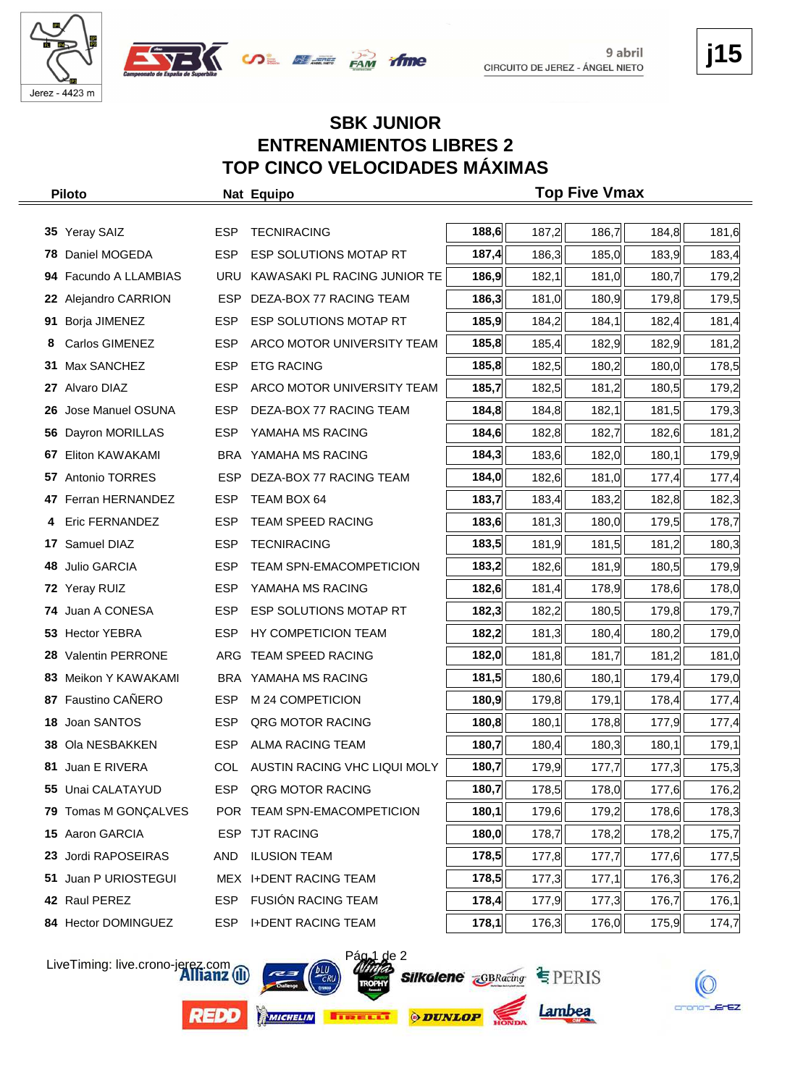





#### **SBK JUNIOR ENTRENAMIENTOS LIBRES 2 TOP CINCO VELOCIDADES MÁXIMAS**

|                            | ESP                                                                                                                                                                                                                                                                                                                                                                                                                               | <b>TECNIRACING</b>             |                                                                                                                                                                         | 187,2          | 186,7 | 184,8 | 181,6                                  |
|----------------------------|-----------------------------------------------------------------------------------------------------------------------------------------------------------------------------------------------------------------------------------------------------------------------------------------------------------------------------------------------------------------------------------------------------------------------------------|--------------------------------|-------------------------------------------------------------------------------------------------------------------------------------------------------------------------|----------------|-------|-------|----------------------------------------|
| Daniel MOGEDA              | <b>ESP</b>                                                                                                                                                                                                                                                                                                                                                                                                                        | ESP SOLUTIONS MOTAP RT         |                                                                                                                                                                         | 186,3          | 185,0 | 183,9 | 183,4                                  |
|                            | <b>URU</b>                                                                                                                                                                                                                                                                                                                                                                                                                        | KAWASAKI PL RACING JUNIOR TE   | 186,9                                                                                                                                                                   | 182,1          | 181,0 | 180,7 | 179,2                                  |
|                            | <b>ESP</b>                                                                                                                                                                                                                                                                                                                                                                                                                        | DEZA-BOX 77 RACING TEAM        | 186,3                                                                                                                                                                   | 181,0          | 180,9 | 179,8 | 179,5                                  |
|                            | <b>ESP</b>                                                                                                                                                                                                                                                                                                                                                                                                                        | ESP SOLUTIONS MOTAP RT         | 185,9                                                                                                                                                                   | 184,2          | 184,1 | 182,4 | 181,4                                  |
| Carlos GIMENEZ             | <b>ESP</b>                                                                                                                                                                                                                                                                                                                                                                                                                        | ARCO MOTOR UNIVERSITY TEAM     | 185,8                                                                                                                                                                   | 185,4          | 182,9 | 182,9 | 181,2                                  |
|                            | <b>ESP</b>                                                                                                                                                                                                                                                                                                                                                                                                                        | <b>ETG RACING</b>              | 185,8                                                                                                                                                                   | 182,5          | 180,2 | 180,0 | 178,5                                  |
| Alvaro DIAZ                | <b>ESP</b>                                                                                                                                                                                                                                                                                                                                                                                                                        | ARCO MOTOR UNIVERSITY TEAM     | 185,7                                                                                                                                                                   | 182,5          | 181,2 | 180,5 | 179,2                                  |
| Jose Manuel OSUNA          | <b>ESP</b>                                                                                                                                                                                                                                                                                                                                                                                                                        | DEZA-BOX 77 RACING TEAM        | 184,8                                                                                                                                                                   | 184,8          | 182,1 | 181,5 | 179,3                                  |
| Dayron MORILLAS            | <b>ESP</b>                                                                                                                                                                                                                                                                                                                                                                                                                        | YAMAHA MS RACING               | 184,6                                                                                                                                                                   | 182,8          | 182,7 | 182,6 | 181,2                                  |
| Eliton KAWAKAMI            |                                                                                                                                                                                                                                                                                                                                                                                                                                   | YAMAHA MS RACING               | 184,3                                                                                                                                                                   | 183,6          | 182,0 | 180,1 | 179,9                                  |
|                            | <b>ESP</b>                                                                                                                                                                                                                                                                                                                                                                                                                        | DEZA-BOX 77 RACING TEAM        | 184,0                                                                                                                                                                   | 182,6          | 181,0 | 177,4 | 177,4                                  |
|                            | <b>ESP</b>                                                                                                                                                                                                                                                                                                                                                                                                                        | TEAM BOX 64                    | 183,7                                                                                                                                                                   | 183,4          | 183,2 | 182,8 | 182,3                                  |
| Eric FERNANDEZ             | <b>ESP</b>                                                                                                                                                                                                                                                                                                                                                                                                                        | <b>TEAM SPEED RACING</b>       | 183,6                                                                                                                                                                   | 181,3          | 180,0 | 179,5 | 178,7                                  |
| Samuel DIAZ                | <b>ESP</b>                                                                                                                                                                                                                                                                                                                                                                                                                        | <b>TECNIRACING</b>             | 183,5                                                                                                                                                                   | 181,9          | 181,5 | 181,2 | 180,3                                  |
| Julio GARCIA               | <b>ESP</b>                                                                                                                                                                                                                                                                                                                                                                                                                        | <b>TEAM SPN-EMACOMPETICION</b> | 183,2                                                                                                                                                                   | 182,6          | 181,9 | 180,5 | 179,9                                  |
|                            | <b>ESP</b>                                                                                                                                                                                                                                                                                                                                                                                                                        | YAMAHA MS RACING               | 182,6                                                                                                                                                                   | 181,4          | 178,9 | 178,6 | 178,0                                  |
| Juan A CONESA              | <b>ESP</b>                                                                                                                                                                                                                                                                                                                                                                                                                        | ESP SOLUTIONS MOTAP RT         | 182,3                                                                                                                                                                   | 182,2          | 180,5 | 179,8 | 179,7                                  |
|                            | <b>ESP</b>                                                                                                                                                                                                                                                                                                                                                                                                                        | HY COMPETICION TEAM            | 182,2                                                                                                                                                                   | 181,3          | 180,4 | 180,2 | 179,0                                  |
|                            | ARG                                                                                                                                                                                                                                                                                                                                                                                                                               | TEAM SPEED RACING              | 182,0                                                                                                                                                                   | 181,8          | 181,7 | 181,2 | 181,0                                  |
|                            |                                                                                                                                                                                                                                                                                                                                                                                                                                   | YAMAHA MS RACING               | 181,5                                                                                                                                                                   | 180,6          | 180,1 | 179,4 | 179,0                                  |
|                            | <b>ESP</b>                                                                                                                                                                                                                                                                                                                                                                                                                        | M 24 COMPETICION               | 180,9                                                                                                                                                                   | 179,8          | 179,1 | 178,4 | 177,4                                  |
| Joan SANTOS                | <b>ESP</b>                                                                                                                                                                                                                                                                                                                                                                                                                        | QRG MOTOR RACING               | 180,8                                                                                                                                                                   | 180,1          | 178,8 | 177,9 | 177,4                                  |
|                            | <b>ESP</b>                                                                                                                                                                                                                                                                                                                                                                                                                        | <b>ALMA RACING TEAM</b>        | 180,7                                                                                                                                                                   | 180,4          | 180,3 | 180,1 | 179,1                                  |
|                            | COL                                                                                                                                                                                                                                                                                                                                                                                                                               |                                |                                                                                                                                                                         |                |       |       | 175,3                                  |
|                            | ESP.                                                                                                                                                                                                                                                                                                                                                                                                                              | QRG MOTOR RACING               | 180,7                                                                                                                                                                   | 178,5          | 178,0 | 177,6 | 176,2                                  |
| Tomas M GONÇALVES          |                                                                                                                                                                                                                                                                                                                                                                                                                                   |                                | 180,1                                                                                                                                                                   | 179,6          | 179,2 | 178,6 | 178,3                                  |
| Aaron GARCIA               |                                                                                                                                                                                                                                                                                                                                                                                                                                   |                                | 180,0                                                                                                                                                                   | 178,7          | 178,2 | 178,2 | 175,7                                  |
| Jordi RAPOSEIRAS           | AND                                                                                                                                                                                                                                                                                                                                                                                                                               | <b>ILUSION TEAM</b>            | 178,5                                                                                                                                                                   | 177,8          | 177,7 | 177,6 | 177,5                                  |
| Juan P URIOSTEGUI          |                                                                                                                                                                                                                                                                                                                                                                                                                                   |                                | 178,5                                                                                                                                                                   | 177,3          | 177,1 | 176,3 | 176,2                                  |
|                            |                                                                                                                                                                                                                                                                                                                                                                                                                                   |                                | 178,4                                                                                                                                                                   | 177,9          | 177,3 | 176,7 | 176,1                                  |
|                            | ESP                                                                                                                                                                                                                                                                                                                                                                                                                               | <b>I+DENT RACING TEAM</b>      | 178,1                                                                                                                                                                   | 176,3          | 176,0 | 175,9 | 174,7                                  |
| 26<br>56<br>67<br>48<br>79 | <b>Piloto</b><br>35 Yeray SAIZ<br>78<br>94 Facundo A LLAMBIAS<br>22 Alejandro CARRION<br>91 Borja JIMENEZ<br>31 Max SANCHEZ<br>27<br>57 Antonio TORRES<br>47 Ferran HERNANDEZ<br>17<br>72 Yeray RUIZ<br>74.<br>53 Hector YEBRA<br>28 Valentin PERRONE<br>83 Meikon Y KAWAKAMI<br>87 Faustino CAÑERO<br>18.<br>38 Ola NESBAKKEN<br>81 Juan E RIVERA<br>55 Unai CALATAYUD<br>15<br>23<br>51<br>42 Raul PEREZ<br>84 Hector DOMINGUEZ |                                | Nat Equipo<br>BRA<br>BRA<br>AUSTIN RACING VHC LIQUI MOLY<br>POR TEAM SPN-EMACOMPETICION<br>ESP TJT RACING<br>MEX I+DENT RACING TEAM<br><b>FUSIÓN RACING TEAM</b><br>ESP | 188,6<br>187,4 | 180,7 | 179,9 | <b>Top Five Vmax</b><br>177,7<br>177,3 |

LiveTiming: live.crono-jerez.com





**Silkolene GBRacing EPERIS** 



Lambea